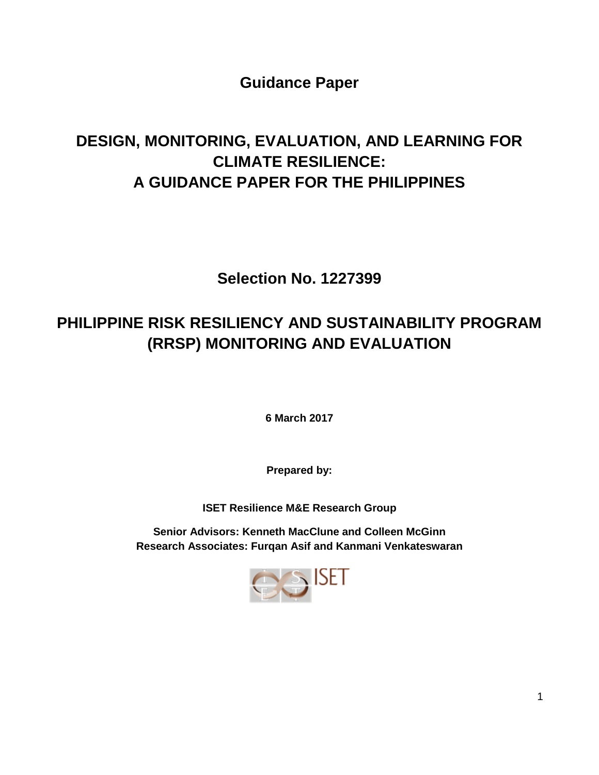**Guidance Paper**

# **DESIGN, MONITORING, EVALUATION, AND LEARNING FOR CLIMATE RESILIENCE: A GUIDANCE PAPER FOR THE PHILIPPINES**

**Selection No. 1227399**

# **PHILIPPINE RISK RESILIENCY AND SUSTAINABILITY PROGRAM (RRSP) MONITORING AND EVALUATION**

**6 March 2017**

**Prepared by:**

**ISET Resilience M&E Research Group**

**Senior Advisors: Kenneth MacClune and Colleen McGinn Research Associates: Furqan Asif and Kanmani Venkateswaran**

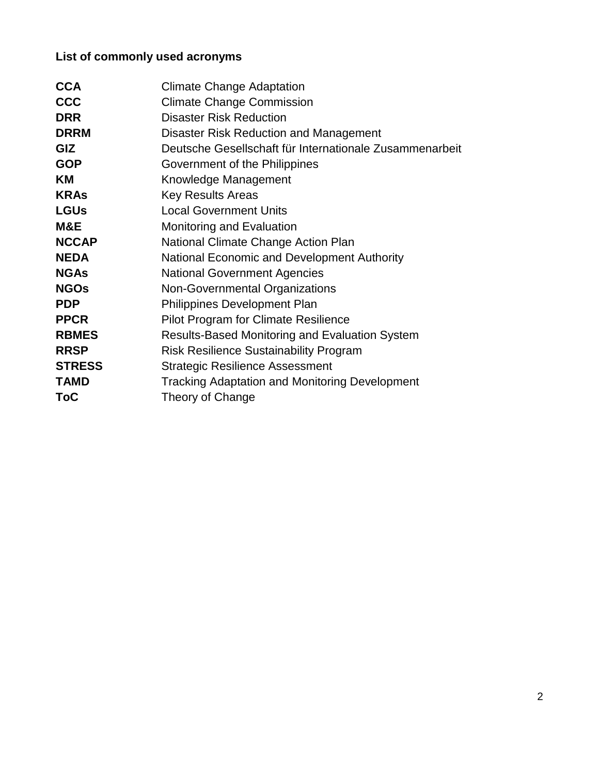## **List of commonly used acronyms**

| <b>CCA</b>    | <b>Climate Change Adaptation</b>                        |
|---------------|---------------------------------------------------------|
| <b>CCC</b>    | <b>Climate Change Commission</b>                        |
| <b>DRR</b>    | <b>Disaster Risk Reduction</b>                          |
| <b>DRRM</b>   | Disaster Risk Reduction and Management                  |
| <b>GIZ</b>    | Deutsche Gesellschaft für Internationale Zusammenarbeit |
| <b>GOP</b>    | Government of the Philippines                           |
| ΚM            | Knowledge Management                                    |
| <b>KRAs</b>   | <b>Key Results Areas</b>                                |
| <b>LGUs</b>   | <b>Local Government Units</b>                           |
| M&E           | Monitoring and Evaluation                               |
| <b>NCCAP</b>  | National Climate Change Action Plan                     |
| <b>NEDA</b>   | National Economic and Development Authority             |
| <b>NGAs</b>   | <b>National Government Agencies</b>                     |
| <b>NGOs</b>   | <b>Non-Governmental Organizations</b>                   |
| <b>PDP</b>    | Philippines Development Plan                            |
| <b>PPCR</b>   | <b>Pilot Program for Climate Resilience</b>             |
| <b>RBMES</b>  | <b>Results-Based Monitoring and Evaluation System</b>   |
| <b>RRSP</b>   | <b>Risk Resilience Sustainability Program</b>           |
| <b>STRESS</b> | <b>Strategic Resilience Assessment</b>                  |
| <b>TAMD</b>   | <b>Tracking Adaptation and Monitoring Development</b>   |
| <b>ToC</b>    | Theory of Change                                        |
|               |                                                         |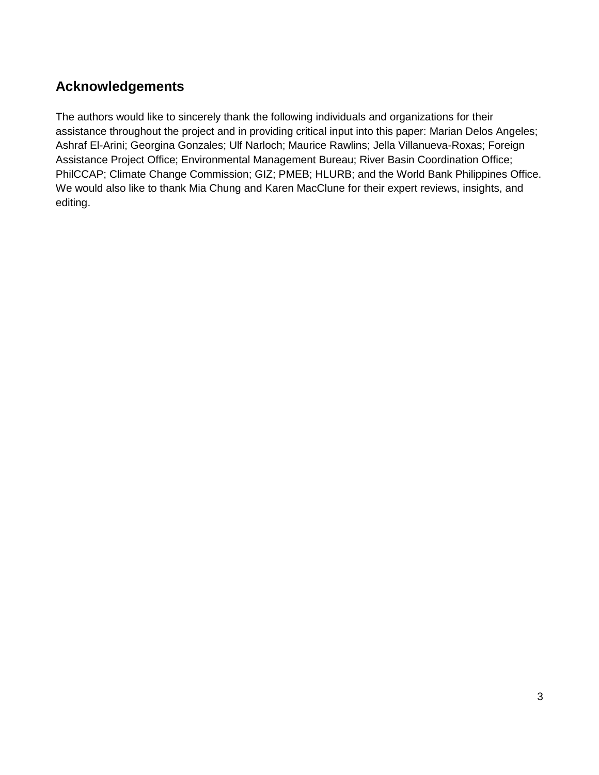### **Acknowledgements**

The authors would like to sincerely thank the following individuals and organizations for their assistance throughout the project and in providing critical input into this paper: Marian Delos Angeles; Ashraf El-Arini; Georgina Gonzales; Ulf Narloch; Maurice Rawlins; Jella Villanueva-Roxas; Foreign Assistance Project Office; Environmental Management Bureau; River Basin Coordination Office; PhilCCAP; Climate Change Commission; GIZ; PMEB; HLURB; and the World Bank Philippines Office. We would also like to thank Mia Chung and Karen MacClune for their expert reviews, insights, and editing.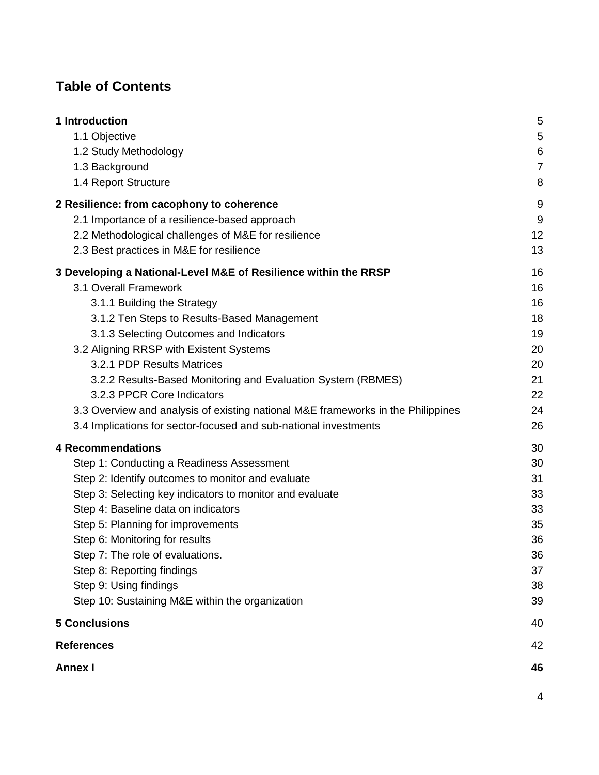## **Table of Contents**

| 1 Introduction                                                                   | 5              |
|----------------------------------------------------------------------------------|----------------|
| 1.1 Objective                                                                    | 5              |
| 1.2 Study Methodology                                                            | 6              |
| 1.3 Background                                                                   | $\overline{7}$ |
| 1.4 Report Structure                                                             | 8              |
| 2 Resilience: from cacophony to coherence                                        | 9              |
| 2.1 Importance of a resilience-based approach                                    | 9              |
| 2.2 Methodological challenges of M&E for resilience                              | 12             |
| 2.3 Best practices in M&E for resilience                                         | 13             |
| 3 Developing a National-Level M&E of Resilience within the RRSP                  | 16             |
| 3.1 Overall Framework                                                            | 16             |
| 3.1.1 Building the Strategy                                                      | 16             |
| 3.1.2 Ten Steps to Results-Based Management                                      | 18             |
| 3.1.3 Selecting Outcomes and Indicators                                          | 19             |
| 3.2 Aligning RRSP with Existent Systems                                          | 20             |
| 3.2.1 PDP Results Matrices                                                       | 20             |
| 3.2.2 Results-Based Monitoring and Evaluation System (RBMES)                     | 21             |
| 3.2.3 PPCR Core Indicators                                                       | 22             |
| 3.3 Overview and analysis of existing national M&E frameworks in the Philippines | 24             |
| 3.4 Implications for sector-focused and sub-national investments                 | 26             |
| <b>4 Recommendations</b>                                                         | 30             |
| Step 1: Conducting a Readiness Assessment                                        | 30             |
| Step 2: Identify outcomes to monitor and evaluate                                | 31             |
| Step 3: Selecting key indicators to monitor and evaluate                         | 33             |
| Step 4: Baseline data on indicators                                              | 33             |
| Step 5: Planning for improvements                                                | 35             |
| Step 6: Monitoring for results                                                   | 36             |
| Step 7: The role of evaluations.                                                 | 36             |
| Step 8: Reporting findings                                                       | 37             |
| Step 9: Using findings                                                           | 38             |
| Step 10: Sustaining M&E within the organization                                  | 39             |
| <b>5 Conclusions</b>                                                             | 40             |
| <b>References</b>                                                                | 42             |
| <b>Annex I</b>                                                                   | 46             |

4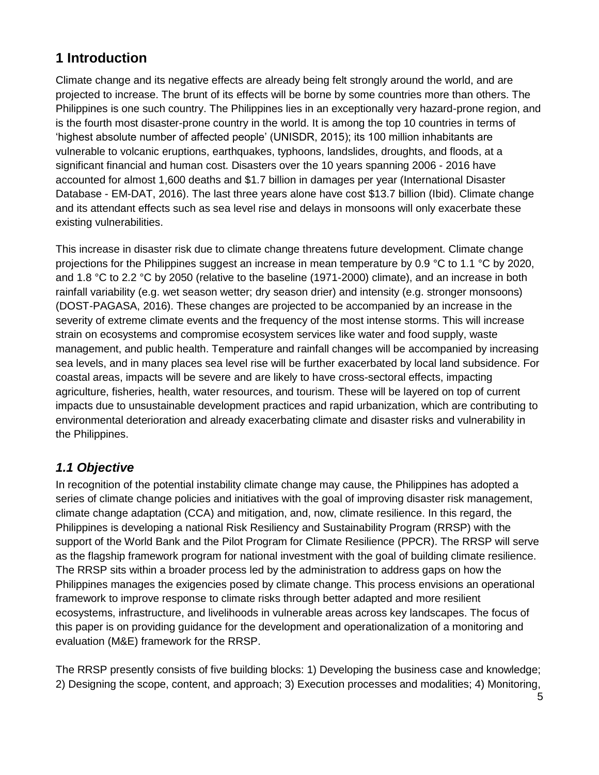## <span id="page-4-0"></span>**1 Introduction**

Climate change and its negative effects are already being felt strongly around the world, and are projected to increase. The brunt of its effects will be borne by some countries more than others. The Philippines is one such country. The Philippines lies in an exceptionally very hazard-prone region, and is the fourth most disaster-prone country in the world. It is among the top 10 countries in terms of 'highest absolute number of affected people' (UNISDR, 2015); its 100 million inhabitants are vulnerable to volcanic eruptions, earthquakes, typhoons, landslides, droughts, and floods, at a significant financial and human cost. Disasters over the 10 years spanning 2006 - 2016 have accounted for almost 1,600 deaths and \$1.7 billion in damages per year (International Disaster Database - EM-DAT, 2016). The last three years alone have cost \$13.7 billion (Ibid). Climate change and its attendant effects such as sea level rise and delays in monsoons will only exacerbate these existing vulnerabilities.

This increase in disaster risk due to climate change threatens future development. Climate change projections for the Philippines suggest an increase in mean temperature by 0.9 °C to 1.1 °C by 2020, and 1.8 °C to 2.2 °C by 2050 (relative to the baseline (1971-2000) climate), and an increase in both rainfall variability (e.g. wet season wetter; dry season drier) and intensity (e.g. stronger monsoons) (DOST-PAGASA, 2016). These changes are projected to be accompanied by an increase in the severity of extreme climate events and the frequency of the most intense storms. This will increase strain on ecosystems and compromise ecosystem services like water and food supply, waste management, and public health. Temperature and rainfall changes will be accompanied by increasing sea levels, and in many places sea level rise will be further exacerbated by local land subsidence. For coastal areas, impacts will be severe and are likely to have cross-sectoral effects, impacting agriculture, fisheries, health, water resources, and tourism. These will be layered on top of current impacts due to unsustainable development practices and rapid urbanization, which are contributing to environmental deterioration and already exacerbating climate and disaster risks and vulnerability in the Philippines.

### <span id="page-4-1"></span>*1.1 Objective*

In recognition of the potential instability climate change may cause, the Philippines has adopted a series of climate change policies and initiatives with the goal of improving disaster risk management, climate change adaptation (CCA) and mitigation, and, now, climate resilience. In this regard, the Philippines is developing a national Risk Resiliency and Sustainability Program (RRSP) with the support of the World Bank and the Pilot Program for Climate Resilience (PPCR). The RRSP will serve as the flagship framework program for national investment with the goal of building climate resilience. The RRSP sits within a broader process led by the administration to address gaps on how the Philippines manages the exigencies posed by climate change. This process envisions an operational framework to improve response to climate risks through better adapted and more resilient ecosystems, infrastructure, and livelihoods in vulnerable areas across key landscapes. The focus of this paper is on providing guidance for the development and operationalization of a monitoring and evaluation (M&E) framework for the RRSP.

The RRSP presently consists of five building blocks: 1) Developing the business case and knowledge; 2) Designing the scope, content, and approach; 3) Execution processes and modalities; 4) Monitoring,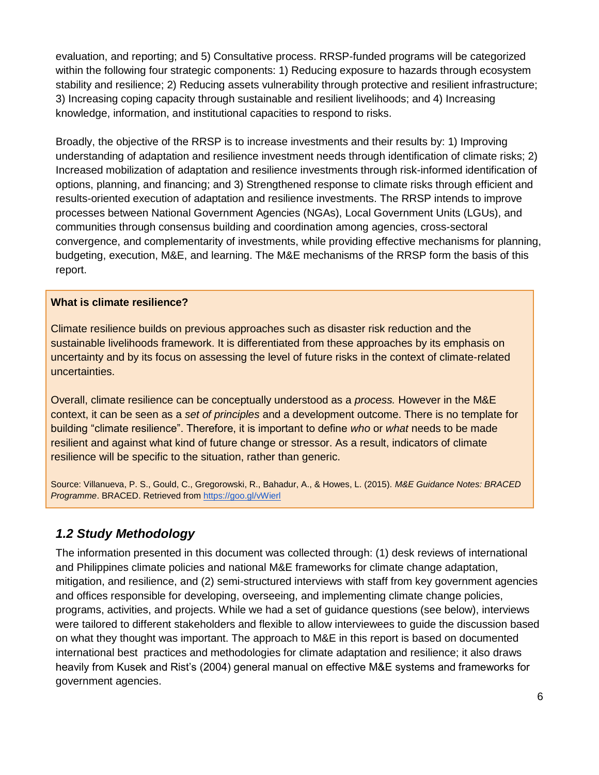evaluation, and reporting; and 5) Consultative process. RRSP-funded programs will be categorized within the following four strategic components: 1) Reducing exposure to hazards through ecosystem stability and resilience; 2) Reducing assets vulnerability through protective and resilient infrastructure; 3) Increasing coping capacity through sustainable and resilient livelihoods; and 4) Increasing knowledge, information, and institutional capacities to respond to risks.

Broadly, the objective of the RRSP is to increase investments and their results by: 1) Improving understanding of adaptation and resilience investment needs through identification of climate risks; 2) Increased mobilization of adaptation and resilience investments through risk-informed identification of options, planning, and financing; and 3) Strengthened response to climate risks through efficient and results-oriented execution of adaptation and resilience investments. The RRSP intends to improve processes between National Government Agencies (NGAs), Local Government Units (LGUs), and communities through consensus building and coordination among agencies, cross-sectoral convergence, and complementarity of investments, while providing effective mechanisms for planning, budgeting, execution, M&E, and learning. The M&E mechanisms of the RRSP form the basis of this report.

#### **What is climate resilience?**

Climate resilience builds on previous approaches such as disaster risk reduction and the sustainable livelihoods framework. It is differentiated from these approaches by its emphasis on uncertainty and by its focus on assessing the level of future risks in the context of climate-related uncertainties.

Overall, climate resilience can be conceptually understood as a *process.* However in the M&E context, it can be seen as a *set of principles* and a development outcome. There is no template for building "climate resilience". Therefore, it is important to define *who* or *what* needs to be made resilient and against what kind of future change or stressor. As a result, indicators of climate resilience will be specific to the situation, rather than generic.

Source: Villanueva, P. S., Gould, C., Gregorowski, R., Bahadur, A., & Howes, L. (2015). *M&E Guidance Notes: BRACED Programme*. BRACED. Retrieved from<https://goo.gl/vWierl>

#### <span id="page-5-0"></span>*1.2 Study Methodology*

The information presented in this document was collected through: (1) desk reviews of international and Philippines climate policies and national M&E frameworks for climate change adaptation, mitigation, and resilience, and (2) semi-structured interviews with staff from key government agencies and offices responsible for developing, overseeing, and implementing climate change policies, programs, activities, and projects. While we had a set of guidance questions (see below), interviews were tailored to different stakeholders and flexible to allow interviewees to guide the discussion based on what they thought was important. The approach to M&E in this report is based on documented international best practices and methodologies for climate adaptation and resilience; it also draws heavily from Kusek and Rist's (2004) general manual on effective M&E systems and frameworks for government agencies.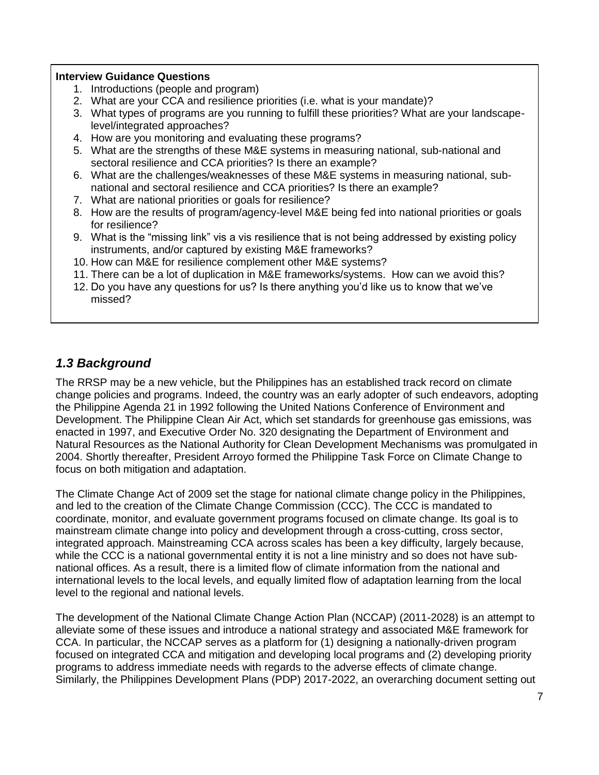#### **Interview Guidance Questions**

- 1. Introductions (people and program)
- 2. What are your CCA and resilience priorities (i.e. what is your mandate)?
- 3. What types of programs are you running to fulfill these priorities? What are your landscapelevel/integrated approaches?
- 4. How are you monitoring and evaluating these programs?
- 5. What are the strengths of these M&E systems in measuring national, sub-national and sectoral resilience and CCA priorities? Is there an example?
- 6. What are the challenges/weaknesses of these M&E systems in measuring national, subnational and sectoral resilience and CCA priorities? Is there an example?
- 7. What are national priorities or goals for resilience?
- 8. How are the results of program/agency-level M&E being fed into national priorities or goals for resilience?
- 9. What is the "missing link" vis a vis resilience that is not being addressed by existing policy instruments, and/or captured by existing M&E frameworks?
- 10. How can M&E for resilience complement other M&E systems?
- 11. There can be a lot of duplication in M&E frameworks/systems. How can we avoid this?
- 12. Do you have any questions for us? Is there anything you'd like us to know that we've missed?

#### <span id="page-6-0"></span>*1.3 Background*

The RRSP may be a new vehicle, but the Philippines has an established track record on climate change policies and programs. Indeed, the country was an early adopter of such endeavors, adopting the Philippine Agenda 21 in 1992 following the United Nations Conference of Environment and Development. The Philippine Clean Air Act, which set standards for greenhouse gas emissions, was enacted in 1997, and Executive Order No. 320 designating the Department of Environment and Natural Resources as the National Authority for Clean Development Mechanisms was promulgated in 2004. Shortly thereafter, President Arroyo formed the Philippine Task Force on Climate Change to focus on both mitigation and adaptation.

The Climate Change Act of 2009 set the stage for national climate change policy in the Philippines, and led to the creation of the Climate Change Commission (CCC). The CCC is mandated to coordinate, monitor, and evaluate government programs focused on climate change. Its goal is to mainstream climate change into policy and development through a cross-cutting, cross sector, integrated approach. Mainstreaming CCA across scales has been a key difficulty, largely because, while the CCC is a national governmental entity it is not a line ministry and so does not have subnational offices. As a result, there is a limited flow of climate information from the national and international levels to the local levels, and equally limited flow of adaptation learning from the local level to the regional and national levels.

The development of the National Climate Change Action Plan (NCCAP) (2011-2028) is an attempt to alleviate some of these issues and introduce a national strategy and associated M&E framework for CCA. In particular, the NCCAP serves as a platform for (1) designing a nationally-driven program focused on integrated CCA and mitigation and developing local programs and (2) developing priority programs to address immediate needs with regards to the adverse effects of climate change. Similarly, the Philippines Development Plans (PDP) 2017-2022, an overarching document setting out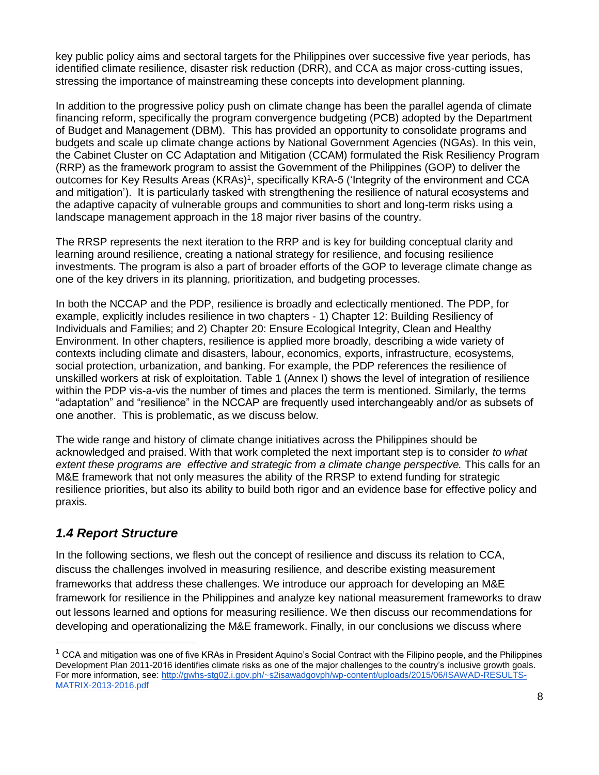key public policy aims and sectoral targets for the Philippines over successive five year periods, has identified climate resilience, disaster risk reduction (DRR), and CCA as major cross-cutting issues, stressing the importance of mainstreaming these concepts into development planning.

In addition to the progressive policy push on climate change has been the parallel agenda of climate financing reform, specifically the program convergence budgeting (PCB) adopted by the Department of Budget and Management (DBM). This has provided an opportunity to consolidate programs and budgets and scale up climate change actions by National Government Agencies (NGAs). In this vein, the Cabinet Cluster on CC Adaptation and Mitigation (CCAM) formulated the Risk Resiliency Program (RRP) as the framework program to assist the Government of the Philippines (GOP) to deliver the outcomes for Key Results Areas (KRAs)<sup>1</sup>, specifically KRA-5 ('Integrity of the environment and CCA and mitigation'). It is particularly tasked with strengthening the resilience of natural ecosystems and the adaptive capacity of vulnerable groups and communities to short and long-term risks using a landscape management approach in the 18 major river basins of the country.

The RRSP represents the next iteration to the RRP and is key for building conceptual clarity and learning around resilience, creating a national strategy for resilience, and focusing resilience investments. The program is also a part of broader efforts of the GOP to leverage climate change as one of the key drivers in its planning, prioritization, and budgeting processes.

In both the NCCAP and the PDP, resilience is broadly and eclectically mentioned. The PDP, for example, explicitly includes resilience in two chapters - 1) Chapter 12: Building Resiliency of Individuals and Families; and 2) Chapter 20: Ensure Ecological Integrity, Clean and Healthy Environment. In other chapters, resilience is applied more broadly, describing a wide variety of contexts including climate and disasters, labour, economics, exports, infrastructure, ecosystems, social protection, urbanization, and banking. For example, the PDP references the resilience of unskilled workers at risk of exploitation. Table 1 (Annex I) shows the level of integration of resilience within the PDP vis-a-vis the number of times and places the term is mentioned. Similarly, the terms "adaptation" and "resilience" in the NCCAP are frequently used interchangeably and/or as subsets of one another. This is problematic, as we discuss below.

The wide range and history of climate change initiatives across the Philippines should be acknowledged and praised. With that work completed the next important step is to consider *to what extent these programs are effective and strategic from a climate change perspective.* This calls for an M&E framework that not only measures the ability of the RRSP to extend funding for strategic resilience priorities, but also its ability to build both rigor and an evidence base for effective policy and praxis.

### <span id="page-7-0"></span>*1.4 Report Structure*

 $\overline{a}$ 

In the following sections, we flesh out the concept of resilience and discuss its relation to CCA, discuss the challenges involved in measuring resilience, and describe existing measurement frameworks that address these challenges. We introduce our approach for developing an M&E framework for resilience in the Philippines and analyze key national measurement frameworks to draw out lessons learned and options for measuring resilience. We then discuss our recommendations for developing and operationalizing the M&E framework. Finally, in our conclusions we discuss where

 $1$  CCA and mitigation was one of five KRAs in President Aquino's Social Contract with the Filipino people, and the Philippines Development Plan 2011-2016 identifies climate risks as one of the major challenges to the country's inclusive growth goals. For more information, see: [http://gwhs-stg02.i.gov.ph/~s2isawadgovph/wp-content/uploads/2015/06/ISAWAD-RESULTS-](http://gwhs-stg02.i.gov.ph/~s2isawadgovph/wp-content/uploads/2015/06/ISAWAD-RESULTS-MATRIX-2013-2016.pdf)[MATRIX-2013-2016.pdf](http://gwhs-stg02.i.gov.ph/~s2isawadgovph/wp-content/uploads/2015/06/ISAWAD-RESULTS-MATRIX-2013-2016.pdf)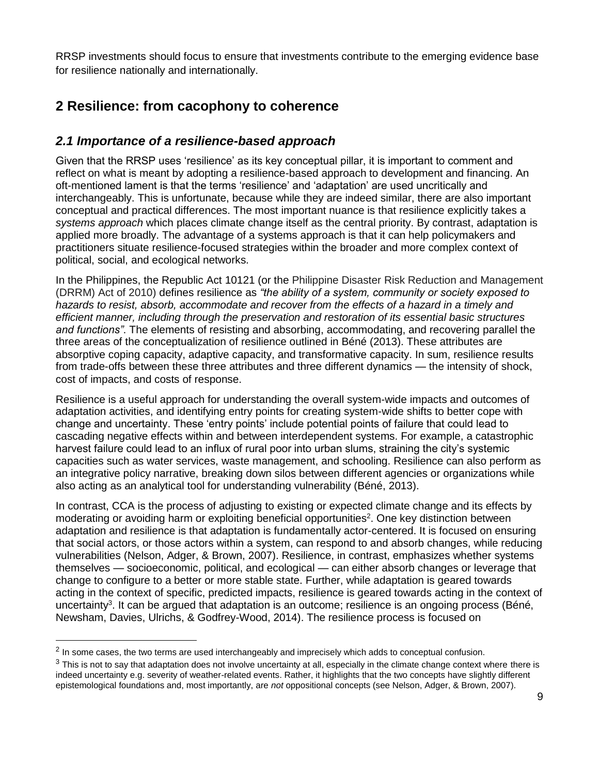RRSP investments should focus to ensure that investments contribute to the emerging evidence base for resilience nationally and internationally.

## <span id="page-8-0"></span>**2 Resilience: from cacophony to coherence**

### <span id="page-8-1"></span>*2.1 Importance of a resilience-based approach*

Given that the RRSP uses 'resilience' as its key conceptual pillar, it is important to comment and reflect on what is meant by adopting a resilience-based approach to development and financing. An oft-mentioned lament is that the terms 'resilience' and 'adaptation' are used uncritically and interchangeably. This is unfortunate, because while they are indeed similar, there are also important conceptual and practical differences. The most important nuance is that resilience explicitly takes a *systems approach* which places climate change itself as the central priority. By contrast, adaptation is applied more broadly. The advantage of a systems approach is that it can help policymakers and practitioners situate resilience-focused strategies within the broader and more complex context of political, social, and ecological networks.

In the Philippines, the Republic Act 10121 (or the Philippine Disaster Risk Reduction and Management (DRRM) Act of 2010) defines resilience as *"the ability of a system, community or society exposed to hazards to resist, absorb, accommodate and recover from the effects of a hazard in a timely and efficient manner, including through the preservation and restoration of its essential basic structures and functions"*. The elements of resisting and absorbing, accommodating, and recovering parallel the three areas of the conceptualization of resilience outlined in Béné (2013). These attributes are absorptive coping capacity, adaptive capacity, and transformative capacity. In sum, resilience results from trade-offs between these three attributes and three different dynamics — the intensity of shock, cost of impacts, and costs of response.

Resilience is a useful approach for understanding the overall system-wide impacts and outcomes of adaptation activities, and identifying entry points for creating system-wide shifts to better cope with change and uncertainty. These 'entry points' include potential points of failure that could lead to cascading negative effects within and between interdependent systems. For example, a catastrophic harvest failure could lead to an influx of rural poor into urban slums, straining the city's systemic capacities such as water services, waste management, and schooling. Resilience can also perform as an integrative policy narrative, breaking down silos between different agencies or organizations while also acting as an analytical tool for understanding vulnerability (Béné, 2013).

In contrast, CCA is the process of adjusting to existing or expected climate change and its effects by moderating or avoiding harm or exploiting beneficial opportunities<sup>2</sup>. One key distinction between adaptation and resilience is that adaptation is fundamentally actor-centered. It is focused on ensuring that social actors, or those actors within a system, can respond to and absorb changes, while reducing vulnerabilities (Nelson, Adger, & Brown, 2007). Resilience, in contrast, emphasizes whether systems themselves — socioeconomic, political, and ecological — can either absorb changes or leverage that change to configure to a better or more stable state. Further, while adaptation is geared towards acting in the context of specific, predicted impacts, resilience is geared towards acting in the context of uncertainty<sup>3</sup>. It can be argued that adaptation is an outcome; resilience is an ongoing process (Béné, Newsham, Davies, Ulrichs, & Godfrey-Wood, 2014). The resilience process is focused on

 $\overline{a}$ 

 $2$  In some cases, the two terms are used interchangeably and imprecisely which adds to conceptual confusion.

 $3$  This is not to say that adaptation does not involve uncertainty at all, especially in the climate change context where there is indeed uncertainty e.g. severity of weather-related events. Rather, it highlights that the two concepts have slightly different epistemological foundations and, most importantly, are *not* oppositional concepts (see Nelson, Adger, & Brown, 2007).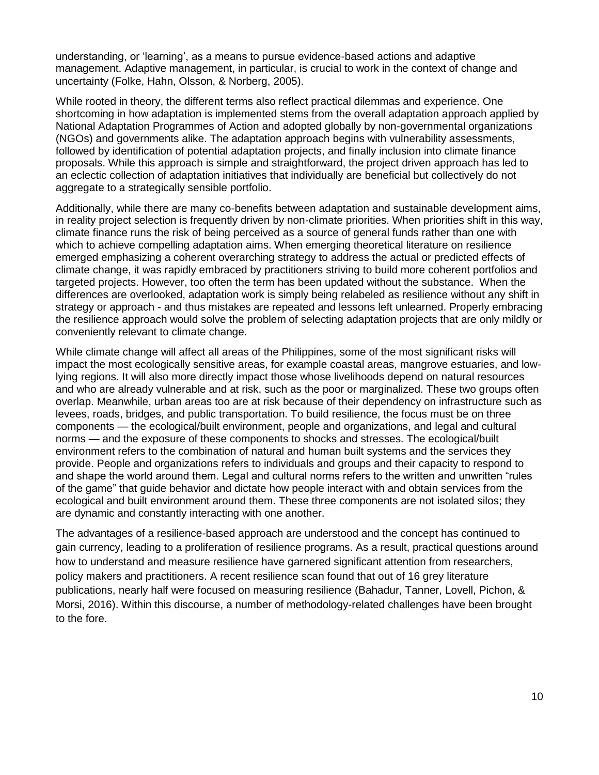understanding, or 'learning', as a means to pursue evidence-based actions and adaptive management. Adaptive management, in particular, is crucial to work in the context of change and uncertainty (Folke, Hahn, Olsson, & Norberg, 2005).

While rooted in theory, the different terms also reflect practical dilemmas and experience. One shortcoming in how adaptation is implemented stems from the overall adaptation approach applied by National Adaptation Programmes of Action and adopted globally by non-governmental organizations (NGOs) and governments alike. The adaptation approach begins with vulnerability assessments, followed by identification of potential adaptation projects, and finally inclusion into climate finance proposals. While this approach is simple and straightforward, the project driven approach has led to an eclectic collection of adaptation initiatives that individually are beneficial but collectively do not aggregate to a strategically sensible portfolio.

Additionally, while there are many co-benefits between adaptation and sustainable development aims, in reality project selection is frequently driven by non-climate priorities. When priorities shift in this way, climate finance runs the risk of being perceived as a source of general funds rather than one with which to achieve compelling adaptation aims. When emerging theoretical literature on resilience emerged emphasizing a coherent overarching strategy to address the actual or predicted effects of climate change, it was rapidly embraced by practitioners striving to build more coherent portfolios and targeted projects. However, too often the term has been updated without the substance. When the differences are overlooked, adaptation work is simply being relabeled as resilience without any shift in strategy or approach - and thus mistakes are repeated and lessons left unlearned. Properly embracing the resilience approach would solve the problem of selecting adaptation projects that are only mildly or conveniently relevant to climate change.

While climate change will affect all areas of the Philippines, some of the most significant risks will impact the most ecologically sensitive areas, for example coastal areas, mangrove estuaries, and lowlying regions. It will also more directly impact those whose livelihoods depend on natural resources and who are already vulnerable and at risk, such as the poor or marginalized. These two groups often overlap. Meanwhile, urban areas too are at risk because of their dependency on infrastructure such as levees, roads, bridges, and public transportation. To build resilience, the focus must be on three components — the ecological/built environment, people and organizations, and legal and cultural norms — and the exposure of these components to shocks and stresses. The ecological/built environment refers to the combination of natural and human built systems and the services they provide. People and organizations refers to individuals and groups and their capacity to respond to and shape the world around them. Legal and cultural norms refers to the written and unwritten "rules of the game" that guide behavior and dictate how people interact with and obtain services from the ecological and built environment around them. These three components are not isolated silos; they are dynamic and constantly interacting with one another.

The advantages of a resilience-based approach are understood and the concept has continued to gain currency, leading to a proliferation of resilience programs. As a result, practical questions around how to understand and measure resilience have garnered significant attention from researchers, policy makers and practitioners. A recent resilience scan found that out of 16 grey literature publications, nearly half were focused on measuring resilience (Bahadur, Tanner, Lovell, Pichon, & Morsi, 2016). Within this discourse, a number of methodology-related challenges have been brought to the fore.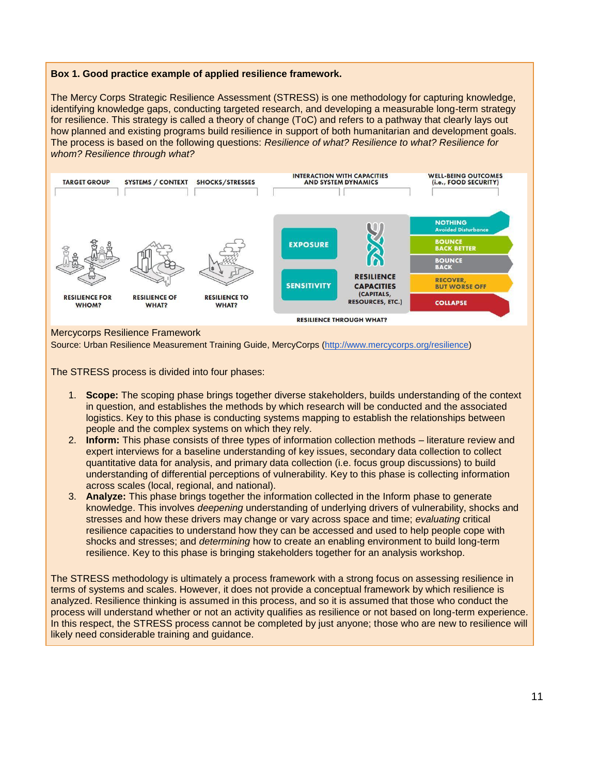#### **Box 1. Good practice example of applied resilience framework.**

The Mercy Corps Strategic Resilience Assessment (STRESS) is one methodology for capturing knowledge, identifying knowledge gaps, conducting targeted research, and developing a measurable long-term strategy for resilience. This strategy is called a theory of change (ToC) and refers to a pathway that clearly lays out how planned and existing programs build resilience in support of both humanitarian and development goals. The process is based on the following questions: *Resilience of what? Resilience to what? Resilience for whom? Resilience through what?*



Mercycorps Resilience Framework

Source: Urban Resilience Measurement Training Guide, MercyCorps [\(http://www.mercycorps.org/resilience\)](http://www.mercycorps.org/resilience)

The STRESS process is divided into four phases:

- 1. **Scope:** The scoping phase brings together diverse stakeholders, builds understanding of the context in question, and establishes the methods by which research will be conducted and the associated logistics. Key to this phase is conducting systems mapping to establish the relationships between people and the complex systems on which they rely.
- 2. **Inform:** This phase consists of three types of information collection methods literature review and expert interviews for a baseline understanding of key issues, secondary data collection to collect quantitative data for analysis, and primary data collection (i.e. focus group discussions) to build understanding of differential perceptions of vulnerability. Key to this phase is collecting information across scales (local, regional, and national).
- 3. **Analyze:** This phase brings together the information collected in the Inform phase to generate knowledge. This involves *deepening* understanding of underlying drivers of vulnerability, shocks and stresses and how these drivers may change or vary across space and time; *evaluating* critical resilience capacities to understand how they can be accessed and used to help people cope with shocks and stresses; and *determining* how to create an enabling environment to build long-term resilience. Key to this phase is bringing stakeholders together for an analysis workshop.

The STRESS methodology is ultimately a process framework with a strong focus on assessing resilience in terms of systems and scales. However, it does not provide a conceptual framework by which resilience is analyzed. Resilience thinking is assumed in this process, and so it is assumed that those who conduct the process will understand whether or not an activity qualifies as resilience or not based on long-term experience. In this respect, the STRESS process cannot be completed by just anyone; those who are new to resilience will likely need considerable training and guidance.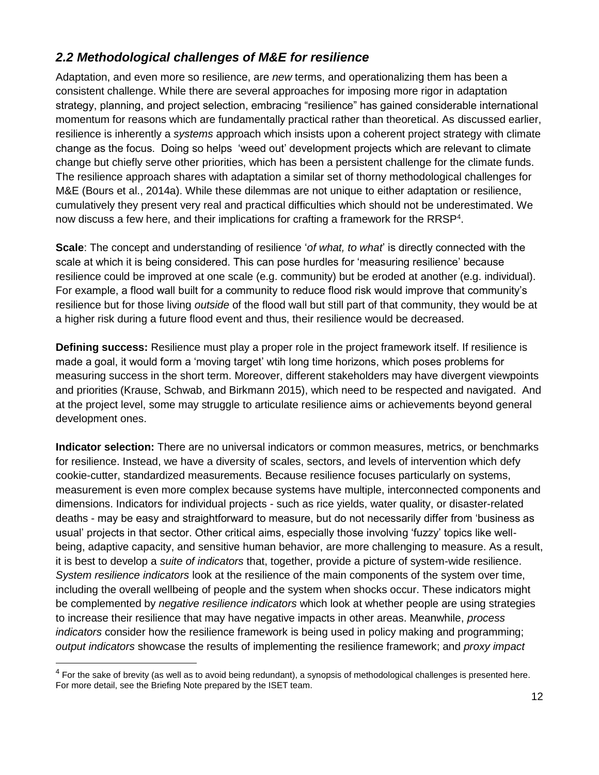### <span id="page-11-0"></span>*2.2 Methodological challenges of M&E for resilience*

Adaptation, and even more so resilience, are *new* terms, and operationalizing them has been a consistent challenge. While there are several approaches for imposing more rigor in adaptation strategy, planning, and project selection, embracing "resilience" has gained considerable international momentum for reasons which are fundamentally practical rather than theoretical. As discussed earlier, resilience is inherently a *systems* approach which insists upon a coherent project strategy with climate change as the focus. Doing so helps 'weed out' development projects which are relevant to climate change but chiefly serve other priorities, which has been a persistent challenge for the climate funds. The resilience approach shares with adaptation a similar set of thorny methodological challenges for M&E (Bours et al., 2014a). While these dilemmas are not unique to either adaptation or resilience, cumulatively they present very real and practical difficulties which should not be underestimated. We now discuss a few here, and their implications for crafting a framework for the RRSP<sup>4</sup>.

**Scale**: The concept and understanding of resilience '*of what, to what*' is directly connected with the scale at which it is being considered. This can pose hurdles for 'measuring resilience' because resilience could be improved at one scale (e.g. community) but be eroded at another (e.g. individual). For example, a flood wall built for a community to reduce flood risk would improve that community's resilience but for those living *outside* of the flood wall but still part of that community, they would be at a higher risk during a future flood event and thus, their resilience would be decreased.

**Defining success:** Resilience must play a proper role in the project framework itself. If resilience is made a goal, it would form a 'moving target' wtih long time horizons, which poses problems for measuring success in the short term. Moreover, different stakeholders may have divergent viewpoints and priorities (Krause, Schwab, and Birkmann 2015), which need to be respected and navigated. And at the project level, some may struggle to articulate resilience aims or achievements beyond general development ones.

**Indicator selection:** There are no universal indicators or common measures, metrics, or benchmarks for resilience. Instead, we have a diversity of scales, sectors, and levels of intervention which defy cookie-cutter, standardized measurements. Because resilience focuses particularly on systems, measurement is even more complex because systems have multiple, interconnected components and dimensions. Indicators for individual projects - such as rice yields, water quality, or disaster-related deaths - may be easy and straightforward to measure, but do not necessarily differ from 'business as usual' projects in that sector. Other critical aims, especially those involving 'fuzzy' topics like wellbeing, adaptive capacity, and sensitive human behavior, are more challenging to measure. As a result, it is best to develop a *suite of indicators* that, together, provide a picture of system-wide resilience. *System resilience indicators* look at the resilience of the main components of the system over time, including the overall wellbeing of people and the system when shocks occur. These indicators might be complemented by *negative resilience indicators* which look at whether people are using strategies to increase their resilience that may have negative impacts in other areas. Meanwhile, *process indicators* consider how the resilience framework is being used in policy making and programming; *output indicators* showcase the results of implementing the resilience framework; and *proxy impact* 

 $<sup>4</sup>$  For the sake of brevity (as well as to avoid being redundant), a synopsis of methodological challenges is presented here.</sup> For more detail, see the Briefing Note prepared by the ISET team.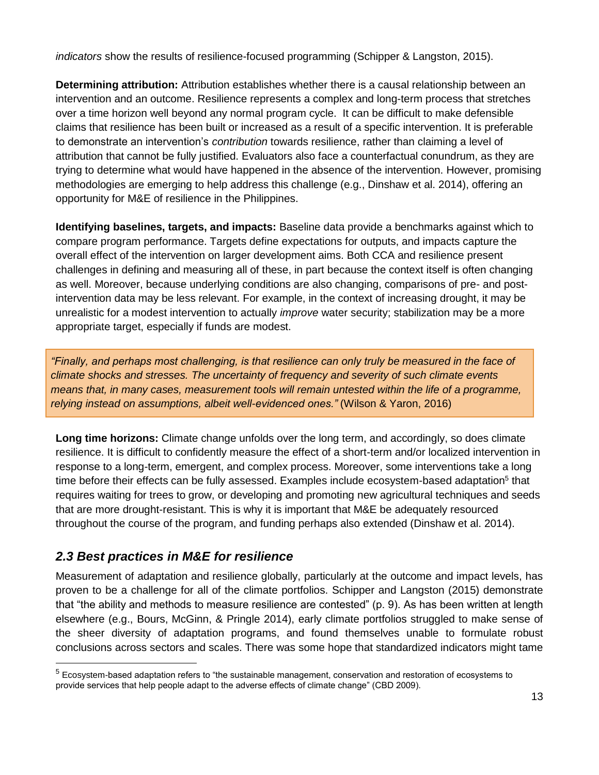*indicators* show the results of resilience-focused programming (Schipper & Langston, 2015).

**Determining attribution:** Attribution establishes whether there is a causal relationship between an intervention and an outcome. Resilience represents a complex and long-term process that stretches over a time horizon well beyond any normal program cycle. It can be difficult to make defensible claims that resilience has been built or increased as a result of a specific intervention. It is preferable to demonstrate an intervention's *contribution* towards resilience, rather than claiming a level of attribution that cannot be fully justified. Evaluators also face a counterfactual conundrum, as they are trying to determine what would have happened in the absence of the intervention. However, promising methodologies are emerging to help address this challenge (e.g., Dinshaw et al. 2014), offering an opportunity for M&E of resilience in the Philippines.

**Identifying baselines, targets, and impacts:** Baseline data provide a benchmarks against which to compare program performance. Targets define expectations for outputs, and impacts capture the overall effect of the intervention on larger development aims. Both CCA and resilience present challenges in defining and measuring all of these, in part because the context itself is often changing as well. Moreover, because underlying conditions are also changing, comparisons of pre- and postintervention data may be less relevant. For example, in the context of increasing drought, it may be unrealistic for a modest intervention to actually *improve* water security; stabilization may be a more appropriate target, especially if funds are modest.

*"Finally, and perhaps most challenging, is that resilience can only truly be measured in the face of climate shocks and stresses. The uncertainty of frequency and severity of such climate events means that, in many cases, measurement tools will remain untested within the life of a programme, relying instead on assumptions, albeit well-evidenced ones."* (Wilson & Yaron, 2016)

**Long time horizons:** Climate change unfolds over the long term, and accordingly, so does climate resilience. It is difficult to confidently measure the effect of a short-term and/or localized intervention in response to a long-term, emergent, and complex process. Moreover, some interventions take a long time before their effects can be fully assessed. Examples include ecosystem-based adaptation<sup>5</sup> that requires waiting for trees to grow, or developing and promoting new agricultural techniques and seeds that are more drought-resistant. This is why it is important that M&E be adequately resourced throughout the course of the program, and funding perhaps also extended (Dinshaw et al. 2014).

### <span id="page-12-0"></span>*2.3 Best practices in M&E for resilience*

Measurement of adaptation and resilience globally, particularly at the outcome and impact levels, has proven to be a challenge for all of the climate portfolios. Schipper and Langston (2015) demonstrate that "the ability and methods to measure resilience are contested" (p. 9). As has been written at length elsewhere (e.g.[,](http://www.seachangecop.org/node/3431) Bours, McGinn, & Pringle 2014), early climate portfolios struggled to make sense of the sheer diversity of adaptation programs, and found themselves unable to formulate robust conclusions across sectors and scales. There was some hope that standardized indicators might tame

 $<sup>5</sup>$  Ecosystem-based adaptation refers to "the sustainable management, conservation and restoration of ecosystems to</sup> provide services that help people adapt to the adverse effects of climate change" (CBD 2009).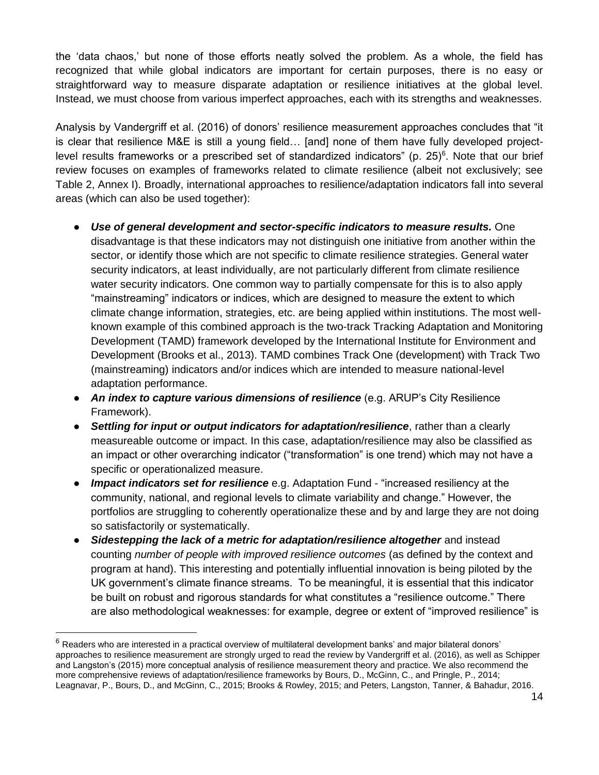the 'data chaos,' but none of those efforts neatly solved the problem. As a whole, the field has recognized that while global indicators are important for certain purposes, there is no easy or straightforward way to measure disparate adaptation or resilience initiatives at the global level. Instead, we must choose from various imperfect approaches, each with its strengths and weaknesses.

Analysis by Vandergriff et al. (2016) of donors' resilience measurement approaches concludes that "it is clear that resilience M&E is still a young field… [and] none of them have fully developed projectlevel results frameworks or a prescribed set of standardized indicators" (p. 25)<sup>6</sup>. Note that our brief review focuses on examples of frameworks related to climate resilience (albeit not exclusively; see Table 2, Annex I). Broadly, international approaches to resilience/adaptation indicators fall into several areas (which can also be used together):

- *Use of general development and sector-specific indicators to measure results.* One disadvantage is that these indicators may not distinguish one initiative from another within the sector, or identify those which are not specific to climate resilience strategies. General water security indicators, at least individually, are not particularly different from climate resilience water security indicators. One common way to partially compensate for this is to also apply "mainstreaming" indicators or indices, which are designed to measure the extent to which climate change information, strategies, etc. are being applied within institutions. The most wellknown example of this combined approach is the two-track Tracking Adaptation and Monitoring Development (TAMD) framework developed by the International Institute for Environment and Development (Brooks et al., 2013). TAMD combines Track One (development) with Track Two (mainstreaming) indicators and/or indices which are intended to measure national-level adaptation performance.
- *An index to capture various dimensions of resilience* (e.g. ARUP's City Resilience Framework).
- *Settling for input or output indicators for adaptation/resilience*, rather than a clearly measureable outcome or impact. In this case, adaptation/resilience may also be classified as an impact or other overarching indicator ("transformation" is one trend) which may not have a specific or operationalized measure.
- **Impact indicators set for resilience** e.g. Adaptation Fund "increased resiliency at the community, national, and regional levels to climate variability and change." However, the portfolios are struggling to coherently operationalize these and by and large they are not doing so satisfactorily or systematically.
- **•** Sidestepping the lack of a metric for adaptation/resilience altogether and instead counting *number of people with improved resilience outcomes* (as defined by the context and program at hand). This interesting and potentially influential innovation is being piloted by the UK government's climate finance streams. To be meaningful, it is essential that this indicator be built on robust and rigorous standards for what constitutes a "resilience outcome." There are also methodological weaknesses: for example, degree or extent of "improved resilience" is

 $6$  Readers who are interested in a practical overview of multilateral development banks' and major bilateral donors' approaches to resilience measurement are strongly urged to read the review by Vandergriff et al. (2016), as well as Schipper and Langston's (2015) more conceptual analysis of resilience measurement theory and practice. We also recommend the more comprehensive reviews of adaptation/resilience frameworks by Bours, D., McGinn, C., and Pringle, P., 2014; Leagnavar, P., Bours, D., and McGinn, C., 2015; Brooks & Rowley, 2015; and Peters, Langston, Tanner, & Bahadur, 2016.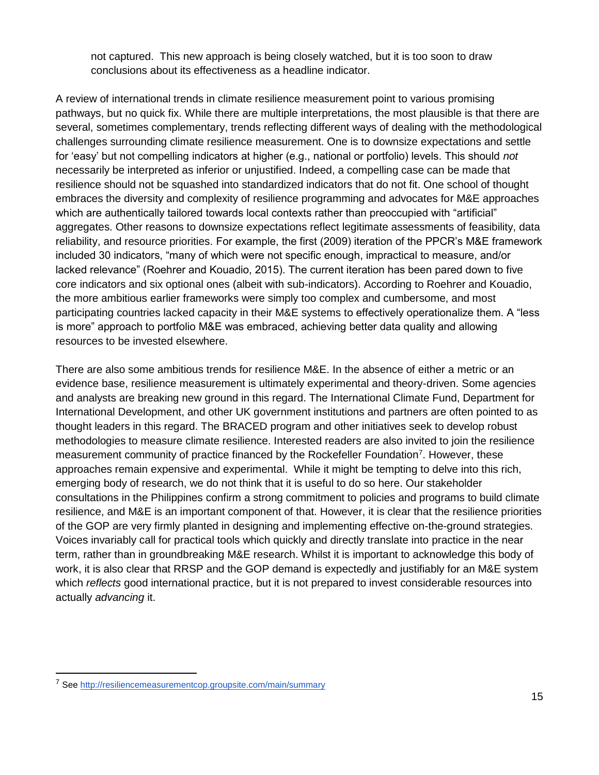not captured. This new approach is being closely watched, but it is too soon to draw conclusions about its effectiveness as a headline indicator.

A review of international trends in climate resilience measurement point to various promising pathways, but no quick fix. While there are multiple interpretations, the most plausible is that there are several, sometimes complementary, trends reflecting different ways of dealing with the methodological challenges surrounding climate resilience measurement. One is to downsize expectations and settle for 'easy' but not compelling indicators at higher (e.g., national or portfolio) levels. This should *not* necessarily be interpreted as inferior or unjustified. Indeed, a compelling case can be made that resilience should not be squashed into standardized indicators that do not fit. One school of thought embraces the diversity and complexity of resilience programming and advocates for M&E approaches which are authentically tailored towards local contexts rather than preoccupied with "artificial" aggregates. Other reasons to downsize expectations reflect legitimate assessments of feasibility, data reliability, and resource priorities. For example, the first (2009) iteration of the PPCR's M&E framework included 30 indicators, "many of which were not specific enough, impractical to measure, and/or lacked relevance" (Roehrer and Kouadio, 2015). The current iteration has been pared down to five core indicators and six optional ones (albeit with sub-indicators). According to Roehrer and Kouadio, the more ambitious earlier frameworks were simply too complex and cumbersome, and most participating countries lacked capacity in their M&E systems to effectively operationalize them. A "less is more" approach to portfolio M&E was embraced, achieving better data quality and allowing resources to be invested elsewhere.

There are also some ambitious trends for resilience M&E. In the absence of either a metric or an evidence base, resilience measurement is ultimately experimental and theory-driven. Some agencies and analysts are breaking new ground in this regard. The International Climate Fund, Department for International Development, and other UK government institutions and partners are often pointed to as thought leaders in this regard. The BRACED program and other initiatives seek to develop robust methodologies to measure climate resilience. Interested readers are also invited to join the resilience measurement community of practice financed by the Rockefeller Foundation<sup>7</sup>. However, these approaches remain expensive and experimental. While it might be tempting to delve into this rich, emerging body of research, we do not think that it is useful to do so here. Our stakeholder consultations in the Philippines confirm a strong commitment to policies and programs to build climate resilience, and M&E is an important component of that. However, it is clear that the resilience priorities of the GOP are very firmly planted in designing and implementing effective on-the-ground strategies. Voices invariably call for practical tools which quickly and directly translate into practice in the near term, rather than in groundbreaking M&E research. Whilst it is important to acknowledge this body of work, it is also clear that RRSP and the GOP demand is expectedly and justifiably for an M&E system which *reflects* good international practice, but it is not prepared to invest considerable resources into actually *advancing* it.

 $\overline{a}$ 

<sup>7</sup> See<http://resiliencemeasurementcop.groupsite.com/main/summary>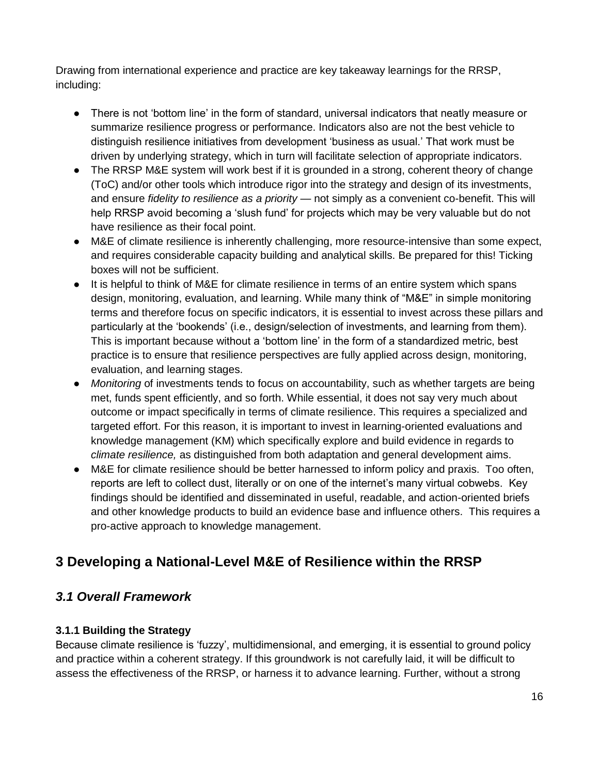Drawing from international experience and practice are key takeaway learnings for the RRSP, including:

- There is not 'bottom line' in the form of standard, universal indicators that neatly measure or summarize resilience progress or performance. Indicators also are not the best vehicle to distinguish resilience initiatives from development 'business as usual.' That work must be driven by underlying strategy, which in turn will facilitate selection of appropriate indicators.
- The RRSP M&E system will work best if it is grounded in a strong, coherent theory of change (ToC) and/or other tools which introduce rigor into the strategy and design of its investments, and ensure *fidelity to resilience as a priority* — not simply as a convenient co-benefit. This will help RRSP avoid becoming a 'slush fund' for projects which may be very valuable but do not have resilience as their focal point.
- M&E of climate resilience is inherently challenging, more resource-intensive than some expect, and requires considerable capacity building and analytical skills. Be prepared for this! Ticking boxes will not be sufficient.
- It is helpful to think of M&E for climate resilience in terms of an entire system which spans design, monitoring, evaluation, and learning. While many think of "M&E" in simple monitoring terms and therefore focus on specific indicators, it is essential to invest across these pillars and particularly at the 'bookends' (i.e., design/selection of investments, and learning from them). This is important because without a 'bottom line' in the form of a standardized metric, best practice is to ensure that resilience perspectives are fully applied across design, monitoring, evaluation, and learning stages.
- Monitoring of investments tends to focus on accountability, such as whether targets are being met, funds spent efficiently, and so forth. While essential, it does not say very much about outcome or impact specifically in terms of climate resilience. This requires a specialized and targeted effort. For this reason, it is important to invest in learning-oriented evaluations and knowledge management (KM) which specifically explore and build evidence in regards to *climate resilience,* as distinguished from both adaptation and general development aims.
- M&E for climate resilience should be better harnessed to inform policy and praxis. Too often, reports are left to collect dust, literally or on one of the internet's many virtual cobwebs. Key findings should be identified and disseminated in useful, readable, and action-oriented briefs and other knowledge products to build an evidence base and influence others. This requires a pro-active approach to knowledge management.

## <span id="page-15-0"></span>**3 Developing a National-Level M&E of Resilience within the RRSP**

### <span id="page-15-1"></span>*3.1 Overall Framework*

### <span id="page-15-2"></span>**3.1.1 Building the Strategy**

Because climate resilience is 'fuzzy', multidimensional, and emerging, it is essential to ground policy and practice within a coherent strategy. If this groundwork is not carefully laid, it will be difficult to assess the effectiveness of the RRSP, or harness it to advance learning. Further, without a strong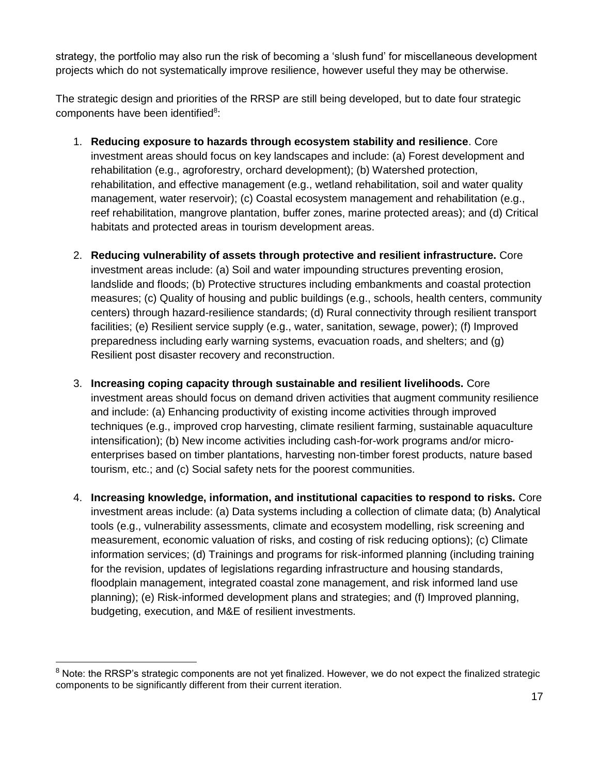strategy, the portfolio may also run the risk of becoming a 'slush fund' for miscellaneous development projects which do not systematically improve resilience, however useful they may be otherwise.

The strategic design and priorities of the RRSP are still being developed, but to date four strategic components have been identified<sup>8</sup>:

- 1. **Reducing exposure to hazards through ecosystem stability and resilience**. Core investment areas should focus on key landscapes and include: (a) Forest development and rehabilitation (e.g., agroforestry, orchard development); (b) Watershed protection, rehabilitation, and effective management (e.g., wetland rehabilitation, soil and water quality management, water reservoir); (c) Coastal ecosystem management and rehabilitation (e.g., reef rehabilitation, mangrove plantation, buffer zones, marine protected areas); and (d) Critical habitats and protected areas in tourism development areas.
- 2. **Reducing vulnerability of assets through protective and resilient infrastructure.** Core investment areas include: (a) Soil and water impounding structures preventing erosion, landslide and floods; (b) Protective structures including embankments and coastal protection measures; (c) Quality of housing and public buildings (e.g., schools, health centers, community centers) through hazard-resilience standards; (d) Rural connectivity through resilient transport facilities; (e) Resilient service supply (e.g., water, sanitation, sewage, power); (f) Improved preparedness including early warning systems, evacuation roads, and shelters; and (g) Resilient post disaster recovery and reconstruction.
- 3. **Increasing coping capacity through sustainable and resilient livelihoods.** Core investment areas should focus on demand driven activities that augment community resilience and include: (a) Enhancing productivity of existing income activities through improved techniques (e.g., improved crop harvesting, climate resilient farming, sustainable aquaculture intensification); (b) New income activities including cash-for-work programs and/or microenterprises based on timber plantations, harvesting non-timber forest products, nature based tourism, etc.; and (c) Social safety nets for the poorest communities.
- 4. **Increasing knowledge, information, and institutional capacities to respond to risks.** Core investment areas include: (a) Data systems including a collection of climate data; (b) Analytical tools (e.g., vulnerability assessments, climate and ecosystem modelling, risk screening and measurement, economic valuation of risks, and costing of risk reducing options); (c) Climate information services; (d) Trainings and programs for risk-informed planning (including training for the revision, updates of legislations regarding infrastructure and housing standards, floodplain management, integrated coastal zone management, and risk informed land use planning); (e) Risk-informed development plans and strategies; and (f) Improved planning, budgeting, execution, and M&E of resilient investments.

 $\overline{a}$ 

<sup>&</sup>lt;sup>8</sup> Note: the RRSP's strategic components are not yet finalized. However, we do not expect the finalized strategic components to be significantly different from their current iteration.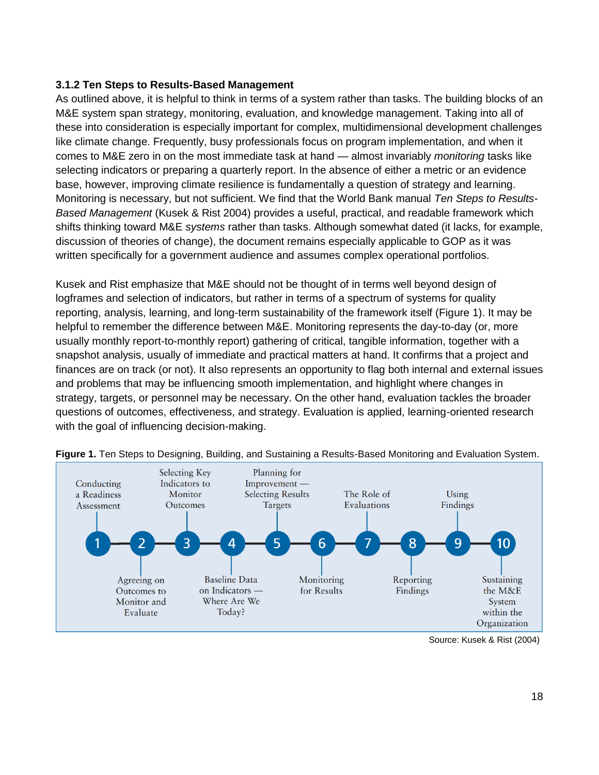#### <span id="page-17-0"></span>**3.1.2 Ten Steps to Results-Based Management**

As outlined above, it is helpful to think in terms of a system rather than tasks. The building blocks of an M&E system span strategy, monitoring, evaluation, and knowledge management. Taking into all of these into consideration is especially important for complex, multidimensional development challenges like climate change. Frequently, busy professionals focus on program implementation, and when it comes to M&E zero in on the most immediate task at hand — almost invariably *monitoring* tasks like selecting indicators or preparing a quarterly report. In the absence of either a metric or an evidence base, however, improving climate resilience is fundamentally a question of strategy and learning. Monitoring is necessary, but not sufficient. We find that the World Bank manual *Ten Steps to Results-Based Management* (Kusek & Rist 2004) provides a useful, practical, and readable framework which shifts thinking toward M&E *systems* rather than tasks. Although somewhat dated (it lacks, for example, discussion of theories of change), the document remains especially applicable to GOP as it was written specifically for a government audience and assumes complex operational portfolios.

Kusek and Rist emphasize that M&E should not be thought of in terms well beyond design of logframes and selection of indicators, but rather in terms of a spectrum of systems for quality reporting, analysis, learning, and long-term sustainability of the framework itself (Figure 1). It may be helpful to remember the difference between M&E. Monitoring represents the day-to-day (or, more usually monthly report-to-monthly report) gathering of critical, tangible information, together with a snapshot analysis, usually of immediate and practical matters at hand. It confirms that a project and finances are on track (or not). It also represents an opportunity to flag both internal and external issues and problems that may be influencing smooth implementation, and highlight where changes in strategy, targets, or personnel may be necessary. On the other hand, evaluation tackles the broader questions of outcomes, effectiveness, and strategy. Evaluation is applied, learning-oriented research with the goal of influencing decision-making.





Source: Kusek & Rist (2004)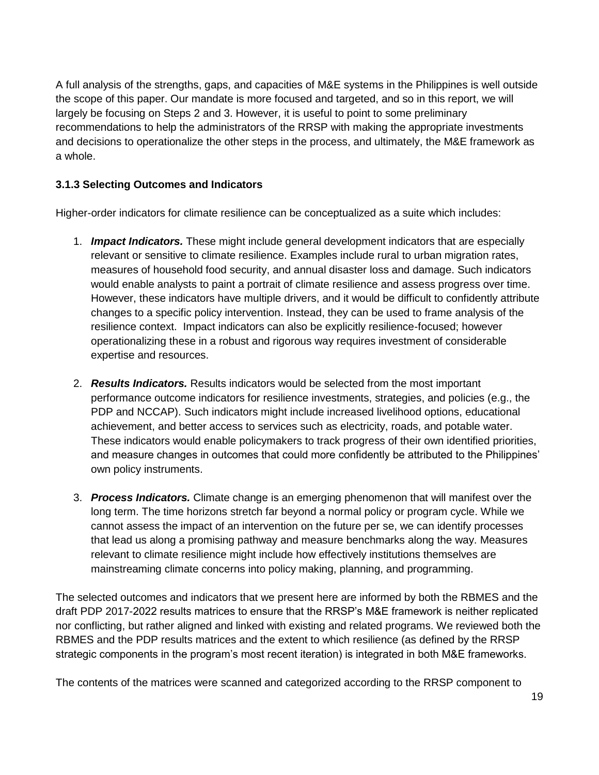A full analysis of the strengths, gaps, and capacities of M&E systems in the Philippines is well outside the scope of this paper. Our mandate is more focused and targeted, and so in this report, we will largely be focusing on Steps 2 and 3. However, it is useful to point to some preliminary recommendations to help the administrators of the RRSP with making the appropriate investments and decisions to operationalize the other steps in the process, and ultimately, the M&E framework as a whole.

#### <span id="page-18-0"></span>**3.1.3 Selecting Outcomes and Indicators**

Higher-order indicators for climate resilience can be conceptualized as a suite which includes:

- 1. *Impact Indicators.* These might include general development indicators that are especially relevant or sensitive to climate resilience. Examples include rural to urban migration rates, measures of household food security, and annual disaster loss and damage. Such indicators would enable analysts to paint a portrait of climate resilience and assess progress over time. However, these indicators have multiple drivers, and it would be difficult to confidently attribute changes to a specific policy intervention. Instead, they can be used to frame analysis of the resilience context. Impact indicators can also be explicitly resilience-focused; however operationalizing these in a robust and rigorous way requires investment of considerable expertise and resources.
- 2. *Results Indicators.* Results indicators would be selected from the most important performance outcome indicators for resilience investments, strategies, and policies (e.g., the PDP and NCCAP). Such indicators might include increased livelihood options, educational achievement, and better access to services such as electricity, roads, and potable water. These indicators would enable policymakers to track progress of their own identified priorities, and measure changes in outcomes that could more confidently be attributed to the Philippines' own policy instruments.
- 3. *Process Indicators.* Climate change is an emerging phenomenon that will manifest over the long term. The time horizons stretch far beyond a normal policy or program cycle. While we cannot assess the impact of an intervention on the future per se, we can identify processes that lead us along a promising pathway and measure benchmarks along the way. Measures relevant to climate resilience might include how effectively institutions themselves are mainstreaming climate concerns into policy making, planning, and programming.

The selected outcomes and indicators that we present here are informed by both the RBMES and the draft PDP 2017-2022 results matrices to ensure that the RRSP's M&E framework is neither replicated nor conflicting, but rather aligned and linked with existing and related programs. We reviewed both the RBMES and the PDP results matrices and the extent to which resilience (as defined by the RRSP strategic components in the program's most recent iteration) is integrated in both M&E frameworks.

The contents of the matrices were scanned and categorized according to the RRSP component to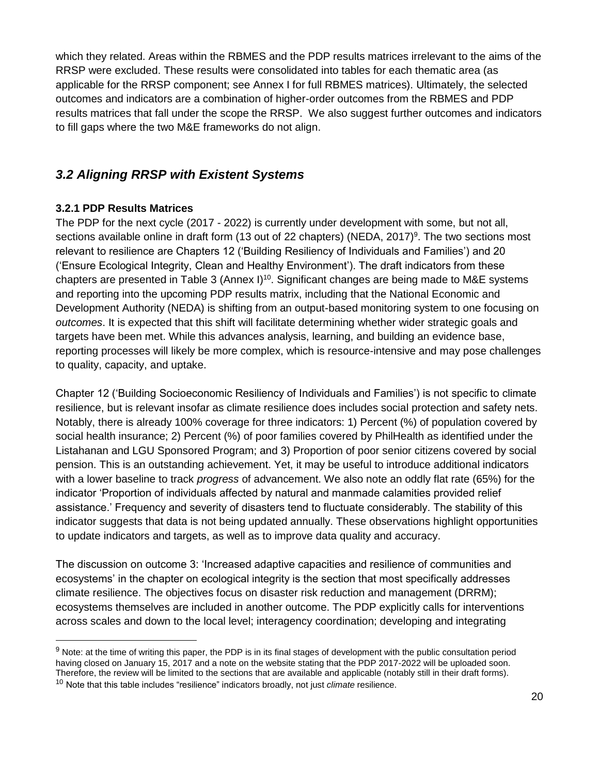which they related. Areas within the RBMES and the PDP results matrices irrelevant to the aims of the RRSP were excluded. These results were consolidated into tables for each thematic area (as applicable for the RRSP component; see Annex I for full RBMES matrices). Ultimately, the selected outcomes and indicators are a combination of higher-order outcomes from the RBMES and PDP results matrices that fall under the scope the RRSP. We also suggest further outcomes and indicators to fill gaps where the two M&E frameworks do not align.

### <span id="page-19-0"></span>*3.2 Aligning RRSP with Existent Systems*

#### <span id="page-19-1"></span>**3.2.1 PDP Results Matrices**

 $\overline{a}$ 

The PDP for the next cycle (2017 - 2022) is currently under development with some, but not all, sections available online in draft form (13 out of 22 chapters) (NEDA, 2017)<sup>9</sup>. The two sections most relevant to resilience are Chapters 12 ('Building Resiliency of Individuals and Families') and 20 ('Ensure Ecological Integrity, Clean and Healthy Environment'). The draft indicators from these chapters are presented in Table 3 (Annex I)<sup>10</sup>. Significant changes are being made to M&E systems and reporting into the upcoming PDP results matrix, including that the National Economic and Development Authority (NEDA) is shifting from an output-based monitoring system to one focusing on *outcomes*. It is expected that this shift will facilitate determining whether wider strategic goals and targets have been met. While this advances analysis, learning, and building an evidence base, reporting processes will likely be more complex, which is resource-intensive and may pose challenges to quality, capacity, and uptake.

Chapter 12 ('Building Socioeconomic Resiliency of Individuals and Families') is not specific to climate resilience, but is relevant insofar as climate resilience does includes social protection and safety nets. Notably, there is already 100% coverage for three indicators: 1) Percent (%) of population covered by social health insurance; 2) Percent (%) of poor families covered by PhilHealth as identified under the Listahanan and LGU Sponsored Program; and 3) Proportion of poor senior citizens covered by social pension. This is an outstanding achievement. Yet, it may be useful to introduce additional indicators with a lower baseline to track *progress* of advancement. We also note an oddly flat rate (65%) for the indicator 'Proportion of individuals affected by natural and manmade calamities provided relief assistance.' Frequency and severity of disasters tend to fluctuate considerably. The stability of this indicator suggests that data is not being updated annually. These observations highlight opportunities to update indicators and targets, as well as to improve data quality and accuracy.

The discussion on outcome 3: 'Increased adaptive capacities and resilience of communities and ecosystems' in the chapter on ecological integrity is the section that most specifically addresses climate resilience. The objectives focus on disaster risk reduction and management (DRRM); ecosystems themselves are included in another outcome. The PDP explicitly calls for interventions across scales and down to the local level; interagency coordination; developing and integrating

 $9$  Note: at the time of writing this paper, the PDP is in its final stages of development with the public consultation period having closed on January 15, 2017 and a note on the website stating that the PDP 2017-2022 will be uploaded soon. Therefore, the review will be limited to the sections that are available and applicable (notably still in their draft forms).

<sup>10</sup> Note that this table includes "resilience" indicators broadly, not just *climate* resilience.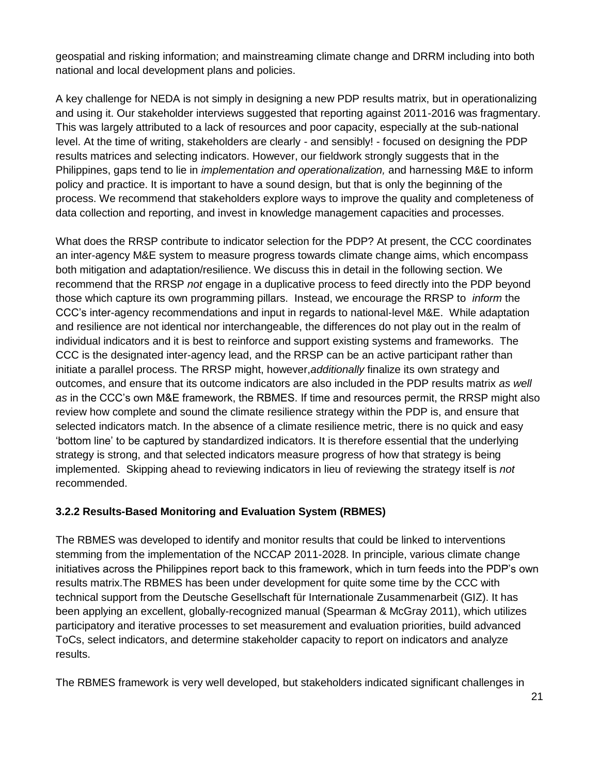geospatial and risking information; and mainstreaming climate change and DRRM including into both national and local development plans and policies.

A key challenge for NEDA is not simply in designing a new PDP results matrix, but in operationalizing and using it. Our stakeholder interviews suggested that reporting against 2011-2016 was fragmentary. This was largely attributed to a lack of resources and poor capacity, especially at the sub-national level. At the time of writing, stakeholders are clearly - and sensibly! - focused on designing the PDP results matrices and selecting indicators. However, our fieldwork strongly suggests that in the Philippines, gaps tend to lie in *implementation and operationalization,* and harnessing M&E to inform policy and practice. It is important to have a sound design, but that is only the beginning of the process. We recommend that stakeholders explore ways to improve the quality and completeness of data collection and reporting, and invest in knowledge management capacities and processes.

What does the RRSP contribute to indicator selection for the PDP? At present, the CCC coordinates an inter-agency M&E system to measure progress towards climate change aims, which encompass both mitigation and adaptation/resilience. We discuss this in detail in the following section. We recommend that the RRSP *not* engage in a duplicative process to feed directly into the PDP beyond those which capture its own programming pillars. Instead, we encourage the RRSP to *inform* the CCC's inter-agency recommendations and input in regards to national-level M&E. While adaptation and resilience are not identical nor interchangeable, the differences do not play out in the realm of individual indicators and it is best to reinforce and support existing systems and frameworks. The CCC is the designated inter-agency lead, and the RRSP can be an active participant rather than initiate a parallel process. The RRSP might, however,*additionally* finalize its own strategy and outcomes, and ensure that its outcome indicators are also included in the PDP results matrix *as well as* in the CCC's own M&E framework, the RBMES. If time and resources permit, the RRSP might also review how complete and sound the climate resilience strategy within the PDP is, and ensure that selected indicators match. In the absence of a climate resilience metric, there is no quick and easy 'bottom line' to be captured by standardized indicators. It is therefore essential that the underlying strategy is strong, and that selected indicators measure progress of how that strategy is being implemented. Skipping ahead to reviewing indicators in lieu of reviewing the strategy itself is *not* recommended.

#### <span id="page-20-0"></span>**3.2.2 Results-Based Monitoring and Evaluation System (RBMES)**

The RBMES was developed to identify and monitor results that could be linked to interventions stemming from the implementation of the NCCAP 2011-2028. In principle, various climate change initiatives across the Philippines report back to this framework, which in turn feeds into the PDP's own results matrix.The RBMES has been under development for quite some time by the CCC with technical support from the Deutsche Gesellschaft für Internationale Zusammenarbeit (GIZ). It has been applying an excellent, globally-recognized manual (Spearman & McGray 2011), which utilizes participatory and iterative processes to set measurement and evaluation priorities, build advanced ToCs, select indicators, and determine stakeholder capacity to report on indicators and analyze results.

The RBMES framework is very well developed, but stakeholders indicated significant challenges in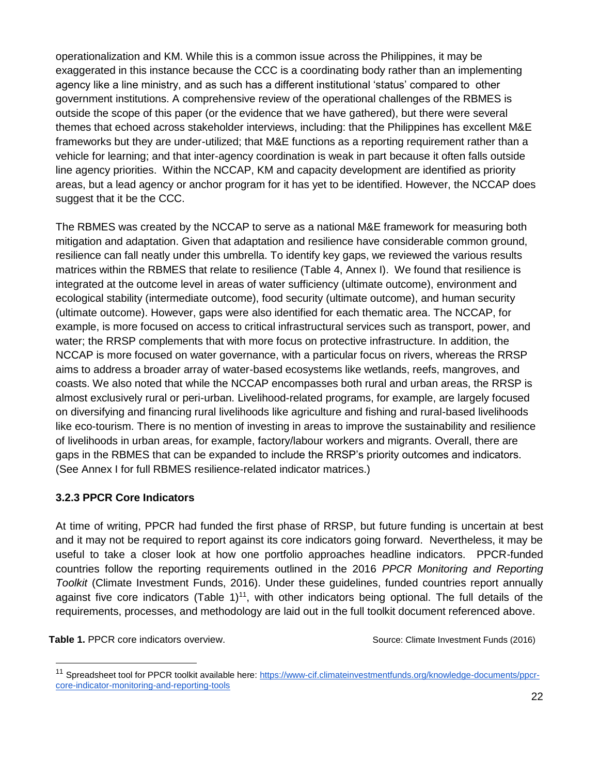operationalization and KM. While this is a common issue across the Philippines, it may be exaggerated in this instance because the CCC is a coordinating body rather than an implementing agency like a line ministry, and as such has a different institutional 'status' compared to other government institutions. A comprehensive review of the operational challenges of the RBMES is outside the scope of this paper (or the evidence that we have gathered), but there were several themes that echoed across stakeholder interviews, including: that the Philippines has excellent M&E frameworks but they are under-utilized; that M&E functions as a reporting requirement rather than a vehicle for learning; and that inter-agency coordination is weak in part because it often falls outside line agency priorities. Within the NCCAP, KM and capacity development are identified as priority areas, but a lead agency or anchor program for it has yet to be identified. However, the NCCAP does suggest that it be the CCC.

The RBMES was created by the NCCAP to serve as a national M&E framework for measuring both mitigation and adaptation. Given that adaptation and resilience have considerable common ground, resilience can fall neatly under this umbrella. To identify key gaps, we reviewed the various results matrices within the RBMES that relate to resilience (Table 4, Annex I). We found that resilience is integrated at the outcome level in areas of water sufficiency (ultimate outcome), environment and ecological stability (intermediate outcome), food security (ultimate outcome), and human security (ultimate outcome). However, gaps were also identified for each thematic area. The NCCAP, for example, is more focused on access to critical infrastructural services such as transport, power, and water; the RRSP complements that with more focus on protective infrastructure. In addition, the NCCAP is more focused on water governance, with a particular focus on rivers, whereas the RRSP aims to address a broader array of water-based ecosystems like wetlands, reefs, mangroves, and coasts. We also noted that while the NCCAP encompasses both rural and urban areas, the RRSP is almost exclusively rural or peri-urban. Livelihood-related programs, for example, are largely focused on diversifying and financing rural livelihoods like agriculture and fishing and rural-based livelihoods like eco-tourism. There is no mention of investing in areas to improve the sustainability and resilience of livelihoods in urban areas, for example, factory/labour workers and migrants. Overall, there are gaps in the RBMES that can be expanded to include the RRSP's priority outcomes and indicators. (See Annex I for full RBMES resilience-related indicator matrices.)

#### <span id="page-21-0"></span>**3.2.3 PPCR Core Indicators**

At time of writing, PPCR had funded the first phase of RRSP, but future funding is uncertain at best and it may not be required to report against its core indicators going forward. Nevertheless, it may be useful to take a closer look at how one portfolio approaches headline indicators. PPCR-funded countries follow the reporting requirements outlined in the 2016 *PPCR Monitoring and Reporting Toolkit* (Climate Investment Funds, 2016). Under these guidelines, funded countries report annually against five core indicators (Table 1)<sup>11</sup>, with other indicators being optional. The full details of the requirements, processes, and methodology are laid out in the full toolkit document referenced above.

**Table 1.** PPCR core indicators overview. Source: Climate Investment Funds (2016)

<sup>&</sup>lt;sup>11</sup> Spreadsheet tool for PPCR toolkit available here: [https://www-cif.climateinvestmentfunds.org/knowledge-documents/ppcr](https://www-cif.climateinvestmentfunds.org/knowledge-documents/ppcr-core-indicator-monitoring-and-reporting-tools)[core-indicator-monitoring-and-reporting-tools](https://www-cif.climateinvestmentfunds.org/knowledge-documents/ppcr-core-indicator-monitoring-and-reporting-tools)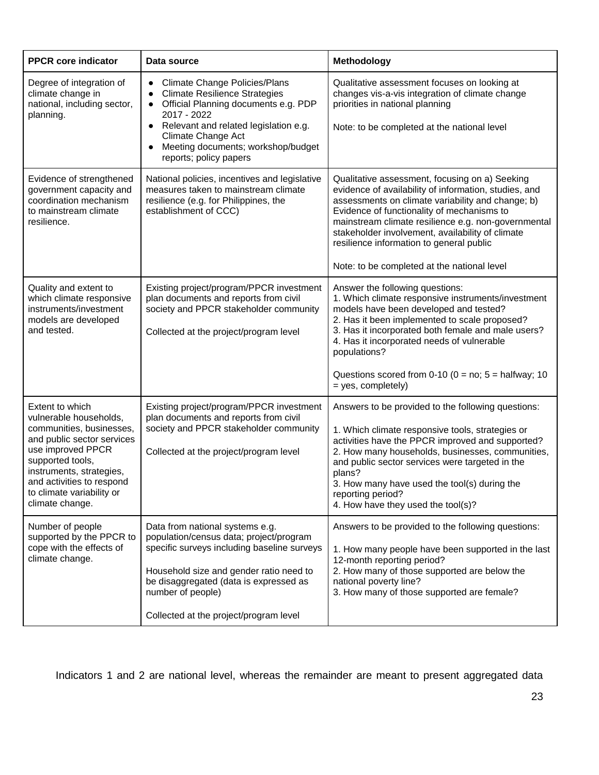| <b>PPCR core indicator</b>                                                                                                                                                                                                                            | Data source                                                                                                                                                                                                                                                                     | Methodology                                                                                                                                                                                                                                                                                                                                                                                                      |
|-------------------------------------------------------------------------------------------------------------------------------------------------------------------------------------------------------------------------------------------------------|---------------------------------------------------------------------------------------------------------------------------------------------------------------------------------------------------------------------------------------------------------------------------------|------------------------------------------------------------------------------------------------------------------------------------------------------------------------------------------------------------------------------------------------------------------------------------------------------------------------------------------------------------------------------------------------------------------|
| Degree of integration of<br>climate change in<br>national, including sector,<br>planning.                                                                                                                                                             | <b>Climate Change Policies/Plans</b><br><b>Climate Resilience Strategies</b><br>Official Planning documents e.g. PDP<br>2017 - 2022<br>Relevant and related legislation e.g.<br>$\bullet$<br>Climate Change Act<br>Meeting documents; workshop/budget<br>reports; policy papers | Qualitative assessment focuses on looking at<br>changes vis-a-vis integration of climate change<br>priorities in national planning<br>Note: to be completed at the national level                                                                                                                                                                                                                                |
| Evidence of strengthened<br>government capacity and<br>coordination mechanism<br>to mainstream climate<br>resilience.                                                                                                                                 | National policies, incentives and legislative<br>measures taken to mainstream climate<br>resilience (e.g. for Philippines, the<br>establishment of CCC)                                                                                                                         | Qualitative assessment, focusing on a) Seeking<br>evidence of availability of information, studies, and<br>assessments on climate variability and change; b)<br>Evidence of functionality of mechanisms to<br>mainstream climate resilience e.g. non-governmental<br>stakeholder involvement, availability of climate<br>resilience information to general public<br>Note: to be completed at the national level |
| Quality and extent to<br>which climate responsive<br>instruments/investment<br>models are developed<br>and tested.                                                                                                                                    | Existing project/program/PPCR investment<br>plan documents and reports from civil<br>society and PPCR stakeholder community<br>Collected at the project/program level                                                                                                           | Answer the following questions:<br>1. Which climate responsive instruments/investment<br>models have been developed and tested?<br>2. Has it been implemented to scale proposed?<br>3. Has it incorporated both female and male users?<br>4. Has it incorporated needs of vulnerable<br>populations?<br>Questions scored from $0-10$ ( $0 = no$ ; $5 = \text{halfway}$ ; 10<br>= yes, completely)                |
| Extent to which<br>vulnerable households,<br>communities, businesses,<br>and public sector services<br>use improved PPCR<br>supported tools,<br>instruments, strategies,<br>and activities to respond<br>to climate variability or<br>climate change. | Existing project/program/PPCR investment<br>plan documents and reports from civil<br>society and PPCR stakeholder community<br>Collected at the project/program level                                                                                                           | Answers to be provided to the following questions:<br>1. Which climate responsive tools, strategies or<br>activities have the PPCR improved and supported?<br>2. How many households, businesses, communities,<br>and public sector services were targeted in the<br>plans?<br>3. How many have used the tool(s) during the<br>reporting period?<br>4. How have they used the tool(s)?                           |
| Number of people<br>supported by the PPCR to<br>cope with the effects of<br>climate change.                                                                                                                                                           | Data from national systems e.g.<br>population/census data; project/program<br>specific surveys including baseline surveys<br>Household size and gender ratio need to<br>be disaggregated (data is expressed as<br>number of people)<br>Collected at the project/program level   | Answers to be provided to the following questions:<br>1. How many people have been supported in the last<br>12-month reporting period?<br>2. How many of those supported are below the<br>national poverty line?<br>3. How many of those supported are female?                                                                                                                                                   |

Indicators 1 and 2 are national level, whereas the remainder are meant to present aggregated data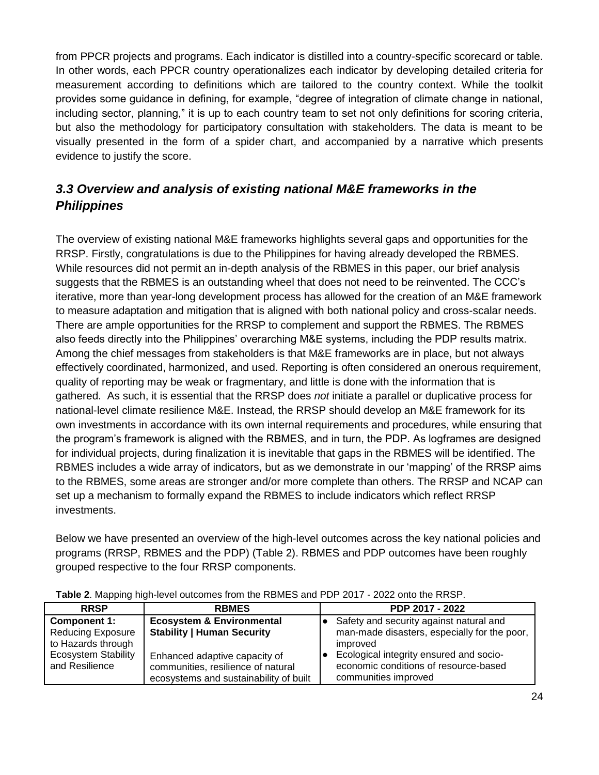from PPCR projects and programs. Each indicator is distilled into a country-specific scorecard or table. In other words, each PPCR country operationalizes each indicator by developing detailed criteria for measurement according to definitions which are tailored to the country context. While the toolkit provides some guidance in defining, for example, "degree of integration of climate change in national, including sector, planning," it is up to each country team to set not only definitions for scoring criteria, but also the methodology for participatory consultation with stakeholders. The data is meant to be visually presented in the form of a spider chart, and accompanied by a narrative which presents evidence to justify the score.

### <span id="page-23-0"></span>*3.3 Overview and analysis of existing national M&E frameworks in the Philippines*

The overview of existing national M&E frameworks highlights several gaps and opportunities for the RRSP. Firstly, congratulations is due to the Philippines for having already developed the RBMES. While resources did not permit an in-depth analysis of the RBMES in this paper, our brief analysis suggests that the RBMES is an outstanding wheel that does not need to be reinvented. The CCC's iterative, more than year-long development process has allowed for the creation of an M&E framework to measure adaptation and mitigation that is aligned with both national policy and cross-scalar needs. There are ample opportunities for the RRSP to complement and support the RBMES. The RBMES also feeds directly into the Philippines' overarching M&E systems, including the PDP results matrix. Among the chief messages from stakeholders is that M&E frameworks are in place, but not always effectively coordinated, harmonized, and used. Reporting is often considered an onerous requirement, quality of reporting may be weak or fragmentary, and little is done with the information that is gathered. As such, it is essential that the RRSP does *not* initiate a parallel or duplicative process for national-level climate resilience M&E. Instead, the RRSP should develop an M&E framework for its own investments in accordance with its own internal requirements and procedures, while ensuring that the program's framework is aligned with the RBMES, and in turn, the PDP. As logframes are designed for individual projects, during finalization it is inevitable that gaps in the RBMES will be identified. The RBMES includes a wide array of indicators, but as we demonstrate in our 'mapping' of the RRSP aims to the RBMES, some areas are stronger and/or more complete than others. The RRSP and NCAP can set up a mechanism to formally expand the RBMES to include indicators which reflect RRSP investments.

Below we have presented an overview of the high-level outcomes across the key national policies and programs (RRSP, RBMES and the PDP) (Table 2). RBMES and PDP outcomes have been roughly grouped respective to the four RRSP components.

| <b>RRSP</b>                | <b>RBMES</b>                           | PDP 2017 - 2022                              |
|----------------------------|----------------------------------------|----------------------------------------------|
| <b>Component 1:</b>        | <b>Ecosystem &amp; Environmental</b>   | Safety and security against natural and      |
| <b>Reducing Exposure</b>   | <b>Stability   Human Security</b>      | man-made disasters, especially for the poor, |
| to Hazards through         |                                        | improved                                     |
| <b>Ecosystem Stability</b> | Enhanced adaptive capacity of          | Ecological integrity ensured and socio-      |
| and Resilience             | communities, resilience of natural     | economic conditions of resource-based        |
|                            | ecosystems and sustainability of built | communities improved                         |

**Table 2**. Mapping high-level outcomes from the RBMES and PDP 2017 - 2022 onto the RRSP.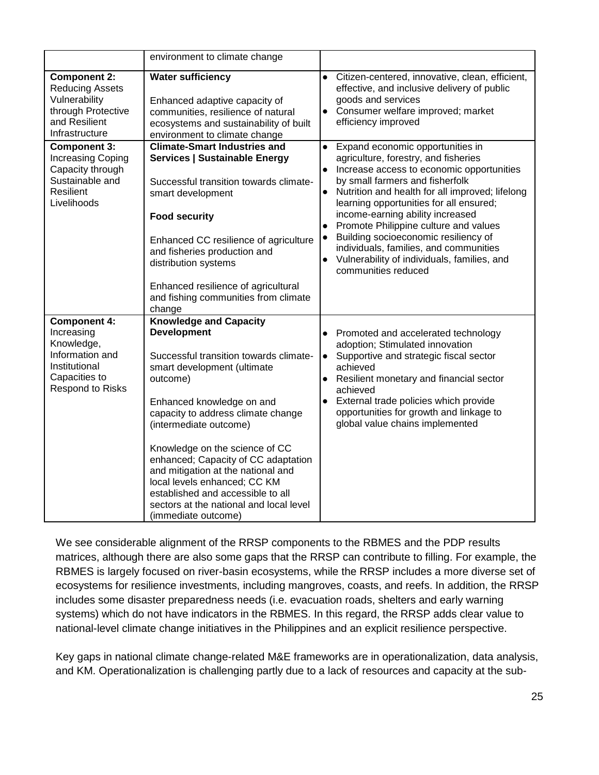|                                                                                                                         | environment to climate change                                                                                                                                                                                                                                                                                                                                                                                                                                                               |                                                                                                                                                                                                                                                                                                                                                                                                                                                                                                                                                 |
|-------------------------------------------------------------------------------------------------------------------------|---------------------------------------------------------------------------------------------------------------------------------------------------------------------------------------------------------------------------------------------------------------------------------------------------------------------------------------------------------------------------------------------------------------------------------------------------------------------------------------------|-------------------------------------------------------------------------------------------------------------------------------------------------------------------------------------------------------------------------------------------------------------------------------------------------------------------------------------------------------------------------------------------------------------------------------------------------------------------------------------------------------------------------------------------------|
| <b>Component 2:</b><br><b>Reducing Assets</b><br>Vulnerability<br>through Protective<br>and Resilient<br>Infrastructure | <b>Water sufficiency</b><br>Enhanced adaptive capacity of<br>communities, resilience of natural<br>ecosystems and sustainability of built<br>environment to climate change                                                                                                                                                                                                                                                                                                                  | Citizen-centered, innovative, clean, efficient,<br>$\bullet$<br>effective, and inclusive delivery of public<br>goods and services<br>Consumer welfare improved; market<br>$\bullet$<br>efficiency improved                                                                                                                                                                                                                                                                                                                                      |
| <b>Component 3:</b><br><b>Increasing Coping</b><br>Capacity through<br>Sustainable and<br>Resilient<br>Livelihoods      | <b>Climate-Smart Industries and</b><br><b>Services   Sustainable Energy</b><br>Successful transition towards climate-<br>smart development<br><b>Food security</b><br>Enhanced CC resilience of agriculture<br>and fisheries production and<br>distribution systems<br>Enhanced resilience of agricultural                                                                                                                                                                                  | Expand economic opportunities in<br>$\bullet$<br>agriculture, forestry, and fisheries<br>Increase access to economic opportunities<br>by small farmers and fisherfolk<br>Nutrition and health for all improved; lifelong<br>$\bullet$<br>learning opportunities for all ensured;<br>income-earning ability increased<br>Promote Philippine culture and values<br>Building socioeconomic resiliency of<br>$\bullet$<br>individuals, families, and communities<br>Vulnerability of individuals, families, and<br>$\bullet$<br>communities reduced |
|                                                                                                                         | and fishing communities from climate<br>change                                                                                                                                                                                                                                                                                                                                                                                                                                              |                                                                                                                                                                                                                                                                                                                                                                                                                                                                                                                                                 |
| Component 4:<br>Increasing<br>Knowledge,<br>Information and<br>Institutional<br>Capacities to<br>Respond to Risks       | <b>Knowledge and Capacity</b><br><b>Development</b><br>Successful transition towards climate-<br>smart development (ultimate<br>outcome)<br>Enhanced knowledge on and<br>capacity to address climate change<br>(intermediate outcome)<br>Knowledge on the science of CC<br>enhanced; Capacity of CC adaptation<br>and mitigation at the national and<br>local levels enhanced; CC KM<br>established and accessible to all<br>sectors at the national and local level<br>(immediate outcome) | Promoted and accelerated technology<br>adoption; Stimulated innovation<br>Supportive and strategic fiscal sector<br>$\bullet$<br>achieved<br>Resilient monetary and financial sector<br>achieved<br>External trade policies which provide<br>$\bullet$<br>opportunities for growth and linkage to<br>global value chains implemented                                                                                                                                                                                                            |

We see considerable alignment of the RRSP components to the RBMES and the PDP results matrices, although there are also some gaps that the RRSP can contribute to filling. For example, the RBMES is largely focused on river-basin ecosystems, while the RRSP includes a more diverse set of ecosystems for resilience investments, including mangroves, coasts, and reefs. In addition, the RRSP includes some disaster preparedness needs (i.e. evacuation roads, shelters and early warning systems) which do not have indicators in the RBMES. In this regard, the RRSP adds clear value to national-level climate change initiatives in the Philippines and an explicit resilience perspective.

Key gaps in national climate change-related M&E frameworks are in operationalization, data analysis, and KM. Operationalization is challenging partly due to a lack of resources and capacity at the sub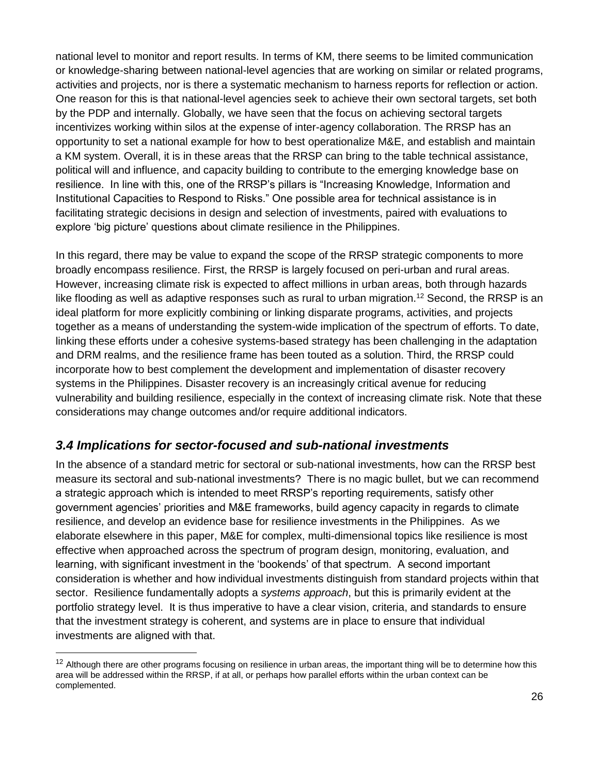national level to monitor and report results. In terms of KM, there seems to be limited communication or knowledge-sharing between national-level agencies that are working on similar or related programs, activities and projects, nor is there a systematic mechanism to harness reports for reflection or action. One reason for this is that national-level agencies seek to achieve their own sectoral targets, set both by the PDP and internally. Globally, we have seen that the focus on achieving sectoral targets incentivizes working within silos at the expense of inter-agency collaboration. The RRSP has an opportunity to set a national example for how to best operationalize M&E, and establish and maintain a KM system. Overall, it is in these areas that the RRSP can bring to the table technical assistance, political will and influence, and capacity building to contribute to the emerging knowledge base on resilience. In line with this, one of the RRSP's pillars is "Increasing Knowledge, Information and Institutional Capacities to Respond to Risks." One possible area for technical assistance is in facilitating strategic decisions in design and selection of investments, paired with evaluations to explore 'big picture' questions about climate resilience in the Philippines.

In this regard, there may be value to expand the scope of the RRSP strategic components to more broadly encompass resilience. First, the RRSP is largely focused on peri-urban and rural areas. However, increasing climate risk is expected to affect millions in urban areas, both through hazards like flooding as well as adaptive responses such as rural to urban migration.<sup>12</sup> Second, the RRSP is an ideal platform for more explicitly combining or linking disparate programs, activities, and projects together as a means of understanding the system-wide implication of the spectrum of efforts. To date, linking these efforts under a cohesive systems-based strategy has been challenging in the adaptation and DRM realms, and the resilience frame has been touted as a solution. Third, the RRSP could incorporate how to best complement the development and implementation of disaster recovery systems in the Philippines. Disaster recovery is an increasingly critical avenue for reducing vulnerability and building resilience, especially in the context of increasing climate risk. Note that these considerations may change outcomes and/or require additional indicators.

### <span id="page-25-0"></span>*3.4 Implications for sector-focused and sub-national investments*

In the absence of a standard metric for sectoral or sub-national investments, how can the RRSP best measure its sectoral and sub-national investments? There is no magic bullet, but we can recommend a strategic approach which is intended to meet RRSP's reporting requirements, satisfy other government agencies' priorities and M&E frameworks, build agency capacity in regards to climate resilience, and develop an evidence base for resilience investments in the Philippines. As we elaborate elsewhere in this paper, M&E for complex, multi-dimensional topics like resilience is most effective when approached across the spectrum of program design, monitoring, evaluation, and learning, with significant investment in the 'bookends' of that spectrum. A second important consideration is whether and how individual investments distinguish from standard projects within that sector. Resilience fundamentally adopts a *systems approach*, but this is primarily evident at the portfolio strategy level. It is thus imperative to have a clear vision, criteria, and standards to ensure that the investment strategy is coherent, and systems are in place to ensure that individual investments are aligned with that.

 $12$  Although there are other programs focusing on resilience in urban areas, the important thing will be to determine how this area will be addressed within the RRSP, if at all, or perhaps how parallel efforts within the urban context can be complemented.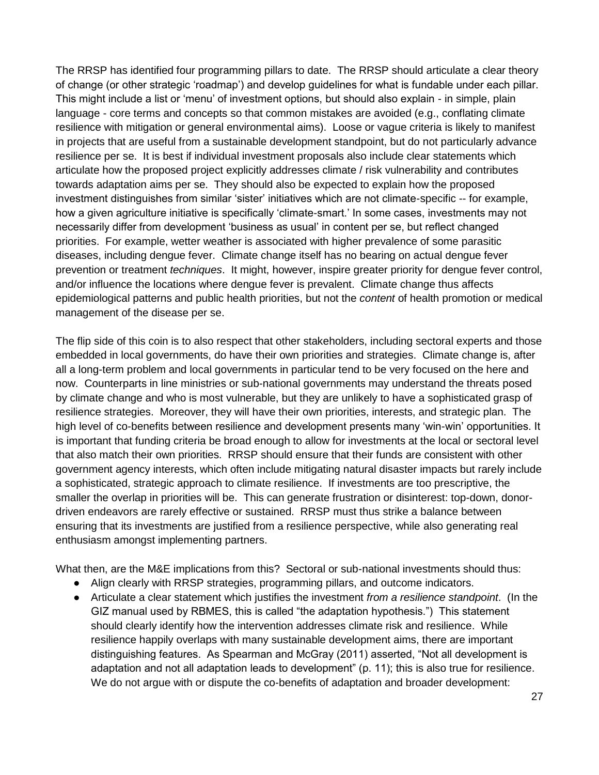The RRSP has identified four programming pillars to date. The RRSP should articulate a clear theory of change (or other strategic 'roadmap') and develop guidelines for what is fundable under each pillar. This might include a list or 'menu' of investment options, but should also explain - in simple, plain language - core terms and concepts so that common mistakes are avoided (e.g., conflating climate resilience with mitigation or general environmental aims). Loose or vague criteria is likely to manifest in projects that are useful from a sustainable development standpoint, but do not particularly advance resilience per se. It is best if individual investment proposals also include clear statements which articulate how the proposed project explicitly addresses climate / risk vulnerability and contributes towards adaptation aims per se. They should also be expected to explain how the proposed investment distinguishes from similar 'sister' initiatives which are not climate-specific -- for example, how a given agriculture initiative is specifically 'climate-smart.' In some cases, investments may not necessarily differ from development 'business as usual' in content per se, but reflect changed priorities. For example, wetter weather is associated with higher prevalence of some parasitic diseases, including dengue fever. Climate change itself has no bearing on actual dengue fever prevention or treatment *techniques*. It might, however, inspire greater priority for dengue fever control, and/or influence the locations where dengue fever is prevalent. Climate change thus affects epidemiological patterns and public health priorities, but not the *content* of health promotion or medical management of the disease per se.

The flip side of this coin is to also respect that other stakeholders, including sectoral experts and those embedded in local governments, do have their own priorities and strategies. Climate change is, after all a long-term problem and local governments in particular tend to be very focused on the here and now. Counterparts in line ministries or sub-national governments may understand the threats posed by climate change and who is most vulnerable, but they are unlikely to have a sophisticated grasp of resilience strategies. Moreover, they will have their own priorities, interests, and strategic plan. The high level of co-benefits between resilience and development presents many 'win-win' opportunities. It is important that funding criteria be broad enough to allow for investments at the local or sectoral level that also match their own priorities. RRSP should ensure that their funds are consistent with other government agency interests, which often include mitigating natural disaster impacts but rarely include a sophisticated, strategic approach to climate resilience. If investments are too prescriptive, the smaller the overlap in priorities will be. This can generate frustration or disinterest: top-down, donordriven endeavors are rarely effective or sustained. RRSP must thus strike a balance between ensuring that its investments are justified from a resilience perspective, while also generating real enthusiasm amongst implementing partners.

What then, are the M&E implications from this? Sectoral or sub-national investments should thus:

- Align clearly with RRSP strategies, programming pillars, and outcome indicators.
- Articulate a clear statement which justifies the investment *from a resilience standpoint*. (In the GIZ manual used by RBMES, this is called "the adaptation hypothesis.") This statement should clearly identify how the intervention addresses climate risk and resilience. While resilience happily overlaps with many sustainable development aims, there are important distinguishing features. As Spearman and McGray (2011) asserted, "Not all development is adaptation and not all adaptation leads to development" (p. 11); this is also true for resilience. We do not argue with or dispute the co-benefits of adaptation and broader development: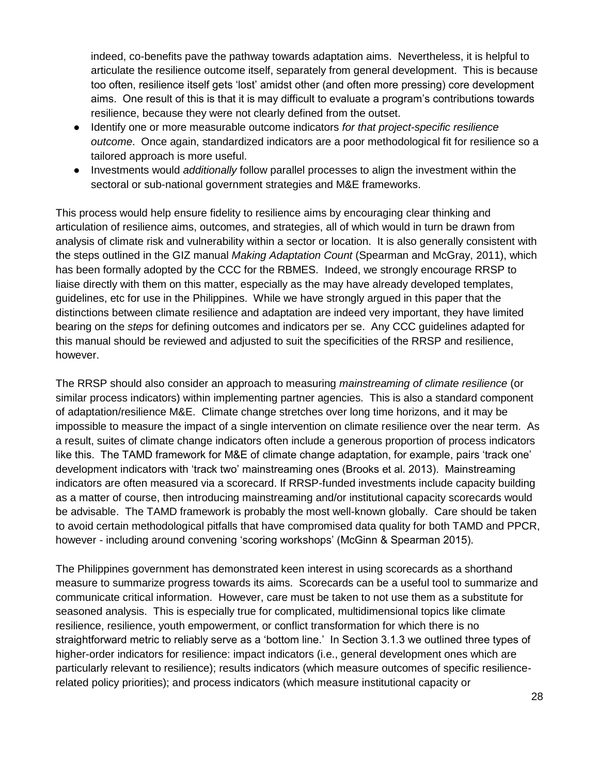indeed, co-benefits pave the pathway towards adaptation aims. Nevertheless, it is helpful to articulate the resilience outcome itself, separately from general development. This is because too often, resilience itself gets 'lost' amidst other (and often more pressing) core development aims. One result of this is that it is may difficult to evaluate a program's contributions towards resilience, because they were not clearly defined from the outset.

- Identify one or more measurable outcome indicators *for that project-specific resilience outcome*. Once again, standardized indicators are a poor methodological fit for resilience so a tailored approach is more useful.
- Investments would *additionally* follow parallel processes to align the investment within the sectoral or sub-national government strategies and M&E frameworks.

This process would help ensure fidelity to resilience aims by encouraging clear thinking and articulation of resilience aims, outcomes, and strategies, all of which would in turn be drawn from analysis of climate risk and vulnerability within a sector or location. It is also generally consistent with the steps outlined in the GIZ manual *Making Adaptation Count* (Spearman and McGray, 2011), which has been formally adopted by the CCC for the RBMES. Indeed, we strongly encourage RRSP to liaise directly with them on this matter, especially as the may have already developed templates, guidelines, etc for use in the Philippines. While we have strongly argued in this paper that the distinctions between climate resilience and adaptation are indeed very important, they have limited bearing on the *steps* for defining outcomes and indicators per se. Any CCC guidelines adapted for this manual should be reviewed and adjusted to suit the specificities of the RRSP and resilience, however.

The RRSP should also consider an approach to measuring *mainstreaming of climate resilience* (or similar process indicators) within implementing partner agencies. This is also a standard component of adaptation/resilience M&E. Climate change stretches over long time horizons, and it may be impossible to measure the impact of a single intervention on climate resilience over the near term. As a result, suites of climate change indicators often include a generous proportion of process indicators like this. The TAMD framework for M&E of climate change adaptation, for example, pairs 'track one' development indicators with 'track two' mainstreaming ones (Brooks et al. 2013). Mainstreaming indicators are often measured via a scorecard. If RRSP-funded investments include capacity building as a matter of course, then introducing mainstreaming and/or institutional capacity scorecards would be advisable. The TAMD framework is probably the most well-known globally. Care should be taken to avoid certain methodological pitfalls that have compromised data quality for both TAMD and PPCR, however - including around convening 'scoring workshops' (McGinn & Spearman 2015).

The Philippines government has demonstrated keen interest in using scorecards as a shorthand measure to summarize progress towards its aims. Scorecards can be a useful tool to summarize and communicate critical information. However, care must be taken to not use them as a substitute for seasoned analysis. This is especially true for complicated, multidimensional topics like climate resilience, resilience, youth empowerment, or conflict transformation for which there is no straightforward metric to reliably serve as a 'bottom line.' In Section 3.1.3 we outlined three types of higher-order indicators for resilience: impact indicators (i.e., general development ones which are particularly relevant to resilience); results indicators (which measure outcomes of specific resiliencerelated policy priorities); and process indicators (which measure institutional capacity or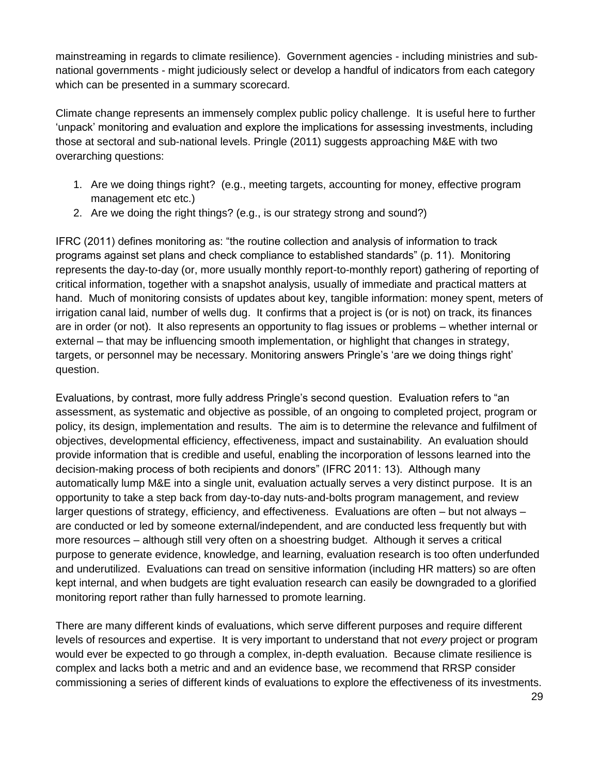mainstreaming in regards to climate resilience). Government agencies - including ministries and subnational governments - might judiciously select or develop a handful of indicators from each category which can be presented in a summary scorecard.

Climate change represents an immensely complex public policy challenge. It is useful here to further 'unpack' monitoring and evaluation and explore the implications for assessing investments, including those at sectoral and sub-national levels. Pringle (2011) suggests approaching M&E with two overarching questions:

- 1. Are we doing things right? (e.g., meeting targets, accounting for money, effective program management etc etc.)
- 2. Are we doing the right things? (e.g., is our strategy strong and sound?)

IFRC (2011) defines monitoring as: "the routine collection and analysis of information to track programs against set plans and check compliance to established standards" (p. 11). Monitoring represents the day-to-day (or, more usually monthly report-to-monthly report) gathering of reporting of critical information, together with a snapshot analysis, usually of immediate and practical matters at hand. Much of monitoring consists of updates about key, tangible information: money spent, meters of irrigation canal laid, number of wells dug. It confirms that a project is (or is not) on track, its finances are in order (or not). It also represents an opportunity to flag issues or problems – whether internal or external – that may be influencing smooth implementation, or highlight that changes in strategy, targets, or personnel may be necessary. Monitoring answers Pringle's 'are we doing things right' question.

Evaluations, by contrast, more fully address Pringle's second question. Evaluation refers to "an assessment, as systematic and objective as possible, of an ongoing to completed project, program or policy, its design, implementation and results. The aim is to determine the relevance and fulfilment of objectives, developmental efficiency, effectiveness, impact and sustainability. An evaluation should provide information that is credible and useful, enabling the incorporation of lessons learned into the decision-making process of both recipients and donors" (IFRC 2011: 13). Although many automatically lump M&E into a single unit, evaluation actually serves a very distinct purpose. It is an opportunity to take a step back from day-to-day nuts-and-bolts program management, and review larger questions of strategy, efficiency, and effectiveness. Evaluations are often – but not always – are conducted or led by someone external/independent, and are conducted less frequently but with more resources – although still very often on a shoestring budget. Although it serves a critical purpose to generate evidence, knowledge, and learning, evaluation research is too often underfunded and underutilized. Evaluations can tread on sensitive information (including HR matters) so are often kept internal, and when budgets are tight evaluation research can easily be downgraded to a glorified monitoring report rather than fully harnessed to promote learning.

There are many different kinds of evaluations, which serve different purposes and require different levels of resources and expertise. It is very important to understand that not *every* project or program would ever be expected to go through a complex, in-depth evaluation. Because climate resilience is complex and lacks both a metric and and an evidence base, we recommend that RRSP consider commissioning a series of different kinds of evaluations to explore the effectiveness of its investments.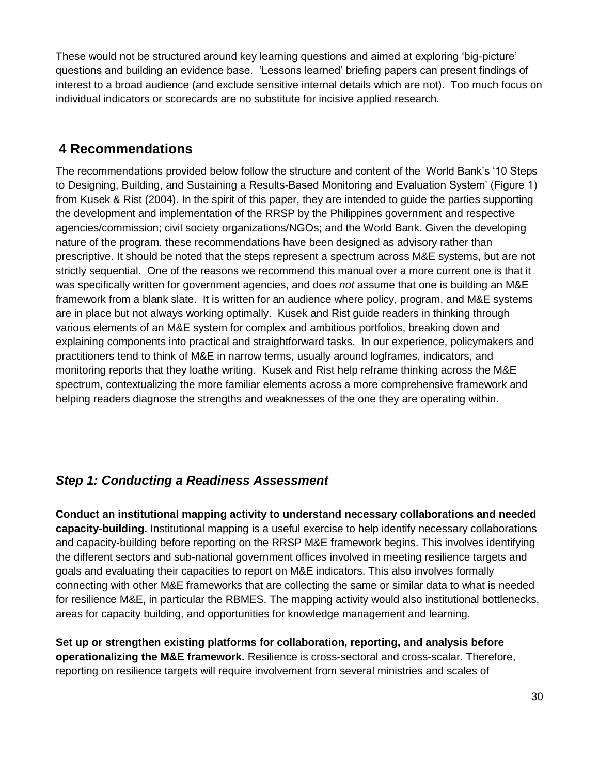These would not be structured around key learning questions and aimed at exploring 'big-picture' questions and building an evidence base. 'Lessons learned' briefing papers can present findings of interest to a broad audience (and exclude sensitive internal details which are not). Too much focus on individual indicators or scorecards are no substitute for incisive applied research.

### <span id="page-29-0"></span>**4 Recommendations**

The recommendations provided below follow the structure and content of the World Bank's '10 Steps to Designing, Building, and Sustaining a Results-Based Monitoring and Evaluation System' (Figure 1) from Kusek & Rist (2004). In the spirit of this paper, they are intended to guide the parties supporting the development and implementation of the RRSP by the Philippines government and respective agencies/commission; civil society organizations/NGOs; and the World Bank. Given the developing nature of the program, these recommendations have been designed as advisory rather than prescriptive. It should be noted that the steps represent a spectrum across M&E systems, but are not strictly sequential. One of the reasons we recommend this manual over a more current one is that it was specifically written for government agencies, and does *not* assume that one is building an M&E framework from a blank slate. It is written for an audience where policy, program, and M&E systems are in place but not always working optimally. Kusek and Rist guide readers in thinking through various elements of an M&E system for complex and ambitious portfolios, breaking down and explaining components into practical and straightforward tasks. In our experience, policymakers and practitioners tend to think of M&E in narrow terms, usually around logframes, indicators, and monitoring reports that they loathe writing. Kusek and Rist help reframe thinking across the M&E spectrum, contextualizing the more familiar elements across a more comprehensive framework and helping readers diagnose the strengths and weaknesses of the one they are operating within.

### <span id="page-29-1"></span>*Step 1: Conducting a Readiness Assessment*

**Conduct an institutional mapping activity to understand necessary collaborations and needed capacity-building.** Institutional mapping is a useful exercise to help identify necessary collaborations and capacity-building before reporting on the RRSP M&E framework begins. This involves identifying the different sectors and sub-national government offices involved in meeting resilience targets and goals and evaluating their capacities to report on M&E indicators. This also involves formally connecting with other M&E frameworks that are collecting the same or similar data to what is needed for resilience M&E, in particular the RBMES. The mapping activity would also institutional bottlenecks, areas for capacity building, and opportunities for knowledge management and learning.

**Set up or strengthen existing platforms for collaboration, reporting, and analysis before operationalizing the M&E framework.** Resilience is cross-sectoral and cross-scalar. Therefore, reporting on resilience targets will require involvement from several ministries and scales of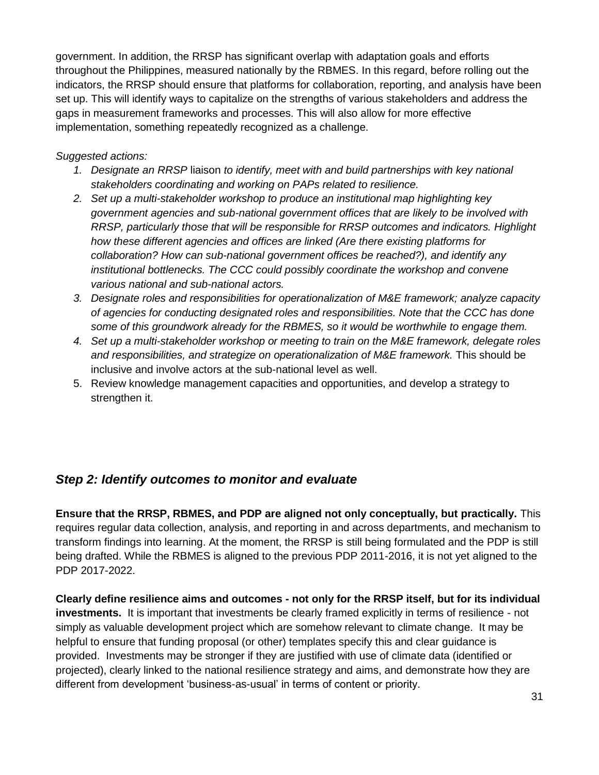government. In addition, the RRSP has significant overlap with adaptation goals and efforts throughout the Philippines, measured nationally by the RBMES. In this regard, before rolling out the indicators, the RRSP should ensure that platforms for collaboration, reporting, and analysis have been set up. This will identify ways to capitalize on the strengths of various stakeholders and address the gaps in measurement frameworks and processes. This will also allow for more effective implementation, something repeatedly recognized as a challenge.

#### *Suggested actions:*

- 1. Designate an RRSP liaison *to identify, meet with and build partnerships with key national stakeholders coordinating and working on PAPs related to resilience.*
- *2. Set up a multi-stakeholder workshop to produce an institutional map highlighting key government agencies and sub-national government offices that are likely to be involved with RRSP, particularly those that will be responsible for RRSP outcomes and indicators. Highlight how these different agencies and offices are linked (Are there existing platforms for collaboration? How can sub-national government offices be reached?), and identify any institutional bottlenecks. The CCC could possibly coordinate the workshop and convene various national and sub-national actors.*
- *3. Designate roles and responsibilities for operationalization of M&E framework; analyze capacity of agencies for conducting designated roles and responsibilities. Note that the CCC has done some of this groundwork already for the RBMES, so it would be worthwhile to engage them.*
- *4. Set up a multi-stakeholder workshop or meeting to train on the M&E framework, delegate roles and responsibilities, and strategize on operationalization of M&E framework.* This should be inclusive and involve actors at the sub-national level as well.
- 5. Review knowledge management capacities and opportunities, and develop a strategy to strengthen it.

### <span id="page-30-0"></span>*Step 2: Identify outcomes to monitor and evaluate*

**Ensure that the RRSP, RBMES, and PDP are aligned not only conceptually, but practically.** This requires regular data collection, analysis, and reporting in and across departments, and mechanism to transform findings into learning. At the moment, the RRSP is still being formulated and the PDP is still being drafted. While the RBMES is aligned to the previous PDP 2011-2016, it is not yet aligned to the PDP 2017-2022.

**Clearly define resilience aims and outcomes - not only for the RRSP itself, but for its individual investments.** It is important that investments be clearly framed explicitly in terms of resilience - not simply as valuable development project which are somehow relevant to climate change. It may be helpful to ensure that funding proposal (or other) templates specify this and clear guidance is provided. Investments may be stronger if they are justified with use of climate data (identified or projected), clearly linked to the national resilience strategy and aims, and demonstrate how they are different from development 'business-as-usual' in terms of content or priority.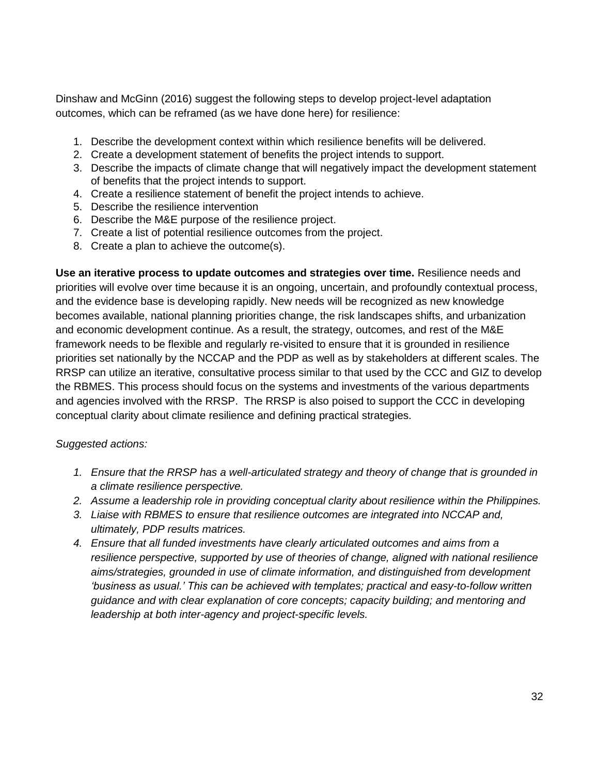Dinshaw and McGinn (2016) suggest the following steps to develop project-level adaptation outcomes, which can be reframed (as we have done here) for resilience:

- 1. Describe the development context within which resilience benefits will be delivered.
- 2. Create a development statement of benefits the project intends to support.
- 3. Describe the impacts of climate change that will negatively impact the development statement of benefits that the project intends to support.
- 4. Create a resilience statement of benefit the project intends to achieve.
- 5. Describe the resilience intervention
- 6. Describe the M&E purpose of the resilience project.
- 7. Create a list of potential resilience outcomes from the project.
- 8. Create a plan to achieve the outcome(s).

**Use an iterative process to update outcomes and strategies over time.** Resilience needs and priorities will evolve over time because it is an ongoing, uncertain, and profoundly contextual process, and the evidence base is developing rapidly. New needs will be recognized as new knowledge becomes available, national planning priorities change, the risk landscapes shifts, and urbanization and economic development continue. As a result, the strategy, outcomes, and rest of the M&E framework needs to be flexible and regularly re-visited to ensure that it is grounded in resilience priorities set nationally by the NCCAP and the PDP as well as by stakeholders at different scales. The RRSP can utilize an iterative, consultative process similar to that used by the CCC and GIZ to develop the RBMES. This process should focus on the systems and investments of the various departments and agencies involved with the RRSP. The RRSP is also poised to support the CCC in developing conceptual clarity about climate resilience and defining practical strategies.

#### *Suggested actions:*

- *1. Ensure that the RRSP has a well-articulated strategy and theory of change that is grounded in a climate resilience perspective.*
- *2. Assume a leadership role in providing conceptual clarity about resilience within the Philippines.*
- *3. Liaise with RBMES to ensure that resilience outcomes are integrated into NCCAP and, ultimately, PDP results matrices.*
- *4. Ensure that all funded investments have clearly articulated outcomes and aims from a resilience perspective, supported by use of theories of change, aligned with national resilience aims/strategies, grounded in use of climate information, and distinguished from development 'business as usual.' This can be achieved with templates; practical and easy-to-follow written guidance and with clear explanation of core concepts; capacity building; and mentoring and leadership at both inter-agency and project-specific levels.*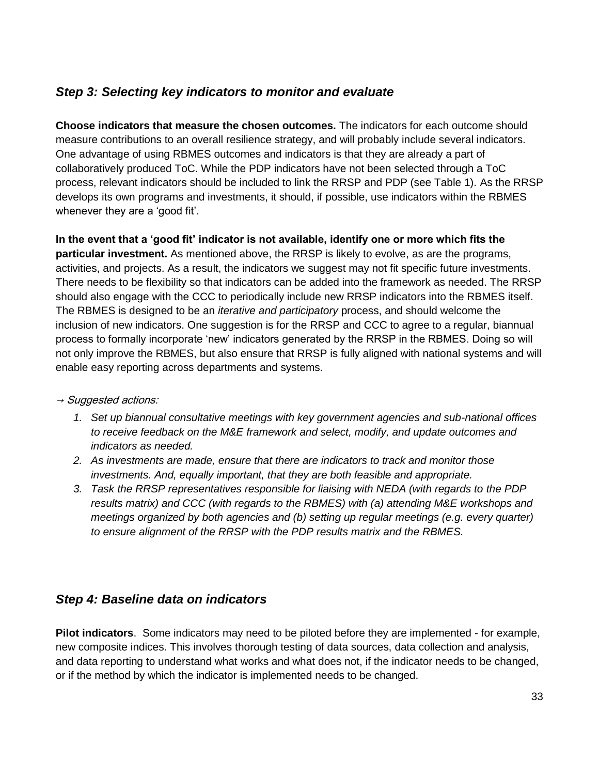### <span id="page-32-0"></span>*Step 3: Selecting key indicators to monitor and evaluate*

**Choose indicators that measure the chosen outcomes.** The indicators for each outcome should measure contributions to an overall resilience strategy, and will probably include several indicators. One advantage of using RBMES outcomes and indicators is that they are already a part of collaboratively produced ToC. While the PDP indicators have not been selected through a ToC process, relevant indicators should be included to link the RRSP and PDP (see Table 1). As the RRSP develops its own programs and investments, it should, if possible, use indicators within the RBMES whenever they are a 'good fit'.

**In the event that a 'good fit' indicator is not available, identify one or more which fits the particular investment.** As mentioned above, the RRSP is likely to evolve, as are the programs, activities, and projects. As a result, the indicators we suggest may not fit specific future investments. There needs to be flexibility so that indicators can be added into the framework as needed. The RRSP should also engage with the CCC to periodically include new RRSP indicators into the RBMES itself. The RBMES is designed to be an *iterative and participatory* process, and should welcome the inclusion of new indicators. One suggestion is for the RRSP and CCC to agree to a regular, biannual process to formally incorporate 'new' indicators generated by the RRSP in the RBMES. Doing so will not only improve the RBMES, but also ensure that RRSP is fully aligned with national systems and will enable easy reporting across departments and systems.

#### → Suggested actions:

- *1. Set up biannual consultative meetings with key government agencies and sub-national offices to receive feedback on the M&E framework and select, modify, and update outcomes and indicators as needed.*
- *2. As investments are made, ensure that there are indicators to track and monitor those investments. And, equally important, that they are both feasible and appropriate.*
- *3. Task the RRSP representatives responsible for liaising with NEDA (with regards to the PDP results matrix) and CCC (with regards to the RBMES) with (a) attending M&E workshops and meetings organized by both agencies and (b) setting up regular meetings (e.g. every quarter) to ensure alignment of the RRSP with the PDP results matrix and the RBMES.*

### <span id="page-32-1"></span>*Step 4: Baseline data on indicators*

**Pilot indicators**. Some indicators may need to be piloted before they are implemented - for example, new composite indices. This involves thorough testing of data sources, data collection and analysis, and data reporting to understand what works and what does not, if the indicator needs to be changed, or if the method by which the indicator is implemented needs to be changed.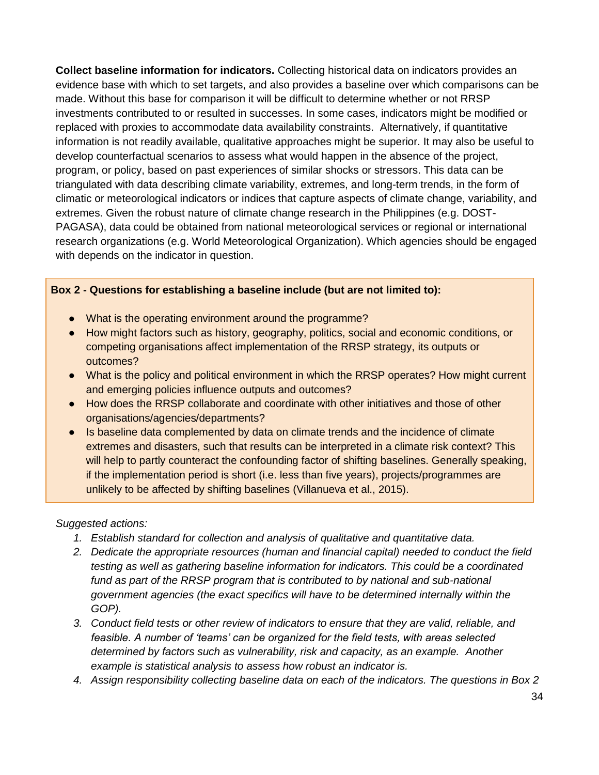**Collect baseline information for indicators.** Collecting historical data on indicators provides an evidence base with which to set targets, and also provides a baseline over which comparisons can be made. Without this base for comparison it will be difficult to determine whether or not RRSP investments contributed to or resulted in successes. In some cases, indicators might be modified or replaced with proxies to accommodate data availability constraints. Alternatively, if quantitative information is not readily available, qualitative approaches might be superior. It may also be useful to develop counterfactual scenarios to assess what would happen in the absence of the project, program, or policy, based on past experiences of similar shocks or stressors. This data can be triangulated with data describing climate variability, extremes, and long-term trends, in the form of climatic or meteorological indicators or indices that capture aspects of climate change, variability, and extremes. Given the robust nature of climate change research in the Philippines (e.g. DOST-PAGASA), data could be obtained from national meteorological services or regional or international research organizations (e.g. World Meteorological Organization). Which agencies should be engaged with depends on the indicator in question.

#### **Box 2 - Questions for establishing a baseline include (but are not limited to):**

- What is the operating environment around the programme?
- How might factors such as history, geography, politics, social and economic conditions, or competing organisations affect implementation of the RRSP strategy, its outputs or outcomes?
- What is the policy and political environment in which the RRSP operates? How might current and emerging policies influence outputs and outcomes?
- How does the RRSP collaborate and coordinate with other initiatives and those of other organisations/agencies/departments?
- Is baseline data complemented by data on climate trends and the incidence of climate extremes and disasters, such that results can be interpreted in a climate risk context? This will help to partly counteract the confounding factor of shifting baselines. Generally speaking, if the implementation period is short (i.e. less than five years), projects/programmes are unlikely to be affected by shifting baselines (Villanueva et al., 2015).

#### *Suggested actions:*

- *1. Establish standard for collection and analysis of qualitative and quantitative data.*
- *2. Dedicate the appropriate resources (human and financial capital) needed to conduct the field testing as well as gathering baseline information for indicators. This could be a coordinated*  fund as part of the RRSP program that is contributed to by national and sub-national *government agencies (the exact specifics will have to be determined internally within the GOP).*
- *3. Conduct field tests or other review of indicators to ensure that they are valid, reliable, and feasible. A number of 'teams' can be organized for the field tests, with areas selected determined by factors such as vulnerability, risk and capacity, as an example. Another example is statistical analysis to assess how robust an indicator is.*
- *4. Assign responsibility collecting baseline data on each of the indicators. The questions in Box 2*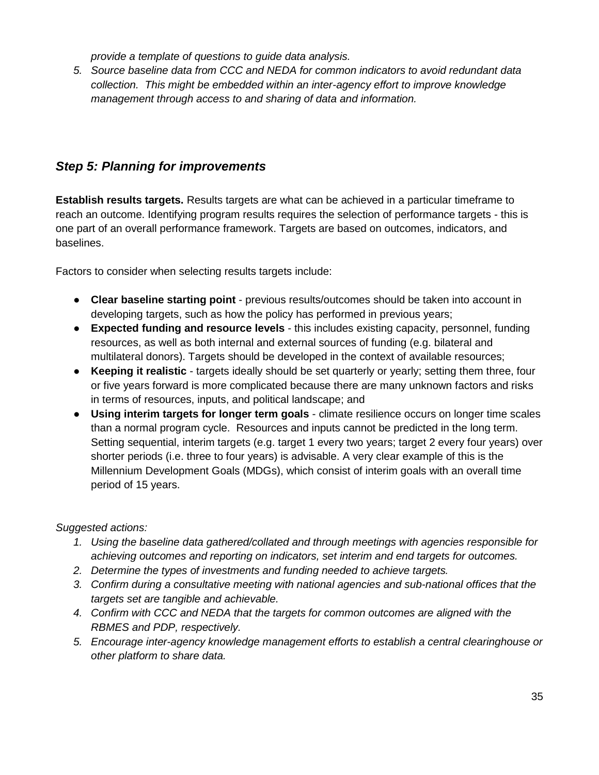*provide a template of questions to guide data analysis.*

*5. Source baseline data from CCC and NEDA for common indicators to avoid redundant data collection. This might be embedded within an inter-agency effort to improve knowledge management through access to and sharing of data and information.*

### <span id="page-34-0"></span>*Step 5: Planning for improvements*

**Establish results targets.** Results targets are what can be achieved in a particular timeframe to reach an outcome. Identifying program results requires the selection of performance targets - this is one part of an overall performance framework. Targets are based on outcomes, indicators, and baselines.

Factors to consider when selecting results targets include:

- **Clear baseline starting point** previous results/outcomes should be taken into account in developing targets, such as how the policy has performed in previous years;
- **Expected funding and resource levels** this includes existing capacity, personnel, funding resources, as well as both internal and external sources of funding (e.g. bilateral and multilateral donors). Targets should be developed in the context of available resources;
- **Keeping it realistic** targets ideally should be set quarterly or yearly; setting them three, four or five years forward is more complicated because there are many unknown factors and risks in terms of resources, inputs, and political landscape; and
- **Using interim targets for longer term goals** climate resilience occurs on longer time scales than a normal program cycle. Resources and inputs cannot be predicted in the long term. Setting sequential, interim targets (e.g. target 1 every two years; target 2 every four years) over shorter periods (i.e. three to four years) is advisable. A very clear example of this is the Millennium Development Goals (MDGs), which consist of interim goals with an overall time period of 15 years.

*Suggested actions:*

- *1. Using the baseline data gathered/collated and through meetings with agencies responsible for achieving outcomes and reporting on indicators, set interim and end targets for outcomes.*
- *2. Determine the types of investments and funding needed to achieve targets.*
- *3. Confirm during a consultative meeting with national agencies and sub-national offices that the targets set are tangible and achievable.*
- *4. Confirm with CCC and NEDA that the targets for common outcomes are aligned with the RBMES and PDP, respectively.*
- *5. Encourage inter-agency knowledge management efforts to establish a central clearinghouse or other platform to share data.*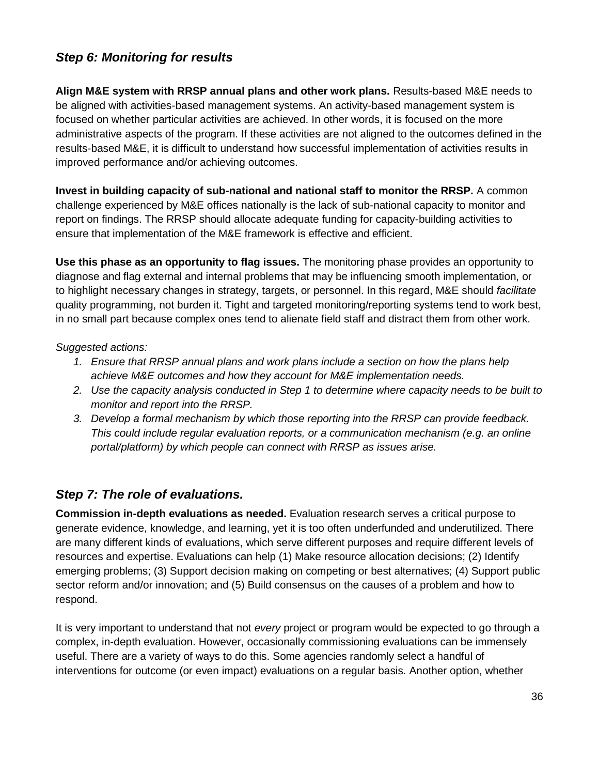### <span id="page-35-0"></span>*Step 6: Monitoring for results*

**Align M&E system with RRSP annual plans and other work plans.** Results-based M&E needs to be aligned with activities-based management systems. An activity-based management system is focused on whether particular activities are achieved. In other words, it is focused on the more administrative aspects of the program. If these activities are not aligned to the outcomes defined in the results-based M&E, it is difficult to understand how successful implementation of activities results in improved performance and/or achieving outcomes.

**Invest in building capacity of sub-national and national staff to monitor the RRSP.** A common challenge experienced by M&E offices nationally is the lack of sub-national capacity to monitor and report on findings. The RRSP should allocate adequate funding for capacity-building activities to ensure that implementation of the M&E framework is effective and efficient.

**Use this phase as an opportunity to flag issues.** The monitoring phase provides an opportunity to diagnose and flag external and internal problems that may be influencing smooth implementation, or to highlight necessary changes in strategy, targets, or personnel. In this regard, M&E should *facilitate* quality programming, not burden it. Tight and targeted monitoring/reporting systems tend to work best, in no small part because complex ones tend to alienate field staff and distract them from other work.

#### *Suggested actions:*

- *1. Ensure that RRSP annual plans and work plans include a section on how the plans help achieve M&E outcomes and how they account for M&E implementation needs.*
- *2. Use the capacity analysis conducted in Step 1 to determine where capacity needs to be built to monitor and report into the RRSP.*
- *3. Develop a formal mechanism by which those reporting into the RRSP can provide feedback. This could include regular evaluation reports, or a communication mechanism (e.g. an online portal/platform) by which people can connect with RRSP as issues arise.*

#### <span id="page-35-1"></span>*Step 7: The role of evaluations.*

**Commission in-depth evaluations as needed.** Evaluation research serves a critical purpose to generate evidence, knowledge, and learning, yet it is too often underfunded and underutilized. There are many different kinds of evaluations, which serve different purposes and require different levels of resources and expertise. Evaluations can help (1) Make resource allocation decisions; (2) Identify emerging problems; (3) Support decision making on competing or best alternatives; (4) Support public sector reform and/or innovation; and (5) Build consensus on the causes of a problem and how to respond.

It is very important to understand that not *every* project or program would be expected to go through a complex, in-depth evaluation. However, occasionally commissioning evaluations can be immensely useful. There are a variety of ways to do this. Some agencies randomly select a handful of interventions for outcome (or even impact) evaluations on a regular basis. Another option, whether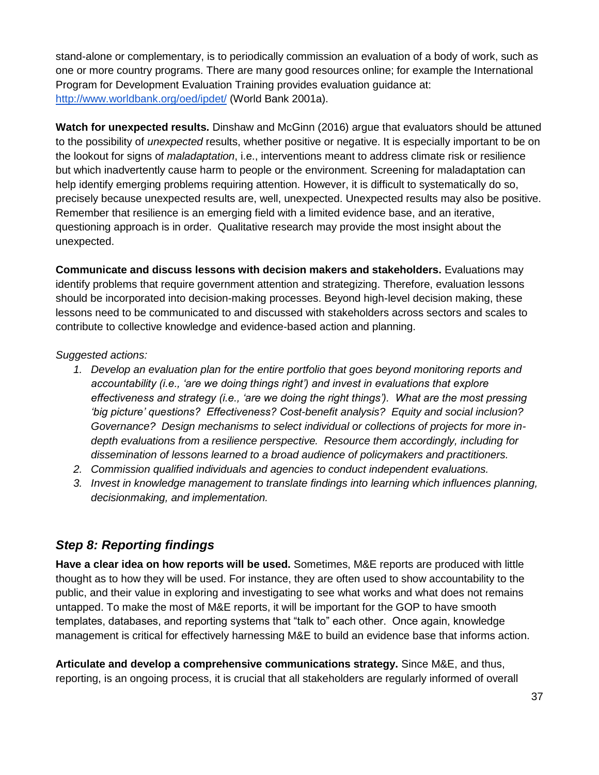stand-alone or complementary, is to periodically commission an evaluation of a body of work, such as one or more country programs. There are many good resources online; for example the International Program for Development Evaluation Training provides evaluation guidance at: <http://www.worldbank.org/oed/ipdet/> (World Bank 2001a).

**Watch for unexpected results.** Dinshaw and McGinn (2016) argue that evaluators should be attuned to the possibility of *unexpected* results, whether positive or negative. It is especially important to be on the lookout for signs of *maladaptation*, i.e., interventions meant to address climate risk or resilience but which inadvertently cause harm to people or the environment. Screening for maladaptation can help identify emerging problems requiring attention. However, it is difficult to systematically do so, precisely because unexpected results are, well, unexpected. Unexpected results may also be positive. Remember that resilience is an emerging field with a limited evidence base, and an iterative, questioning approach is in order. Qualitative research may provide the most insight about the unexpected.

**Communicate and discuss lessons with decision makers and stakeholders.** Evaluations may identify problems that require government attention and strategizing. Therefore, evaluation lessons should be incorporated into decision-making processes. Beyond high-level decision making, these lessons need to be communicated to and discussed with stakeholders across sectors and scales to contribute to collective knowledge and evidence-based action and planning.

#### *Suggested actions:*

- *1. Develop an evaluation plan for the entire portfolio that goes beyond monitoring reports and accountability (i.e., 'are we doing things right') and invest in evaluations that explore effectiveness and strategy (i.e., 'are we doing the right things'). What are the most pressing 'big picture' questions? Effectiveness? Cost-benefit analysis? Equity and social inclusion? Governance? Design mechanisms to select individual or collections of projects for more indepth evaluations from a resilience perspective. Resource them accordingly, including for dissemination of lessons learned to a broad audience of policymakers and practitioners.*
- *2. Commission qualified individuals and agencies to conduct independent evaluations.*
- *3. Invest in knowledge management to translate findings into learning which influences planning, decisionmaking, and implementation.*

### <span id="page-36-0"></span>*Step 8: Reporting findings*

**Have a clear idea on how reports will be used.** Sometimes, M&E reports are produced with little thought as to how they will be used. For instance, they are often used to show accountability to the public, and their value in exploring and investigating to see what works and what does not remains untapped. To make the most of M&E reports, it will be important for the GOP to have smooth templates, databases, and reporting systems that "talk to" each other. Once again, knowledge management is critical for effectively harnessing M&E to build an evidence base that informs action.

**Articulate and develop a comprehensive communications strategy.** Since M&E, and thus, reporting, is an ongoing process, it is crucial that all stakeholders are regularly informed of overall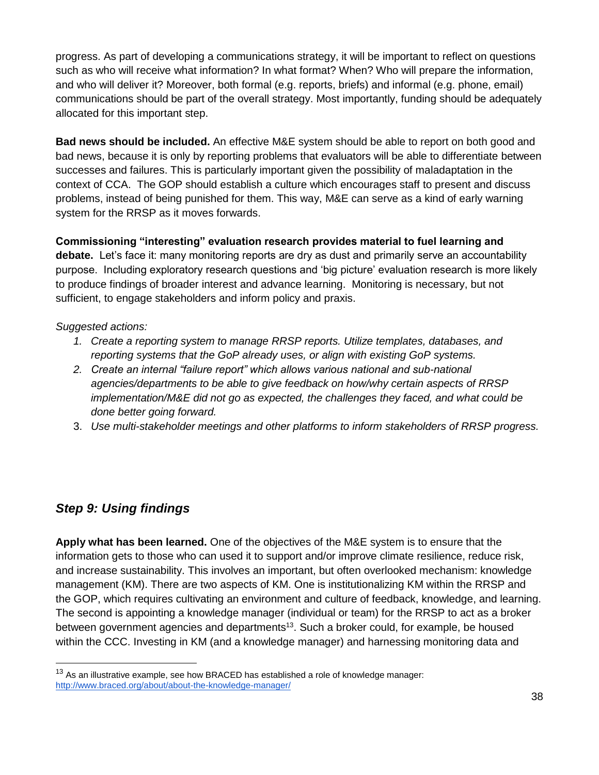progress. As part of developing a communications strategy, it will be important to reflect on questions such as who will receive what information? In what format? When? Who will prepare the information, and who will deliver it? Moreover, both formal (e.g. reports, briefs) and informal (e.g. phone, email) communications should be part of the overall strategy. Most importantly, funding should be adequately allocated for this important step.

**Bad news should be included.** An effective M&E system should be able to report on both good and bad news, because it is only by reporting problems that evaluators will be able to differentiate between successes and failures. This is particularly important given the possibility of maladaptation in the context of CCA. The GOP should establish a culture which encourages staff to present and discuss problems, instead of being punished for them. This way, M&E can serve as a kind of early warning system for the RRSP as it moves forwards.

**Commissioning "interesting" evaluation research provides material to fuel learning and debate.** Let's face it: many monitoring reports are dry as dust and primarily serve an accountability purpose. Including exploratory research questions and 'big picture' evaluation research is more likely to produce findings of broader interest and advance learning. Monitoring is necessary, but not sufficient, to engage stakeholders and inform policy and praxis.

#### *Suggested actions:*

- *1. Create a reporting system to manage RRSP reports. Utilize templates, databases, and reporting systems that the GoP already uses, or align with existing GoP systems.*
- *2. Create an internal "failure report" which allows various national and sub-national agencies/departments to be able to give feedback on how/why certain aspects of RRSP implementation/M&E did not go as expected, the challenges they faced, and what could be done better going forward.*
- 3. *Use multi-stakeholder meetings and other platforms to inform stakeholders of RRSP progress.*

### <span id="page-37-0"></span>*Step 9: Using findings*

**Apply what has been learned.** One of the objectives of the M&E system is to ensure that the information gets to those who can used it to support and/or improve climate resilience, reduce risk, and increase sustainability. This involves an important, but often overlooked mechanism: knowledge management (KM). There are two aspects of KM. One is institutionalizing KM within the RRSP and the GOP, which requires cultivating an environment and culture of feedback, knowledge, and learning. The second is appointing a knowledge manager (individual or team) for the RRSP to act as a broker between government agencies and departments<sup>13</sup>. Such a broker could, for example, be housed within the CCC. Investing in KM (and a knowledge manager) and harnessing monitoring data and

 $13$  As an illustrative example, see how BRACED has established a role of knowledge manager: <http://www.braced.org/about/about-the-knowledge-manager/>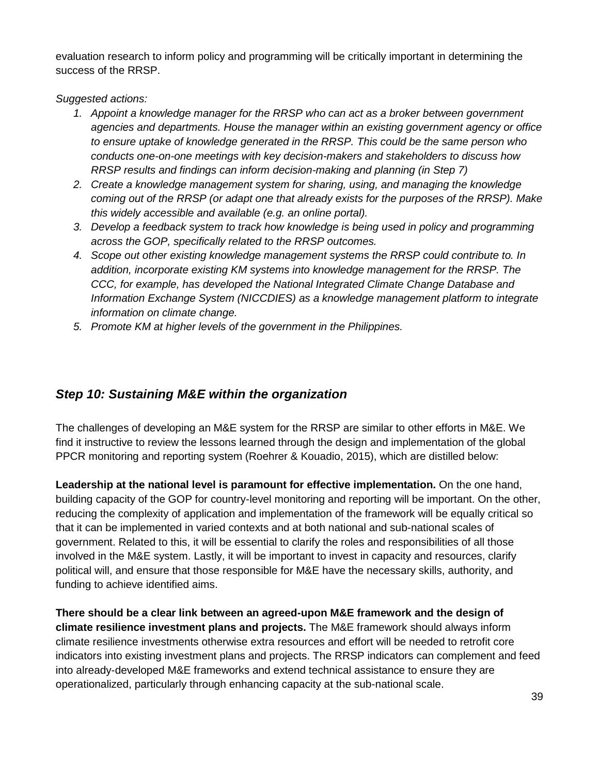evaluation research to inform policy and programming will be critically important in determining the success of the RRSP.

*Suggested actions:*

- *1. Appoint a knowledge manager for the RRSP who can act as a broker between government agencies and departments. House the manager within an existing government agency or office to ensure uptake of knowledge generated in the RRSP. This could be the same person who conducts one-on-one meetings with key decision-makers and stakeholders to discuss how RRSP results and findings can inform decision-making and planning (in Step 7)*
- *2. Create a knowledge management system for sharing, using, and managing the knowledge coming out of the RRSP (or adapt one that already exists for the purposes of the RRSP). Make this widely accessible and available (e.g. an online portal).*
- *3. Develop a feedback system to track how knowledge is being used in policy and programming across the GOP, specifically related to the RRSP outcomes.*
- *4. Scope out other existing knowledge management systems the RRSP could contribute to. In addition, incorporate existing KM systems into knowledge management for the RRSP. The CCC, for example, has developed the National Integrated Climate Change Database and Information Exchange System (NICCDIES) as a knowledge management platform to integrate information on climate change.*
- *5. Promote KM at higher levels of the government in the Philippines.*

### <span id="page-38-0"></span>*Step 10: Sustaining M&E within the organization*

The challenges of developing an M&E system for the RRSP are similar to other efforts in M&E. We find it instructive to review the lessons learned through the design and implementation of the global PPCR monitoring and reporting system (Roehrer & Kouadio, 2015), which are distilled below:

**Leadership at the national level is paramount for effective implementation.** On the one hand, building capacity of the GOP for country-level monitoring and reporting will be important. On the other, reducing the complexity of application and implementation of the framework will be equally critical so that it can be implemented in varied contexts and at both national and sub-national scales of government. Related to this, it will be essential to clarify the roles and responsibilities of all those involved in the M&E system. Lastly, it will be important to invest in capacity and resources, clarify political will, and ensure that those responsible for M&E have the necessary skills, authority, and funding to achieve identified aims.

**There should be a clear link between an agreed-upon M&E framework and the design of climate resilience investment plans and projects.** The M&E framework should always inform climate resilience investments otherwise extra resources and effort will be needed to retrofit core indicators into existing investment plans and projects. The RRSP indicators can complement and feed into already-developed M&E frameworks and extend technical assistance to ensure they are operationalized, particularly through enhancing capacity at the sub-national scale.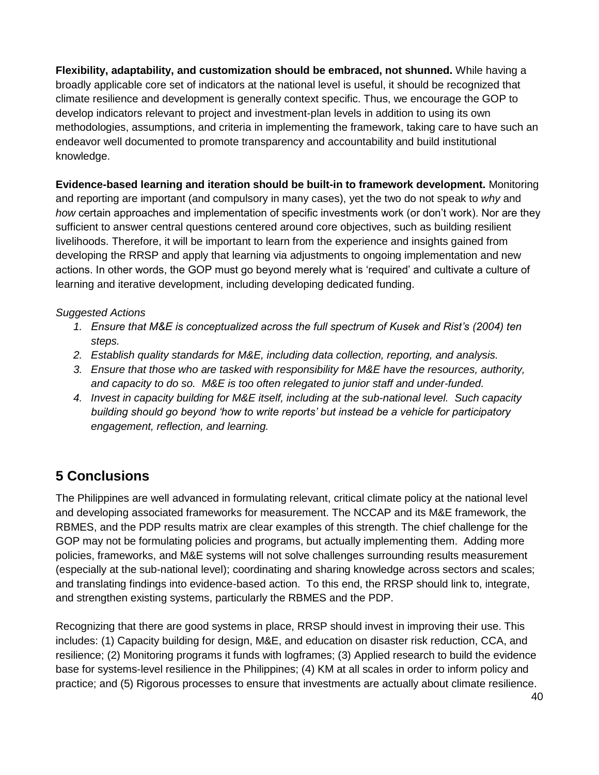**Flexibility, adaptability, and customization should be embraced, not shunned.** While having a broadly applicable core set of indicators at the national level is useful, it should be recognized that climate resilience and development is generally context specific. Thus, we encourage the GOP to develop indicators relevant to project and investment-plan levels in addition to using its own methodologies, assumptions, and criteria in implementing the framework, taking care to have such an endeavor well documented to promote transparency and accountability and build institutional knowledge.

**Evidence-based learning and iteration should be built-in to framework development.** Monitoring and reporting are important (and compulsory in many cases), yet the two do not speak to *why* and *how* certain approaches and implementation of specific investments work (or don't work). Nor are they sufficient to answer central questions centered around core objectives, such as building resilient livelihoods. Therefore, it will be important to learn from the experience and insights gained from developing the RRSP and apply that learning via adjustments to ongoing implementation and new actions. In other words, the GOP must go beyond merely what is 'required' and cultivate a culture of learning and iterative development, including developing dedicated funding.

#### *Suggested Actions*

- *1. Ensure that M&E is conceptualized across the full spectrum of Kusek and Rist's (2004) ten steps.*
- *2. Establish quality standards for M&E, including data collection, reporting, and analysis.*
- *3. Ensure that those who are tasked with responsibility for M&E have the resources, authority, and capacity to do so. M&E is too often relegated to junior staff and under-funded.*
- *4. Invest in capacity building for M&E itself, including at the sub-national level. Such capacity building should go beyond 'how to write reports' but instead be a vehicle for participatory engagement, reflection, and learning.*

## <span id="page-39-0"></span>**5 Conclusions**

The Philippines are well advanced in formulating relevant, critical climate policy at the national level and developing associated frameworks for measurement. The NCCAP and its M&E framework, the RBMES, and the PDP results matrix are clear examples of this strength. The chief challenge for the GOP may not be formulating policies and programs, but actually implementing them. Adding more policies, frameworks, and M&E systems will not solve challenges surrounding results measurement (especially at the sub-national level); coordinating and sharing knowledge across sectors and scales; and translating findings into evidence-based action. To this end, the RRSP should link to, integrate, and strengthen existing systems, particularly the RBMES and the PDP.

Recognizing that there are good systems in place, RRSP should invest in improving their use. This includes: (1) Capacity building for design, M&E, and education on disaster risk reduction, CCA, and resilience; (2) Monitoring programs it funds with logframes; (3) Applied research to build the evidence base for systems-level resilience in the Philippines; (4) KM at all scales in order to inform policy and practice; and (5) Rigorous processes to ensure that investments are actually about climate resilience.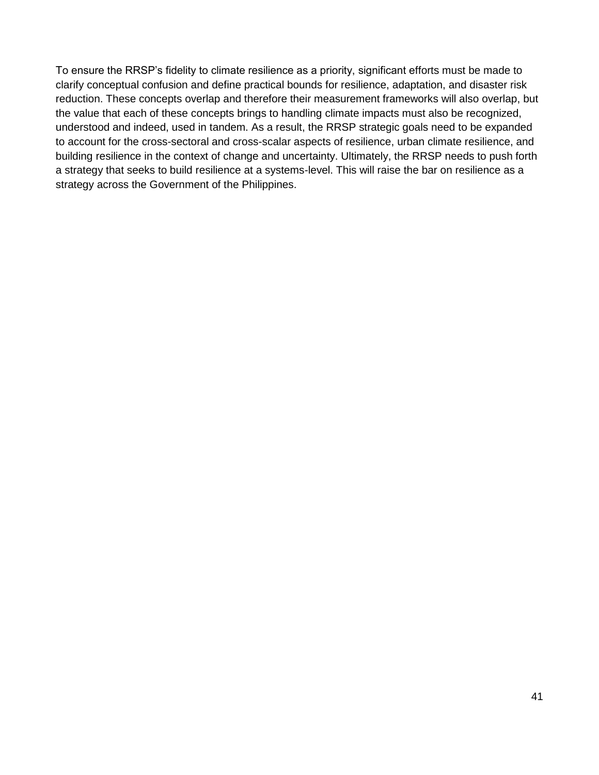To ensure the RRSP's fidelity to climate resilience as a priority, significant efforts must be made to clarify conceptual confusion and define practical bounds for resilience, adaptation, and disaster risk reduction. These concepts overlap and therefore their measurement frameworks will also overlap, but the value that each of these concepts brings to handling climate impacts must also be recognized, understood and indeed, used in tandem. As a result, the RRSP strategic goals need to be expanded to account for the cross-sectoral and cross-scalar aspects of resilience, urban climate resilience, and building resilience in the context of change and uncertainty. Ultimately, the RRSP needs to push forth a strategy that seeks to build resilience at a systems-level. This will raise the bar on resilience as a strategy across the Government of the Philippines.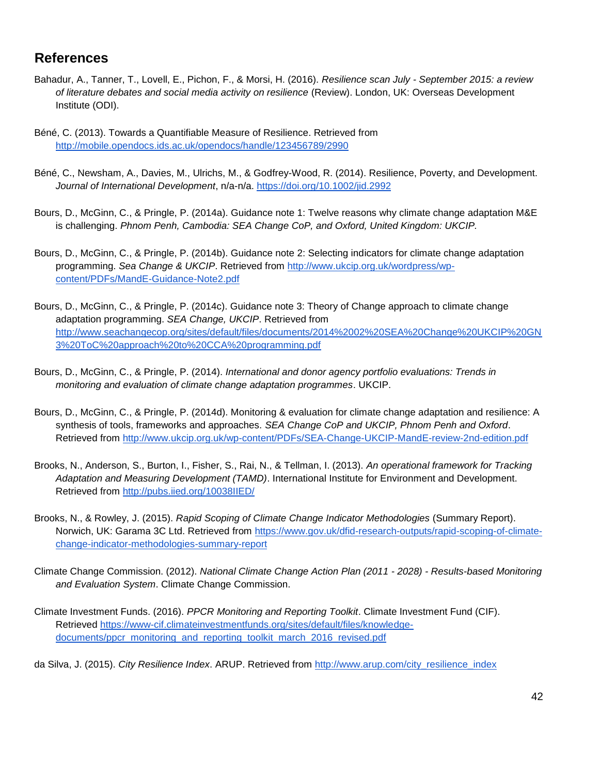### <span id="page-41-0"></span>**References**

- Bahadur, A., Tanner, T., Lovell, E., Pichon, F., & Morsi, H. (2016). *Resilience scan July - September 2015: a review of literature debates and social media activity on resilience* (Review). London, UK: Overseas Development Institute (ODI).
- Béné, C. (2013). Towards a Quantifiable Measure of Resilience. Retrieved from <http://mobile.opendocs.ids.ac.uk/opendocs/handle/123456789/2990>
- Béné, C., Newsham, A., Davies, M., Ulrichs, M., & Godfrey-Wood, R. (2014). Resilience, Poverty, and Development. *Journal of International Development*, n/a-n/a.<https://doi.org/10.1002/jid.2992>
- Bours, D., McGinn, C., & Pringle, P. (2014a). Guidance note 1: Twelve reasons why climate change adaptation M&E is challenging. *Phnom Penh, Cambodia: SEA Change CoP, and Oxford, United Kingdom: UKCIP.*
- Bours, D., McGinn, C., & Pringle, P. (2014b). Guidance note 2: Selecting indicators for climate change adaptation programming. *Sea Change & UKCIP*. Retrieved from [http://www.ukcip.org.uk/wordpress/wp](http://www.ukcip.org.uk/wordpress/wp-content/PDFs/MandE-Guidance-Note2.pdf)[content/PDFs/MandE-Guidance-Note2.pdf](http://www.ukcip.org.uk/wordpress/wp-content/PDFs/MandE-Guidance-Note2.pdf)
- Bours, D., McGinn, C., & Pringle, P. (2014c). Guidance note 3: Theory of Change approach to climate change adaptation programming. *SEA Change, UKCIP*. Retrieved from [http://www.seachangecop.org/sites/default/files/documents/2014%2002%20SEA%20Change%20UKCIP%20GN](http://www.seachangecop.org/sites/default/files/documents/2014%2002%20SEA%20Change%20UKCIP%20GN3%20ToC%20approach%20to%20CCA%20programming.pdf) [3%20ToC%20approach%20to%20CCA%20programming.pdf](http://www.seachangecop.org/sites/default/files/documents/2014%2002%20SEA%20Change%20UKCIP%20GN3%20ToC%20approach%20to%20CCA%20programming.pdf)
- Bours, D., McGinn, C., & Pringle, P. (2014). *International and donor agency portfolio evaluations: Trends in monitoring and evaluation of climate change adaptation programmes*. UKCIP.
- Bours, D., McGinn, C., & Pringle, P. (2014d). Monitoring & evaluation for climate change adaptation and resilience: A synthesis of tools, frameworks and approaches. *SEA Change CoP and UKCIP, Phnom Penh and Oxford*. Retrieved from<http://www.ukcip.org.uk/wp-content/PDFs/SEA-Change-UKCIP-MandE-review-2nd-edition.pdf>
- Brooks, N., Anderson, S., Burton, I., Fisher, S., Rai, N., & Tellman, I. (2013). *An operational framework for Tracking Adaptation and Measuring Development (TAMD)*. International Institute for Environment and Development. Retrieved from<http://pubs.iied.org/10038IIED/>
- Brooks, N., & Rowley, J. (2015). *Rapid Scoping of Climate Change Indicator Methodologies* (Summary Report). Norwich, UK: Garama 3C Ltd. Retrieved from [https://www.gov.uk/dfid-research-outputs/rapid-scoping-of-climate](https://www.gov.uk/dfid-research-outputs/rapid-scoping-of-climate-change-indicator-methodologies-summary-report)[change-indicator-methodologies-summary-report](https://www.gov.uk/dfid-research-outputs/rapid-scoping-of-climate-change-indicator-methodologies-summary-report)
- Climate Change Commission. (2012). *National Climate Change Action Plan (2011 - 2028) - Results-based Monitoring and Evaluation System*. Climate Change Commission.
- Climate Investment Funds. (2016). *PPCR Monitoring and Reporting Toolkit*. Climate Investment Fund (CIF). Retrieved [https://www-cif.climateinvestmentfunds.org/sites/default/files/knowledge](https://www-cif.climateinvestmentfunds.org/sites/default/files/knowledge-documents/ppcr_monitoring_and_reporting_toolkit_march_2016_revised.pdf)[documents/ppcr\\_monitoring\\_and\\_reporting\\_toolkit\\_march\\_2016\\_revised.pdf](https://www-cif.climateinvestmentfunds.org/sites/default/files/knowledge-documents/ppcr_monitoring_and_reporting_toolkit_march_2016_revised.pdf)

da Silva, J. (2015). *City Resilience Index*. ARUP. Retrieved from [http://www.arup.com/city\\_resilience\\_index](http://www.arup.com/city_resilience_index)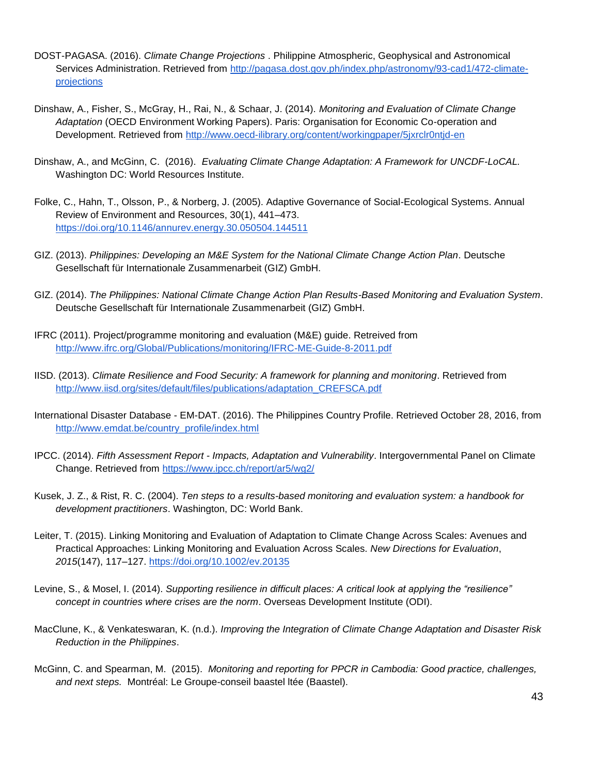- DOST-PAGASA. (2016). *Climate Change Projections* . Philippine Atmospheric, Geophysical and Astronomical Services Administration. Retrieved from [http://pagasa.dost.gov.ph/index.php/astronomy/93-cad1/472-climate](http://pagasa.dost.gov.ph/index.php/astronomy/93-cad1/472-climate-projections)[projections](http://pagasa.dost.gov.ph/index.php/astronomy/93-cad1/472-climate-projections)
- Dinshaw, A., Fisher, S., McGray, H., Rai, N., & Schaar, J. (2014). *Monitoring and Evaluation of Climate Change Adaptation* (OECD Environment Working Papers). Paris: Organisation for Economic Co-operation and Development. Retrieved from<http://www.oecd-ilibrary.org/content/workingpaper/5jxrclr0ntjd-en>
- Dinshaw, A., and McGinn, C. (2016). *Evaluating Climate Change Adaptation: A Framework for UNCDF-LoCAL.* Washington DC: World Resources Institute.
- Folke, C., Hahn, T., Olsson, P., & Norberg, J. (2005). Adaptive Governance of Social-Ecological Systems. Annual Review of Environment and Resources, 30(1), 441–473. <https://doi.org/10.1146/annurev.energy.30.050504.144511>
- GIZ. (2013). *Philippines: Developing an M&E System for the National Climate Change Action Plan*. Deutsche Gesellschaft für Internationale Zusammenarbeit (GIZ) GmbH.
- GIZ. (2014). *The Philippines: National Climate Change Action Plan Results-Based Monitoring and Evaluation System*. Deutsche Gesellschaft für Internationale Zusammenarbeit (GIZ) GmbH.
- IFRC (2011). Project/programme monitoring and evaluation (M&E) guide. Retreived from <http://www.ifrc.org/Global/Publications/monitoring/IFRC-ME-Guide-8-2011.pdf>
- IISD. (2013). *Climate Resilience and Food Security: A framework for planning and monitoring*. Retrieved from [http://www.iisd.org/sites/default/files/publications/adaptation\\_CREFSCA.pdf](http://www.iisd.org/sites/default/files/publications/adaptation_CREFSCA.pdf)
- International Disaster Database EM-DAT. (2016). The Philippines Country Profile. Retrieved October 28, 2016, from [http://www.emdat.be/country\\_profile/index.html](http://www.emdat.be/country_profile/index.html)
- IPCC. (2014). *Fifth Assessment Report - Impacts, Adaptation and Vulnerability*. Intergovernmental Panel on Climate Change. Retrieved from<https://www.ipcc.ch/report/ar5/wg2/>
- Kusek, J. Z., & Rist, R. C. (2004). *Ten steps to a results-based monitoring and evaluation system: a handbook for development practitioners*. Washington, DC: World Bank.
- Leiter, T. (2015). Linking Monitoring and Evaluation of Adaptation to Climate Change Across Scales: Avenues and Practical Approaches: Linking Monitoring and Evaluation Across Scales. *New Directions for Evaluation*, *2015*(147), 117–127.<https://doi.org/10.1002/ev.20135>
- Levine, S., & Mosel, I. (2014). *Supporting resilience in difficult places: A critical look at applying the "resilience" concept in countries where crises are the norm*. Overseas Development Institute (ODI).
- MacClune, K., & Venkateswaran, K. (n.d.). *Improving the Integration of Climate Change Adaptation and Disaster Risk Reduction in the Philippines*.
- McGinn, C. and Spearman, M. (2015). *Monitoring and reporting for PPCR in Cambodia: Good practice, challenges, and next steps.* Montréal: Le Groupe-conseil baastel ltée (Baastel).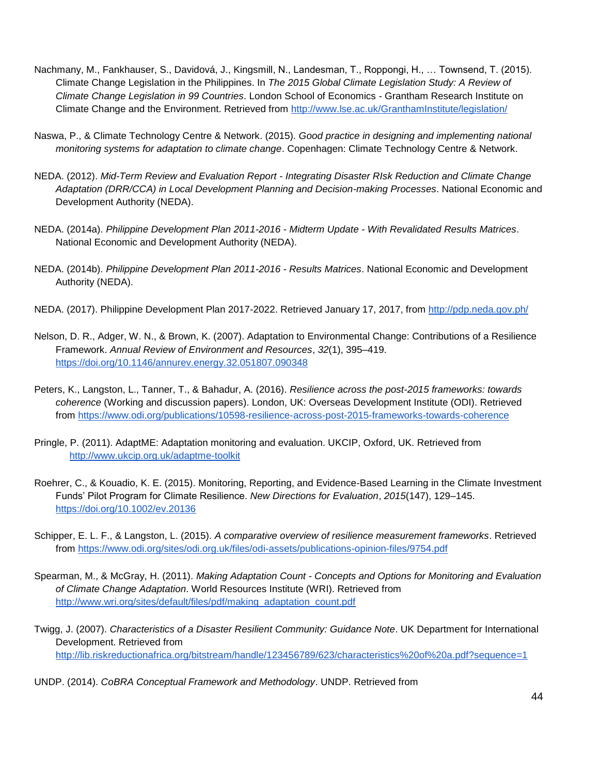- Nachmany, M., Fankhauser, S., Davidová, J., Kingsmill, N., Landesman, T., Roppongi, H., … Townsend, T. (2015). Climate Change Legislation in the Philippines. In *The 2015 Global Climate Legislation Study: A Review of Climate Change Legislation in 99 Countries*. London School of Economics - Grantham Research Institute on Climate Change and the Environment. Retrieved from<http://www.lse.ac.uk/GranthamInstitute/legislation/>
- Naswa, P., & Climate Technology Centre & Network. (2015). *Good practice in designing and implementing national monitoring systems for adaptation to climate change*. Copenhagen: Climate Technology Centre & Network.
- NEDA. (2012). *Mid-Term Review and Evaluation Report - Integrating Disaster RIsk Reduction and Climate Change Adaptation (DRR/CCA) in Local Development Planning and Decision-making Processes*. National Economic and Development Authority (NEDA).
- NEDA. (2014a). *Philippine Development Plan 2011-2016 - Midterm Update - With Revalidated Results Matrices*. National Economic and Development Authority (NEDA).
- NEDA. (2014b). *Philippine Development Plan 2011-2016 - Results Matrices*. National Economic and Development Authority (NEDA).
- NEDA. (2017). Philippine Development Plan 2017-2022. Retrieved January 17, 2017, from<http://pdp.neda.gov.ph/>
- Nelson, D. R., Adger, W. N., & Brown, K. (2007). Adaptation to Environmental Change: Contributions of a Resilience Framework. *Annual Review of Environment and Resources*, *32*(1), 395–419. <https://doi.org/10.1146/annurev.energy.32.051807.090348>
- Peters, K., Langston, L., Tanner, T., & Bahadur, A. (2016). *Resilience across the post-2015 frameworks: towards coherence* (Working and discussion papers). London, UK: Overseas Development Institute (ODI). Retrieved from<https://www.odi.org/publications/10598-resilience-across-post-2015-frameworks-towards-coherence>
- Pringle, P. (2011). AdaptME: Adaptation monitoring and evaluation. UKCIP, Oxford, UK. Retrieved from <http://www.ukcip.org.uk/adaptme-toolkit>
- Roehrer, C., & Kouadio, K. E. (2015). Monitoring, Reporting, and Evidence-Based Learning in the Climate Investment Funds' Pilot Program for Climate Resilience. *New Directions for Evaluation*, *2015*(147), 129–145. <https://doi.org/10.1002/ev.20136>
- Schipper, E. L. F., & Langston, L. (2015). *A comparative overview of resilience measurement frameworks*. Retrieved from<https://www.odi.org/sites/odi.org.uk/files/odi-assets/publications-opinion-files/9754.pdf>
- Spearman, M., & McGray, H. (2011). *Making Adaptation Count - Concepts and Options for Monitoring and Evaluation of Climate Change Adaptation*. World Resources Institute (WRI). Retrieved from [http://www.wri.org/sites/default/files/pdf/making\\_adaptation\\_count.pdf](http://www.wri.org/sites/default/files/pdf/making_adaptation_count.pdf)
- Twigg, J. (2007). *Characteristics of a Disaster Resilient Community: Guidance Note*. UK Department for International Development. Retrieved from <http://lib.riskreductionafrica.org/bitstream/handle/123456789/623/characteristics%20of%20a.pdf?sequence=1>
- UNDP. (2014). *CoBRA Conceptual Framework and Methodology*. UNDP. Retrieved from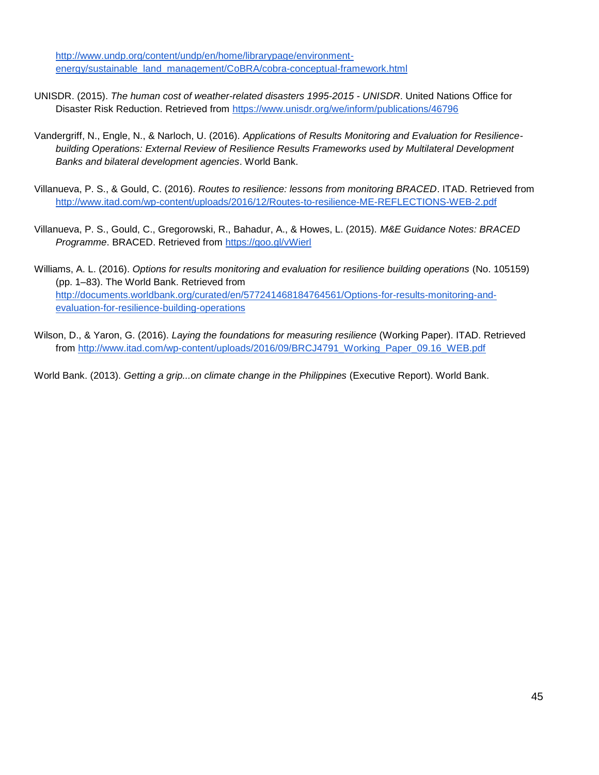[http://www.undp.org/content/undp/en/home/librarypage/environment](http://www.undp.org/content/undp/en/home/librarypage/environment-energy/sustainable_land_management/CoBRA/cobra-conceptual-framework.html)[energy/sustainable\\_land\\_management/CoBRA/cobra-conceptual-framework.html](http://www.undp.org/content/undp/en/home/librarypage/environment-energy/sustainable_land_management/CoBRA/cobra-conceptual-framework.html)

- UNISDR. (2015). *The human cost of weather-related disasters 1995-2015 - UNISDR*. United Nations Office for Disaster Risk Reduction. Retrieved from<https://www.unisdr.org/we/inform/publications/46796>
- Vandergriff, N., Engle, N., & Narloch, U. (2016). *Applications of Results Monitoring and Evaluation for Resiliencebuilding Operations: External Review of Resilience Results Frameworks used by Multilateral Development Banks and bilateral development agencies*. World Bank.
- Villanueva, P. S., & Gould, C. (2016). *Routes to resilience: lessons from monitoring BRACED*. ITAD. Retrieved from <http://www.itad.com/wp-content/uploads/2016/12/Routes-to-resilience-ME-REFLECTIONS-WEB-2.pdf>
- Villanueva, P. S., Gould, C., Gregorowski, R., Bahadur, A., & Howes, L. (2015). *M&E Guidance Notes: BRACED Programme*. BRACED. Retrieved from<https://goo.gl/vWierl>
- Williams, A. L. (2016). *Options for results monitoring and evaluation for resilience building operations* (No. 105159) (pp. 1–83). The World Bank. Retrieved from [http://documents.worldbank.org/curated/en/577241468184764561/Options-for-results-monitoring-and](http://documents.worldbank.org/curated/en/577241468184764561/Options-for-results-monitoring-and-evaluation-for-resilience-building-operations)[evaluation-for-resilience-building-operations](http://documents.worldbank.org/curated/en/577241468184764561/Options-for-results-monitoring-and-evaluation-for-resilience-building-operations)
- Wilson, D., & Yaron, G. (2016). *Laying the foundations for measuring resilience* (Working Paper). ITAD. Retrieved from [http://www.itad.com/wp-content/uploads/2016/09/BRCJ4791\\_Working\\_Paper\\_09.16\\_WEB.pdf](http://www.itad.com/wp-content/uploads/2016/09/BRCJ4791_Working_Paper_09.16_WEB.pdf)

World Bank. (2013). *Getting a grip...on climate change in the Philippines* (Executive Report). World Bank.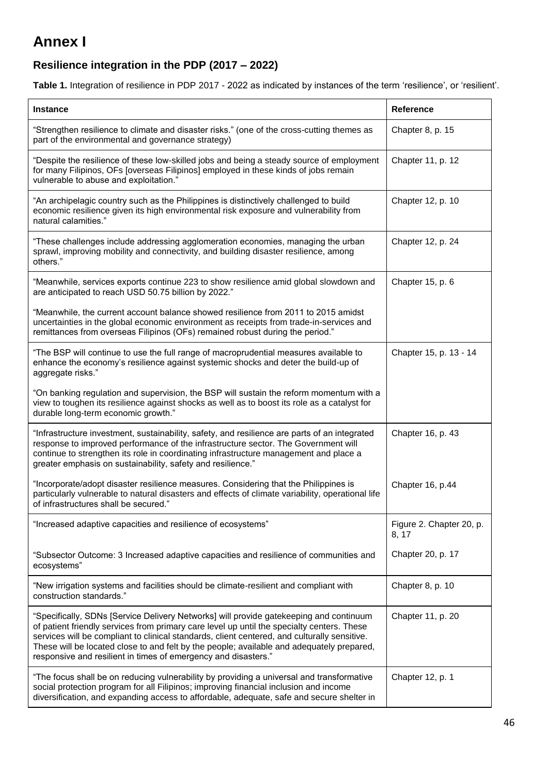# **Annex I**

### **Resilience integration in the PDP (2017 – 2022)**

**Table 1.** Integration of resilience in PDP 2017 - 2022 as indicated by instances of the term 'resilience', or 'resilient'.

| <b>Instance</b>                                                                                                                                                                                                                                                                                                                                                                                                                                     | <b>Reference</b>                  |
|-----------------------------------------------------------------------------------------------------------------------------------------------------------------------------------------------------------------------------------------------------------------------------------------------------------------------------------------------------------------------------------------------------------------------------------------------------|-----------------------------------|
| "Strengthen resilience to climate and disaster risks." (one of the cross-cutting themes as<br>part of the environmental and governance strategy)                                                                                                                                                                                                                                                                                                    | Chapter 8, p. 15                  |
| "Despite the resilience of these low-skilled jobs and being a steady source of employment<br>for many Filipinos, OFs [overseas Filipinos] employed in these kinds of jobs remain<br>vulnerable to abuse and exploitation."                                                                                                                                                                                                                          | Chapter 11, p. 12                 |
| "An archipelagic country such as the Philippines is distinctively challenged to build<br>economic resilience given its high environmental risk exposure and vulnerability from<br>natural calamities."                                                                                                                                                                                                                                              | Chapter 12, p. 10                 |
| "These challenges include addressing agglomeration economies, managing the urban<br>sprawl, improving mobility and connectivity, and building disaster resilience, among<br>others."                                                                                                                                                                                                                                                                | Chapter 12, p. 24                 |
| "Meanwhile, services exports continue 223 to show resilience amid global slowdown and<br>are anticipated to reach USD 50.75 billion by 2022."                                                                                                                                                                                                                                                                                                       | Chapter 15, p. 6                  |
| "Meanwhile, the current account balance showed resilience from 2011 to 2015 amidst<br>uncertainties in the global economic environment as receipts from trade-in-services and<br>remittances from overseas Filipinos (OFs) remained robust during the period."                                                                                                                                                                                      |                                   |
| "The BSP will continue to use the full range of macroprudential measures available to<br>enhance the economy's resilience against systemic shocks and deter the build-up of<br>aggregate risks."                                                                                                                                                                                                                                                    | Chapter 15, p. 13 - 14            |
| "On banking regulation and supervision, the BSP will sustain the reform momentum with a<br>view to toughen its resilience against shocks as well as to boost its role as a catalyst for<br>durable long-term economic growth."                                                                                                                                                                                                                      |                                   |
| "Infrastructure investment, sustainability, safety, and resilience are parts of an integrated<br>response to improved performance of the infrastructure sector. The Government will<br>continue to strengthen its role in coordinating infrastructure management and place a<br>greater emphasis on sustainability, safety and resilience."                                                                                                         | Chapter 16, p. 43                 |
| "Incorporate/adopt disaster resilience measures. Considering that the Philippines is<br>particularly vulnerable to natural disasters and effects of climate variability, operational life<br>of infrastructures shall be secured."                                                                                                                                                                                                                  | Chapter 16, p.44                  |
| "Increased adaptive capacities and resilience of ecosystems"                                                                                                                                                                                                                                                                                                                                                                                        | Figure 2. Chapter 20, p.<br>8, 17 |
| "Subsector Outcome: 3 Increased adaptive capacities and resilience of communities and<br>ecosystems"                                                                                                                                                                                                                                                                                                                                                | Chapter 20, p. 17                 |
| "New irrigation systems and facilities should be climate-resilient and compliant with<br>construction standards."                                                                                                                                                                                                                                                                                                                                   | Chapter 8, p. 10                  |
| "Specifically, SDNs [Service Delivery Networks] will provide gatekeeping and continuum<br>of patient friendly services from primary care level up until the specialty centers. These<br>services will be compliant to clinical standards, client centered, and culturally sensitive.<br>These will be located close to and felt by the people; available and adequately prepared,<br>responsive and resilient in times of emergency and disasters." | Chapter 11, p. 20                 |
| "The focus shall be on reducing vulnerability by providing a universal and transformative<br>social protection program for all Filipinos; improving financial inclusion and income<br>diversification, and expanding access to affordable, adequate, safe and secure shelter in                                                                                                                                                                     | Chapter 12, p. 1                  |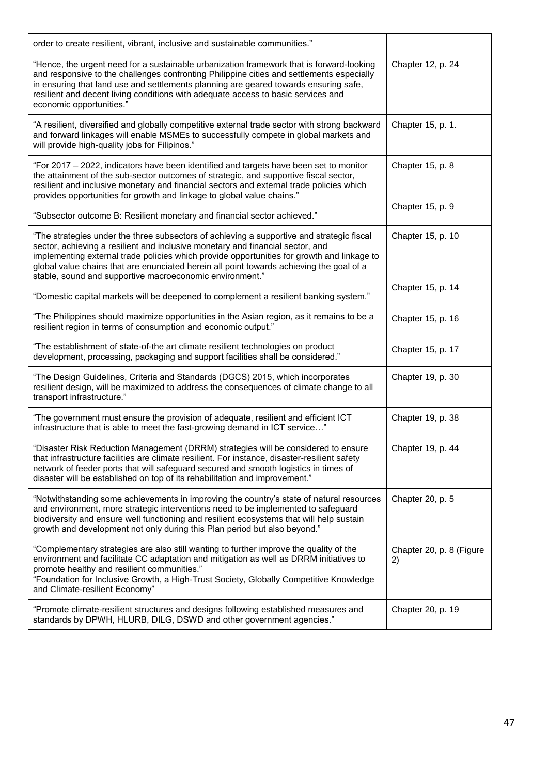| order to create resilient, vibrant, inclusive and sustainable communities."                                                                                                                                                                                                                                                                                                                                                       |                                |
|-----------------------------------------------------------------------------------------------------------------------------------------------------------------------------------------------------------------------------------------------------------------------------------------------------------------------------------------------------------------------------------------------------------------------------------|--------------------------------|
| "Hence, the urgent need for a sustainable urbanization framework that is forward-looking<br>and responsive to the challenges confronting Philippine cities and settlements especially<br>in ensuring that land use and settlements planning are geared towards ensuring safe,<br>resilient and decent living conditions with adequate access to basic services and<br>economic opportunities."                                    | Chapter 12, p. 24              |
| "A resilient, diversified and globally competitive external trade sector with strong backward<br>and forward linkages will enable MSMEs to successfully compete in global markets and<br>will provide high-quality jobs for Filipinos."                                                                                                                                                                                           | Chapter 15, p. 1.              |
| "For 2017 - 2022, indicators have been identified and targets have been set to monitor<br>the attainment of the sub-sector outcomes of strategic, and supportive fiscal sector,<br>resilient and inclusive monetary and financial sectors and external trade policies which<br>provides opportunities for growth and linkage to global value chains."                                                                             | Chapter 15, p. 8               |
| "Subsector outcome B: Resilient monetary and financial sector achieved."                                                                                                                                                                                                                                                                                                                                                          | Chapter 15, p. 9               |
| "The strategies under the three subsectors of achieving a supportive and strategic fiscal<br>sector, achieving a resilient and inclusive monetary and financial sector, and<br>implementing external trade policies which provide opportunities for growth and linkage to<br>global value chains that are enunciated herein all point towards achieving the goal of a<br>stable, sound and supportive macroeconomic environment." | Chapter 15, p. 10              |
| "Domestic capital markets will be deepened to complement a resilient banking system."                                                                                                                                                                                                                                                                                                                                             | Chapter 15, p. 14              |
| "The Philippines should maximize opportunities in the Asian region, as it remains to be a<br>resilient region in terms of consumption and economic output."                                                                                                                                                                                                                                                                       | Chapter 15, p. 16              |
| "The establishment of state-of-the art climate resilient technologies on product<br>development, processing, packaging and support facilities shall be considered."                                                                                                                                                                                                                                                               | Chapter 15, p. 17              |
| "The Design Guidelines, Criteria and Standards (DGCS) 2015, which incorporates<br>resilient design, will be maximized to address the consequences of climate change to all<br>transport infrastructure."                                                                                                                                                                                                                          | Chapter 19, p. 30              |
| "The government must ensure the provision of adequate, resilient and efficient ICT<br>infrastructure that is able to meet the fast-growing demand in ICT service"                                                                                                                                                                                                                                                                 | Chapter 19, p. 38              |
| 'Disaster Risk Reduction Management (DRRM) strategies will be considered to ensure<br>that infrastructure facilities are climate resilient. For instance, disaster-resilient safety<br>network of feeder ports that will safeguard secured and smooth logistics in times of<br>disaster will be established on top of its rehabilitation and improvement."                                                                        | Chapter 19, p. 44              |
| "Notwithstanding some achievements in improving the country's state of natural resources<br>and environment, more strategic interventions need to be implemented to safeguard<br>biodiversity and ensure well functioning and resilient ecosystems that will help sustain<br>growth and development not only during this Plan period but also beyond."                                                                            | Chapter 20, p. 5               |
| "Complementary strategies are also still wanting to further improve the quality of the<br>environment and facilitate CC adaptation and mitigation as well as DRRM initiatives to<br>promote healthy and resilient communities."<br>"Foundation for Inclusive Growth, a High-Trust Society, Globally Competitive Knowledge<br>and Climate-resilient Economy"                                                                       | Chapter 20, p. 8 (Figure<br>2) |
| "Promote climate-resilient structures and designs following established measures and<br>standards by DPWH, HLURB, DILG, DSWD and other government agencies."                                                                                                                                                                                                                                                                      | Chapter 20, p. 19              |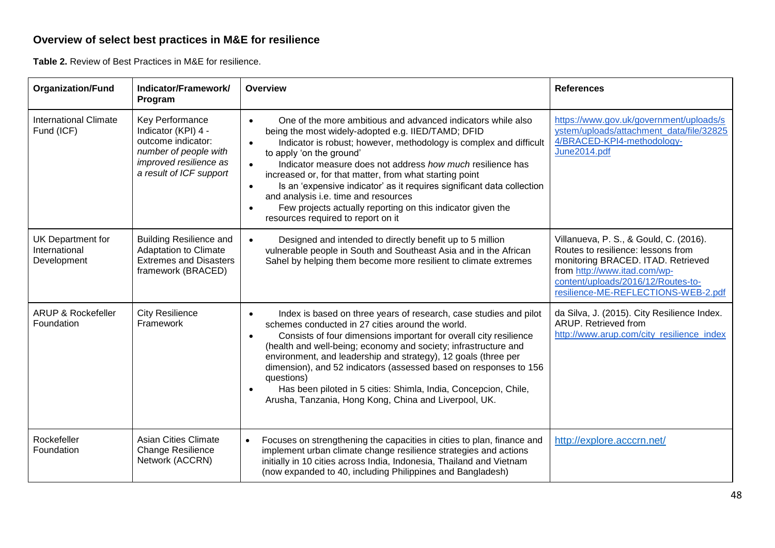### **Overview of select best practices in M&E for resilience**

**Table 2.** Review of Best Practices in M&E for resilience.

| <b>Organization/Fund</b>                                 | Indicator/Framework/<br>Program                                                                                                                   | Overview                                                                                                                                                                                                                                                                                                                                                                                                                                                                                                                                                                                                                              | <b>References</b>                                                                                                                                                                                                               |
|----------------------------------------------------------|---------------------------------------------------------------------------------------------------------------------------------------------------|---------------------------------------------------------------------------------------------------------------------------------------------------------------------------------------------------------------------------------------------------------------------------------------------------------------------------------------------------------------------------------------------------------------------------------------------------------------------------------------------------------------------------------------------------------------------------------------------------------------------------------------|---------------------------------------------------------------------------------------------------------------------------------------------------------------------------------------------------------------------------------|
| <b>International Climate</b><br>Fund (ICF)               | <b>Key Performance</b><br>Indicator (KPI) 4 -<br>outcome indicator:<br>number of people with<br>improved resilience as<br>a result of ICF support | One of the more ambitious and advanced indicators while also<br>$\bullet$<br>being the most widely-adopted e.g. IIED/TAMD; DFID<br>Indicator is robust; however, methodology is complex and difficult<br>$\bullet$<br>to apply 'on the ground'<br>Indicator measure does not address how much resilience has<br>$\bullet$<br>increased or, for that matter, from what starting point<br>Is an 'expensive indicator' as it requires significant data collection<br>$\bullet$<br>and analysis i.e. time and resources<br>Few projects actually reporting on this indicator given the<br>$\bullet$<br>resources required to report on it | https://www.gov.uk/government/uploads/s<br>ystem/uploads/attachment_data/file/32825<br>4/BRACED-KPI4-methodology-<br>June2014.pdf                                                                                               |
| <b>UK Department for</b><br>International<br>Development | <b>Building Resilience and</b><br><b>Adaptation to Climate</b><br><b>Extremes and Disasters</b><br>framework (BRACED)                             | Designed and intended to directly benefit up to 5 million<br>vulnerable people in South and Southeast Asia and in the African<br>Sahel by helping them become more resilient to climate extremes                                                                                                                                                                                                                                                                                                                                                                                                                                      | Villanueva, P. S., & Gould, C. (2016).<br>Routes to resilience: lessons from<br>monitoring BRACED. ITAD. Retrieved<br>from http://www.itad.com/wp-<br>content/uploads/2016/12/Routes-to-<br>resilience-ME-REFLECTIONS-WEB-2.pdf |
| <b>ARUP &amp; Rockefeller</b><br>Foundation              | <b>City Resilience</b><br>Framework                                                                                                               | Index is based on three years of research, case studies and pilot<br>$\bullet$<br>schemes conducted in 27 cities around the world.<br>Consists of four dimensions important for overall city resilience<br>$\bullet$<br>(health and well-being; economy and society; infrastructure and<br>environment, and leadership and strategy), 12 goals (three per<br>dimension), and 52 indicators (assessed based on responses to 156<br>questions)<br>Has been piloted in 5 cities: Shimla, India, Concepcion, Chile,<br>$\bullet$<br>Arusha, Tanzania, Hong Kong, China and Liverpool, UK.                                                 | da Silva, J. (2015). City Resilience Index.<br>ARUP. Retrieved from<br>http://www.arup.com/city_resilience_index                                                                                                                |
| Rockefeller<br>Foundation                                | <b>Asian Cities Climate</b><br><b>Change Resilience</b><br>Network (ACCRN)                                                                        | Focuses on strengthening the capacities in cities to plan, finance and<br>implement urban climate change resilience strategies and actions<br>initially in 10 cities across India, Indonesia, Thailand and Vietnam<br>(now expanded to 40, including Philippines and Bangladesh)                                                                                                                                                                                                                                                                                                                                                      | http://explore.acccrn.net/                                                                                                                                                                                                      |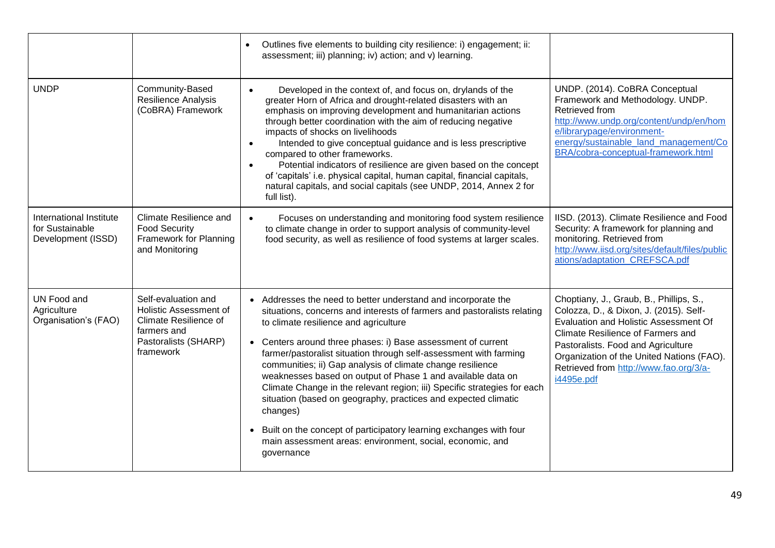|                                                                  |                                                                                                                                          | Outlines five elements to building city resilience: i) engagement; ii:<br>assessment; iii) planning; iv) action; and v) learning.                                                                                                                                                                                                                                                                                                                                                                                                                                                                                                                                                                                                                            |                                                                                                                                                                                                                                                                                                                          |
|------------------------------------------------------------------|------------------------------------------------------------------------------------------------------------------------------------------|--------------------------------------------------------------------------------------------------------------------------------------------------------------------------------------------------------------------------------------------------------------------------------------------------------------------------------------------------------------------------------------------------------------------------------------------------------------------------------------------------------------------------------------------------------------------------------------------------------------------------------------------------------------------------------------------------------------------------------------------------------------|--------------------------------------------------------------------------------------------------------------------------------------------------------------------------------------------------------------------------------------------------------------------------------------------------------------------------|
| <b>UNDP</b>                                                      | Community-Based<br><b>Resilience Analysis</b><br>(CoBRA) Framework                                                                       | Developed in the context of, and focus on, drylands of the<br>$\bullet$<br>greater Horn of Africa and drought-related disasters with an<br>emphasis on improving development and humanitarian actions<br>through better coordination with the aim of reducing negative<br>impacts of shocks on livelihoods<br>Intended to give conceptual guidance and is less prescriptive<br>$\bullet$<br>compared to other frameworks.<br>Potential indicators of resilience are given based on the concept<br>$\bullet$<br>of 'capitals' i.e. physical capital, human capital, financial capitals,<br>natural capitals, and social capitals (see UNDP, 2014, Annex 2 for<br>full list).                                                                                  | UNDP. (2014). CoBRA Conceptual<br>Framework and Methodology. UNDP.<br>Retrieved from<br>http://www.undp.org/content/undp/en/hom<br>e/librarypage/environment-<br>energy/sustainable land management/Co<br>BRA/cobra-conceptual-framework.html                                                                            |
| International Institute<br>for Sustainable<br>Development (ISSD) | Climate Resilience and<br><b>Food Security</b><br>Framework for Planning<br>and Monitoring                                               | Focuses on understanding and monitoring food system resilience<br>to climate change in order to support analysis of community-level<br>food security, as well as resilience of food systems at larger scales.                                                                                                                                                                                                                                                                                                                                                                                                                                                                                                                                                | IISD. (2013). Climate Resilience and Food<br>Security: A framework for planning and<br>monitoring. Retrieved from<br>http://www.iisd.org/sites/default/files/public<br>ations/adaptation CREFSCA.pdf                                                                                                                     |
| UN Food and<br>Agriculture<br>Organisation's (FAO)               | Self-evaluation and<br><b>Holistic Assessment of</b><br><b>Climate Resilience of</b><br>farmers and<br>Pastoralists (SHARP)<br>framework | • Addresses the need to better understand and incorporate the<br>situations, concerns and interests of farmers and pastoralists relating<br>to climate resilience and agriculture<br>Centers around three phases: i) Base assessment of current<br>farmer/pastoralist situation through self-assessment with farming<br>communities; ii) Gap analysis of climate change resilience<br>weaknesses based on output of Phase 1 and available data on<br>Climate Change in the relevant region; iii) Specific strategies for each<br>situation (based on geography, practices and expected climatic<br>changes)<br>Built on the concept of participatory learning exchanges with four<br>main assessment areas: environment, social, economic, and<br>governance | Choptiany, J., Graub, B., Phillips, S.,<br>Colozza, D., & Dixon, J. (2015). Self-<br><b>Evaluation and Holistic Assessment Of</b><br><b>Climate Resilience of Farmers and</b><br>Pastoralists. Food and Agriculture<br>Organization of the United Nations (FAO).<br>Retrieved from http://www.fao.org/3/a-<br>i4495e.pdf |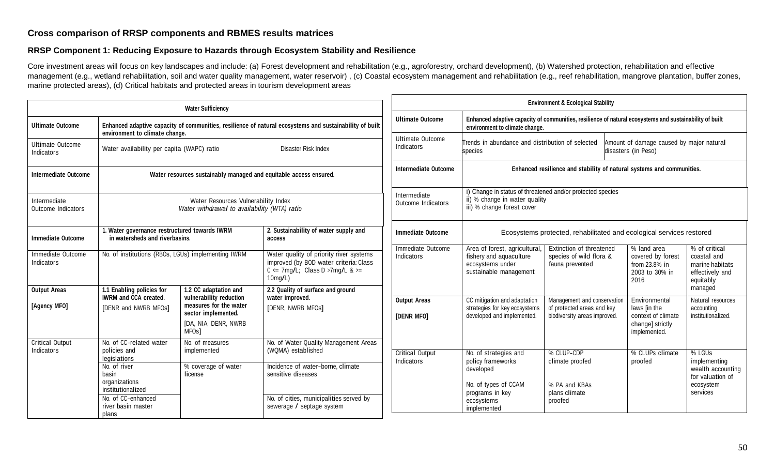#### **Cross comparison of RRSP components and RBMES results matrices**

#### **RRSP Component 1: Reducing Exposure to Hazards through Ecosystem Stability and Resilience**

Core investment areas will focus on key landscapes and include: (a) Forest development and rehabilitation (e.g., agroforestry, orchard development), (b) Watershed protection, rehabilitation and effective management (e.g., wetland rehabilitation, soil and water quality management, water reservoir) , (c) Coastal ecosystem management and rehabilitation (e.g., reef rehabilitation, mangrove plantation, buffer zones, marine protected areas), (d) Critical habitats and protected areas in tourism development areas

|                                                                                                                                    |                                                                                                     | <b>Water Sufficiency</b>                                                                                                           |                                                                                                                                           |                                                             |                                                                                                        | <b>Environment &amp; Ecological Stability</b>                                             |                                                                                         |                                                                                 |
|------------------------------------------------------------------------------------------------------------------------------------|-----------------------------------------------------------------------------------------------------|------------------------------------------------------------------------------------------------------------------------------------|-------------------------------------------------------------------------------------------------------------------------------------------|-------------------------------------------------------------|--------------------------------------------------------------------------------------------------------|-------------------------------------------------------------------------------------------|-----------------------------------------------------------------------------------------|---------------------------------------------------------------------------------|
| Enhanced adaptive capacity of communities, resilience of natural ecosystems and sustainability of built<br><b>Ultimate Outcome</b> |                                                                                                     | <b>Ultimate Outcome</b>                                                                                                            | Enhanced adaptive capacity of communities, resilience of natural ecosystems and sustainability of built<br>environment to climate change. |                                                             |                                                                                                        |                                                                                           |                                                                                         |                                                                                 |
| Ultimate Outcome<br>Indicators                                                                                                     | environment to climate change.<br>Water availability per capita (WAPC) ratio<br>Disaster Risk Index |                                                                                                                                    | Ultimate Outcome<br>Indicators                                                                                                            | Trends in abundance and distribution of selected<br>species |                                                                                                        | Amount of damage caused by major natural<br>disasters (in Peso)                           |                                                                                         |                                                                                 |
| Intermediate Outcome                                                                                                               |                                                                                                     | Water resources sustainably managed and equitable access ensured.                                                                  |                                                                                                                                           | Intermediate Outcome                                        | Enhanced resilience and stability of natural systems and communities.                                  |                                                                                           |                                                                                         |                                                                                 |
| Water Resources Vulnerability Index<br>Intermediate<br>Water withdrawal to availability (WTA) ratio<br>Outcome Indicators          |                                                                                                     | Intermediate<br>Outcome Indicators                                                                                                 | i) Change in status of threatened and/or protected species<br>ii) % change in water quality<br>iii) % change forest cover                 |                                                             |                                                                                                        |                                                                                           |                                                                                         |                                                                                 |
| 1. Water governance restructured towards IWRM<br><b>Immediate Outcome</b><br>in watersheds and riverbasins.<br>access              |                                                                                                     | 2. Sustainability of water supply and                                                                                              | <b>Immediate Outcome</b>                                                                                                                  |                                                             | Ecosystems protected, rehabilitated and ecological services restored                                   |                                                                                           |                                                                                         |                                                                                 |
| Immediate Outcome<br>Indicators                                                                                                    | No. of institutions (RBOs, LGUs) implementing IWRM                                                  |                                                                                                                                    | Water quality of priority river systems<br>improved (by BOD water criteria: Class<br>$C \leq 7$ mg/L; Class D >7mg/L & >=<br>$10$ mg/L)   | Immediate Outcome<br>Indicators                             | Area of forest, agricultural,<br>fishery and aquaculture<br>ecosystems under<br>sustainable management | Extinction of threatened<br>species of wild flora &<br>fauna prevented                    | % land area<br>covered by forest<br>from 23.8% in<br>2003 to 30% in<br>2016             | % of critical<br>coastal and<br>marine habitats<br>effectively and<br>equitably |
| <b>Output Areas</b><br>[Agency MFO]                                                                                                | 1.1 Enabling policies for<br><b>IWRM</b> and CCA created.<br>[DENR and NWRB MFOs]                   | 1.2 CC adaptation and<br>vulnerability reduction<br>measures for the water<br>sector implemented.<br>[DA, NIA, DENR, NWRB<br>MFOs] | 2.2 Quality of surface and ground<br>water improved.<br>[DENR, NWRB MFOs]                                                                 | <b>Output Areas</b><br>[DENR MFO]                           | CC mitigation and adaptation<br>strategies for key ecosystems<br>developed and implemented.            | Management and conservation<br>of protected areas and key<br>biodiversity areas improved. | Environmental<br>laws [in the<br>context of climate<br>change] strictly<br>implemented. | managed<br>Natural resources<br>accounting<br>institutionalized.                |
| <b>Critical Output</b><br>Indicators                                                                                               | No. of CC-related water<br>policies and<br>legislations<br>No. of river<br>basin<br>organizations   | No. of measures<br>implemented<br>% coverage of water<br>license                                                                   | No. of Water Quality Management Areas<br>(WQMA) established<br>Incidence of water-borne, climate<br>sensitive diseases                    | <b>Critical Output</b><br>Indicators                        | No. of strategies and<br>policy frameworks<br>developed<br>No. of types of CCAM                        | % CLUP-CDP<br>climate proofed<br>% PA and KBAs                                            | % CLUPs climate<br>proofed                                                              | % LGUs<br>implementing<br>wealth accounting<br>for valuation of<br>ecosystem    |
|                                                                                                                                    | institutionalized<br>No. of CC-enhanced<br>river basin master<br>plans                              |                                                                                                                                    | No. of cities, municipalities served by<br>sewerage / septage system                                                                      |                                                             | programs in key<br>ecosystems<br>implemented                                                           | plans climate<br>proofed                                                                  |                                                                                         | services                                                                        |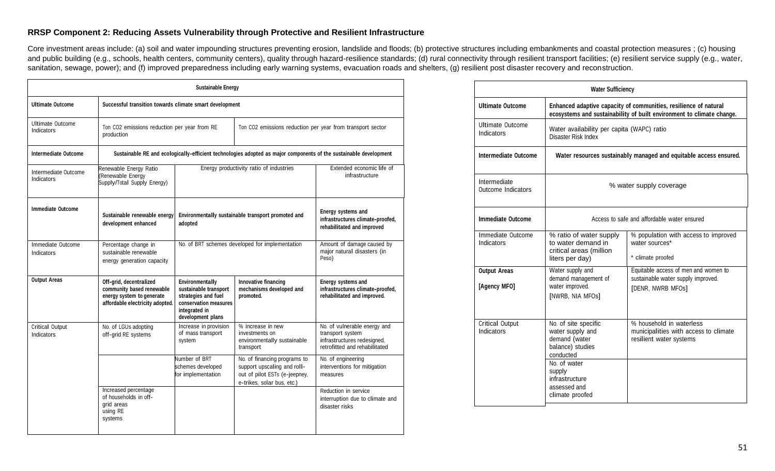#### **RRSP Component 2: Reducing Assets Vulnerability through Protective and Resilient Infrastructure**

Core investment areas include: (a) soil and water impounding structures preventing erosion, landslide and floods; (b) protective structures including embankments and coastal protection measures; (c) housing and public building (e.g., schools, health centers, community centers), quality through hazard-resilience standards; (d) rural connectivity through resilient transport facilities; (e) resilient service supply (e.g., water, sanitation, sewage, power); and (f) improved preparedness including early warning systems, evacuation roads and shelters, (g) resilient post disaster recovery and reconstruction.

| <b>Sustainable Energy</b>             |                                                                                                                      |                                                                                                                                |                                                                                                                            |                                                                                                                  |  |
|---------------------------------------|----------------------------------------------------------------------------------------------------------------------|--------------------------------------------------------------------------------------------------------------------------------|----------------------------------------------------------------------------------------------------------------------------|------------------------------------------------------------------------------------------------------------------|--|
| <b>Ultimate Outcome</b>               |                                                                                                                      | Successful transition towards climate smart development                                                                        |                                                                                                                            |                                                                                                                  |  |
| <b>Ultimate Outcome</b><br>Indicators | Ton CO2 emissions reduction per year from RE<br>production                                                           |                                                                                                                                | Ton CO2 emissions reduction per year from transport sector                                                                 |                                                                                                                  |  |
| Intermediate Outcome                  |                                                                                                                      |                                                                                                                                | Sustainable RE and ecologically-efficient technologies adopted as major components of the sustainable development          |                                                                                                                  |  |
| Intermediate Outcome<br>Indicators    | Renewable Energy Ratio<br>(Renewable Energy<br>Supply/Total Supply Energy)                                           | Energy productivity ratio of industries                                                                                        |                                                                                                                            | Extended economic life of<br>infrastructure                                                                      |  |
| Immediate Outcome                     | Sustainable renewable energy<br>development enhanced                                                                 | Environmentally sustainable transport promoted and<br>adopted                                                                  |                                                                                                                            | Energy systems and<br>infrastructures climate-proofed,<br>rehabilitated and improved                             |  |
| Immediate Outcome<br>Indicators       | Percentage change in<br>sustainable renewable<br>energy generation capacity                                          | No. of BRT schemes developed for implementation                                                                                |                                                                                                                            | Amount of damage caused by<br>major natural disasters (in<br>Peso)                                               |  |
| <b>Output Areas</b>                   | Off-grid, decentralized<br>community based renewable<br>energy system to generate<br>affordable electricity adopted. | Environmentally<br>sustainable transport<br>strategies and fuel<br>conservation measures<br>integrated in<br>development plans | Innovative financing<br>mechanisms developed and<br>promoted.                                                              | Energy systems and<br>infrastructures climate-proofed,<br>rehabilitated and improved.                            |  |
| Critical Output<br>Indicators         | No. of LGUs adopting<br>off-grid RE systems                                                                          | Increase in provision<br>of mass transport<br>system                                                                           | % increase in new<br>investments on<br>environmentally sustainable<br>transport                                            | No. of vulnerable energy and<br>transport system<br>infrastructures redesigned.<br>retrofitted and rehabilitated |  |
|                                       |                                                                                                                      | Number of BRT<br>schemes developed<br>for implementation                                                                       | No. of financing programs to<br>support upscaling and roll-<br>out of pilot ESTs (e-jeepney,<br>e-trikes, solar bus, etc.) | No. of engineering<br>interventions for mitigation<br>measures                                                   |  |
|                                       | Increased percentage<br>of households in off-<br>grid areas<br>using RE<br>systems                                   |                                                                                                                                |                                                                                                                            | Reduction in service<br>interruption due to climate and<br>disaster risks                                        |  |

|                                      | <b>Water Sufficiency</b>                                                                                                                                                  |                                                                                                 |  |  |
|--------------------------------------|---------------------------------------------------------------------------------------------------------------------------------------------------------------------------|-------------------------------------------------------------------------------------------------|--|--|
| <b>Ultimate Outcome</b>              | Enhanced adaptive capacity of communities, resilience of natural<br>ecosystems and sustainability of built environment to climate change.                                 |                                                                                                 |  |  |
| Ultimate Outcome<br>Indicators       | Water availability per capita (WAPC) ratio<br>Disaster Risk Index                                                                                                         |                                                                                                 |  |  |
| Intermediate Outcome                 | Water resources sustainably managed and equitable access ensured.                                                                                                         |                                                                                                 |  |  |
| Intermediate<br>Outcome Indicators   | % water supply coverage                                                                                                                                                   |                                                                                                 |  |  |
| Immediate Outcome                    | Access to safe and affordable water ensured                                                                                                                               |                                                                                                 |  |  |
| Immediate Outcome<br>Indicators      | % ratio of water supply<br>to water demand in<br>critical areas (million<br>liters per day)                                                                               | % population with access to improved<br>water sources*<br>* climate proofed                     |  |  |
| <b>Output Areas</b><br>[Agency MFO]  | Water supply and<br>demand management of<br>water improved.<br>[NWRB, NIA MFOs]                                                                                           | Equitable access of men and women to<br>sustainable water supply improved.<br>[DENR, NWRB MFOs] |  |  |
| <b>Critical Output</b><br>Indicators | No. of site specific<br>water supply and<br>demand (water<br>balance) studies<br>conducted<br>No. of water<br>supply<br>infrastructure<br>assessed and<br>climate proofed | % household in waterless<br>municipalities with access to climate<br>resilient water systems    |  |  |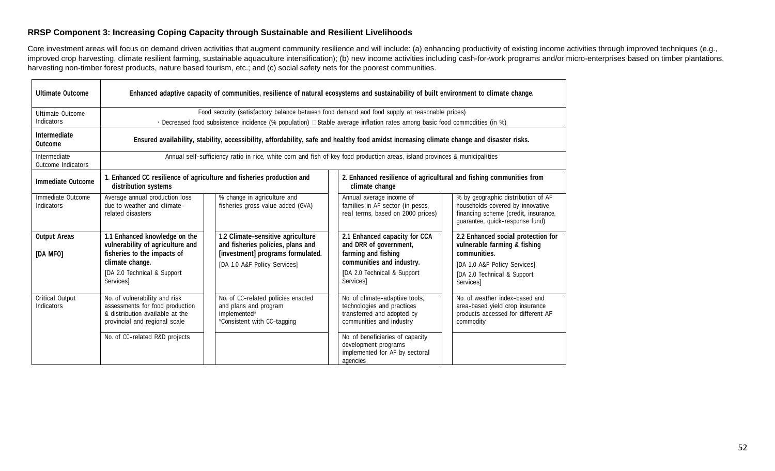#### **RRSP Component 3: Increasing Coping Capacity through Sustainable and Resilient Livelihoods**

Core investment areas will focus on demand driven activities that augment community resilience and will include: (a) enhancing productivity of existing income activities through improved techniques (e.g., improved crop harvesting, climate resilient farming, sustainable aquaculture intensification); (b) new income activities including cash-for-work programs and/or micro-enterprises based on timber plantations, harvesting non-timber forest products, nature based tourism, etc.; and (c) social safety nets for the poorest communities.

| <b>Ultimate Outcome</b>                     | Enhanced adaptive capacity of communities, resilience of natural ecosystems and sustainability of built environment to climate change.                                                                                      |                                                                                                                                                                |                                                                                                                                                                                                                                  |                                                                                                                                                               |  |  |  |  |
|---------------------------------------------|-----------------------------------------------------------------------------------------------------------------------------------------------------------------------------------------------------------------------------|----------------------------------------------------------------------------------------------------------------------------------------------------------------|----------------------------------------------------------------------------------------------------------------------------------------------------------------------------------------------------------------------------------|---------------------------------------------------------------------------------------------------------------------------------------------------------------|--|--|--|--|
| Ultimate Outcome<br><b>Indicators</b>       | Food security (satisfactory balance between food demand and food supply at reasonable prices)<br>· Decreased food subsistence incidence (% population) □ Stable average inflation rates among basic food commodities (in %) |                                                                                                                                                                |                                                                                                                                                                                                                                  |                                                                                                                                                               |  |  |  |  |
| Intermediate<br>Outcome                     | Ensured availability, stability, accessibility, affordability, safe and healthy food amidst increasing climate change and disaster risks.                                                                                   |                                                                                                                                                                |                                                                                                                                                                                                                                  |                                                                                                                                                               |  |  |  |  |
| Intermediate<br>Outcome Indicators          |                                                                                                                                                                                                                             | Annual self-sufficiency ratio in rice, white corn and fish of key food production areas, island provinces & municipalities                                     |                                                                                                                                                                                                                                  |                                                                                                                                                               |  |  |  |  |
| <b>Immediate Outcome</b>                    | distribution systems                                                                                                                                                                                                        | 1. Enhanced CC resilience of agriculture and fisheries production and<br>2. Enhanced resilience of agricultural and fishing communities from<br>climate change |                                                                                                                                                                                                                                  |                                                                                                                                                               |  |  |  |  |
| Immediate Outcome<br>Indicators             | Average annual production loss<br>due to weather and climate-<br>related disasters                                                                                                                                          | % change in agriculture and<br>fisheries gross value added (GVA)                                                                                               | Annual average income of<br>families in AF sector (in pesos,<br>real terms, based on 2000 prices)                                                                                                                                | % by geographic distribution of AF<br>households covered by innovative<br>financing scheme (credit, insurance,<br>quarantee, quick-response fund)             |  |  |  |  |
| <b>Output Areas</b><br><b>[DA MFO]</b>      | 1.1 Enhanced knowledge on the<br>vulnerability of agriculture and<br>fisheries to the impacts of<br>climate change.<br>[DA 2.0 Technical & Support<br>Services]                                                             | 1.2 Climate-sensitive agriculture<br>and fisheries policies, plans and<br>[investment] programs formulated.<br>[DA 1.0 A&F Policy Services]                    | 2.1 Enhanced capacity for CCA<br>and DRR of government,<br>farming and fishing<br>communities and industry.<br>[DA 2.0 Technical & Support<br>Services                                                                           | 2.2 Enhanced social protection for<br>vulnerable farming & fishing<br>communities.<br>[DA 1.0 A&F Policy Services]<br>[DA 2.0 Technical & Support<br>Services |  |  |  |  |
| <b>Critical Output</b><br><b>Indicators</b> | No. of vulnerability and risk<br>assessments for food production<br>& distribution available at the<br>provincial and regional scale<br>No. of CC-related R&D projects                                                      | No. of CC-related policies enacted<br>and plans and program<br>implemented*<br>*Consistent with CC-tagging                                                     | No. of climate-adaptive tools,<br>technologies and practices<br>transferred and adopted by<br>communities and industry<br>No. of beneficiaries of capacity<br>development programs<br>implemented for AF by sectoral<br>agencies | No. of weather index-based and<br>area-based yield crop insurance<br>products accessed for different AF<br>commodity                                          |  |  |  |  |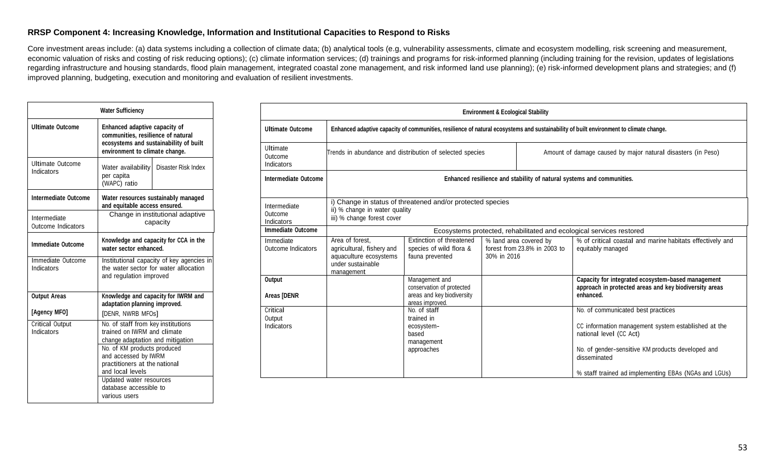#### **RRSP Component 4: Increasing Knowledge, Information and Institutional Capacities to Respond to Risks**

Core investment areas include: (a) data systems including a collection of climate data; (b) analytical tools (e.g, vulnerability assessments, climate and ecosystem modelling, risk screening and measurement, economic valuation of risks and costing of risk reducing options); (c) climate information services; (d) trainings and programs for risk-informed planning (including training for the revision, updates of legislations regarding infrastructure and housing standards, flood plain management, integrated coastal zone management, and risk informed land use planning); (e) risk-informed development plans and strategies; and (f) improved planning, budgeting, execution and monitoring and evaluation of resilient investments.

| <b>Water Sufficiency</b>             |                                                                                                                                                                                                                                                                                         |                                     |  |  |  |  |
|--------------------------------------|-----------------------------------------------------------------------------------------------------------------------------------------------------------------------------------------------------------------------------------------------------------------------------------------|-------------------------------------|--|--|--|--|
| <b>Ultimate Outcome</b>              | Enhanced adaptive capacity of<br>communities, resilience of natural<br>ecosystems and sustainability of built<br>environment to climate change.                                                                                                                                         |                                     |  |  |  |  |
| Ultimate Outcome<br>Indicators       | Water availability<br>Disaster Risk Index<br>per capita<br>(WAPC) ratio                                                                                                                                                                                                                 |                                     |  |  |  |  |
| Intermediate Outcome                 | and equitable access ensured.                                                                                                                                                                                                                                                           | Water resources sustainably managed |  |  |  |  |
| Intermediate<br>Outcome Indicators   | Change in institutional adaptive<br>capacity                                                                                                                                                                                                                                            |                                     |  |  |  |  |
| <b>Immediate Outcome</b>             | Knowledge and capacity for CCA in the<br>water sector enhanced.                                                                                                                                                                                                                         |                                     |  |  |  |  |
| Immediate Outcome<br>Indicators      | Institutional capacity of key agencies in<br>the water sector for water allocation<br>and regulation improved                                                                                                                                                                           |                                     |  |  |  |  |
| <b>Output Areas</b><br>[Agency MFO]  | Knowledge and capacity for IWRM and<br>adaptation planning improved.<br>[DENR, NWRB MFOs]                                                                                                                                                                                               |                                     |  |  |  |  |
| <b>Critical Output</b><br>Indicators | No. of staff from key institutions<br>trained on IWRM and climate<br>change adaptation and mitigation<br>No. of KM products produced<br>and accessed by IWRM<br>practitioners at the national<br>and local levels<br>Updated water resources<br>database accessible to<br>various users |                                     |  |  |  |  |

| <b>Environment &amp; Ecological Stability</b> |                                                                                                                                        |                                                                                                                                                                                                                           |             |                                                        |                                                                                                                                                                                                                                                   |  |  |  |  |
|-----------------------------------------------|----------------------------------------------------------------------------------------------------------------------------------------|---------------------------------------------------------------------------------------------------------------------------------------------------------------------------------------------------------------------------|-------------|--------------------------------------------------------|---------------------------------------------------------------------------------------------------------------------------------------------------------------------------------------------------------------------------------------------------|--|--|--|--|
| <b>Ultimate Outcome</b>                       | Enhanced adaptive capacity of communities, resilience of natural ecosystems and sustainability of built environment to climate change. |                                                                                                                                                                                                                           |             |                                                        |                                                                                                                                                                                                                                                   |  |  |  |  |
| Ultimate<br>Outcome<br>Indicators             | Trends in abundance and distribution of selected species<br>Amount of damage caused by major natural disasters (in Peso)               |                                                                                                                                                                                                                           |             |                                                        |                                                                                                                                                                                                                                                   |  |  |  |  |
| Intermediate Outcome                          | Enhanced resilience and stability of natural systems and communities.                                                                  |                                                                                                                                                                                                                           |             |                                                        |                                                                                                                                                                                                                                                   |  |  |  |  |
| Intermediate<br>Outcome<br>Indicators         | i) Change in status of threatened and/or protected species<br>ii) % change in water quality<br>iii) % change forest cover              |                                                                                                                                                                                                                           |             |                                                        |                                                                                                                                                                                                                                                   |  |  |  |  |
| <b>Immediate Outcome</b>                      |                                                                                                                                        |                                                                                                                                                                                                                           |             |                                                        | Ecosystems protected, rehabilitated and ecological services restored                                                                                                                                                                              |  |  |  |  |
| Immediate<br>Outcome Indicators               | Area of forest.<br>agricultural, fishery and<br>aquaculture ecosystems<br>under sustainable<br>management                              | Extinction of threatened<br>species of wild flora &<br>fauna prevented                                                                                                                                                    | 30% in 2016 | % land area covered by<br>forest from 23.8% in 2003 to | % of critical coastal and marine habitats effectively and<br>equitably managed                                                                                                                                                                    |  |  |  |  |
| Output<br>Areas [DENR                         |                                                                                                                                        | Management and<br>Capacity for integrated ecosystem-based management<br>conservation of protected<br>approach in protected areas and key biodiversity areas<br>areas and key biodiversity<br>enhanced.<br>areas improved. |             |                                                        |                                                                                                                                                                                                                                                   |  |  |  |  |
| Critical<br>Output<br>Indicators              |                                                                                                                                        | No. of staff<br>trained in<br>ecosystem-<br>based<br>management<br>approaches                                                                                                                                             |             |                                                        | No. of communicated best practices<br>CC information management system established at the<br>national level (CC Act)<br>No. of gender-sensitive KM products developed and<br>disseminated<br>% staff trained ad implementing EBAs (NGAs and LGUs) |  |  |  |  |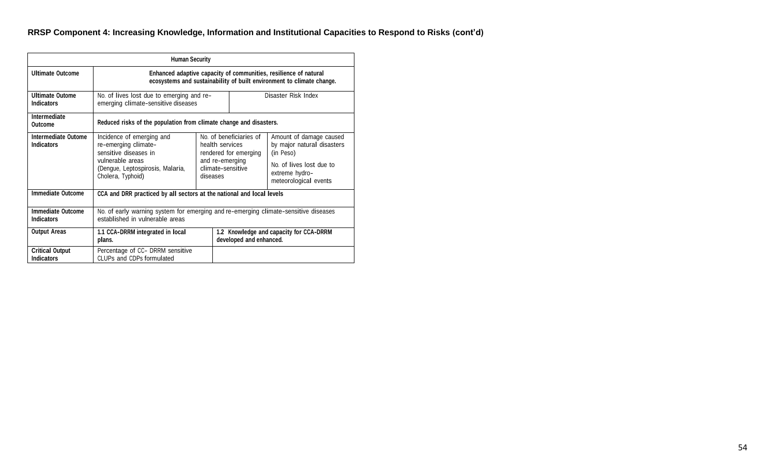### **RRSP Component 4: Increasing Knowledge, Information and Institutional Capacities to Respond to Risks (cont'd)**

| <b>Human Security</b>                         |                                                                                                                                                         |          |                                                                                                             |                                                                                                                                           |  |  |  |
|-----------------------------------------------|---------------------------------------------------------------------------------------------------------------------------------------------------------|----------|-------------------------------------------------------------------------------------------------------------|-------------------------------------------------------------------------------------------------------------------------------------------|--|--|--|
| <b>Ultimate Outcome</b>                       | Enhanced adaptive capacity of communities, resilience of natural<br>ecosystems and sustainability of built environment to climate change.               |          |                                                                                                             |                                                                                                                                           |  |  |  |
| <b>Ultimate Outome</b><br><b>Indicators</b>   | Disaster Risk Index<br>No. of lives lost due to emerging and re-<br>emerging climate-sensitive diseases                                                 |          |                                                                                                             |                                                                                                                                           |  |  |  |
| Intermediate<br>Outcome                       | Reduced risks of the population from climate change and disasters.                                                                                      |          |                                                                                                             |                                                                                                                                           |  |  |  |
| Intermediate Outome<br><b>Indicators</b>      | Incidence of emerging and<br>re-emerging climate-<br>sensitive diseases in<br>vulnerable areas<br>(Dengue, Leptospirosis, Malaria,<br>Cholera, Typhoid) | diseases | No. of beneficiaries of<br>health services<br>rendered for emerging<br>and re-emerging<br>climate-sensitive | Amount of damage caused<br>by major natural disasters<br>(in Peso)<br>No. of lives lost due to<br>extreme hydro-<br>meteorological events |  |  |  |
| <b>Immediate Outcome</b>                      | CCA and DRR practiced by all sectors at the national and local levels                                                                                   |          |                                                                                                             |                                                                                                                                           |  |  |  |
| <b>Immediate Outcome</b><br><b>Indicators</b> | No. of early warning system for emerging and re-emerging climate-sensitive diseases<br>established in vulnerable areas                                  |          |                                                                                                             |                                                                                                                                           |  |  |  |
| <b>Output Areas</b>                           | 1.1 CCA-DRRM integrated in local<br>1.2 Knowledge and capacity for CCA-DRRM<br>developed and enhanced.<br>plans.                                        |          |                                                                                                             |                                                                                                                                           |  |  |  |
| <b>Critical Output</b><br><b>Indicators</b>   | Percentage of CC- DRRM sensitive<br>CLUPs and CDPs formulated                                                                                           |          |                                                                                                             |                                                                                                                                           |  |  |  |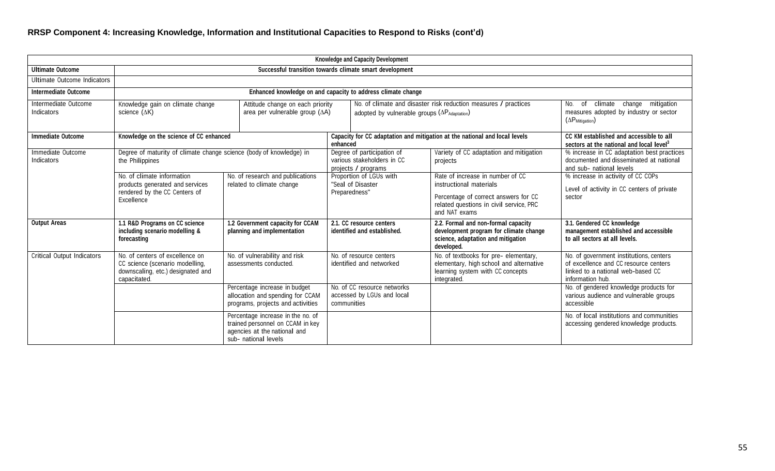|                                    |                                                                                                                         |                                                                                                                               |                                                                                                                                                                                                   | <b>Knowledge and Capacity Development</b>                                                                                              |                                                                                                                                                                 |                                                                                                                                           |  |  |
|------------------------------------|-------------------------------------------------------------------------------------------------------------------------|-------------------------------------------------------------------------------------------------------------------------------|---------------------------------------------------------------------------------------------------------------------------------------------------------------------------------------------------|----------------------------------------------------------------------------------------------------------------------------------------|-----------------------------------------------------------------------------------------------------------------------------------------------------------------|-------------------------------------------------------------------------------------------------------------------------------------------|--|--|
| <b>Ultimate Outcome</b>            |                                                                                                                         | Successful transition towards climate smart development                                                                       |                                                                                                                                                                                                   |                                                                                                                                        |                                                                                                                                                                 |                                                                                                                                           |  |  |
| Ultimate Outcome Indicators        |                                                                                                                         |                                                                                                                               |                                                                                                                                                                                                   |                                                                                                                                        |                                                                                                                                                                 |                                                                                                                                           |  |  |
| Intermediate Outcome               | Enhanced knowledge on and capacity to address climate change                                                            |                                                                                                                               |                                                                                                                                                                                                   |                                                                                                                                        |                                                                                                                                                                 |                                                                                                                                           |  |  |
| Intermediate Outcome<br>Indicators | Knowledge gain on climate change<br>science $(\Delta K)$                                                                |                                                                                                                               | Attitude change on each priority<br>No. of climate and disaster risk reduction measures / practices<br>area per vulnerable group $(∆A)$<br>adopted by vulnerable groups $(\Delta P_{Adaptation})$ |                                                                                                                                        |                                                                                                                                                                 | No.<br>of<br>climate change<br>mitigation<br>measures adopted by industry or sector<br>$(\Delta P_{\text{Mitigation}})$                   |  |  |
| <b>Immediate Outcome</b>           | Knowledge on the science of CC enhanced                                                                                 |                                                                                                                               | enhanced                                                                                                                                                                                          |                                                                                                                                        | Capacity for CC adaptation and mitigation at the national and local levels                                                                                      | CC KM established and accessible to all<br>sectors at the national and local level <sup>3</sup>                                           |  |  |
| Immediate Outcome<br>Indicators    | Degree of maturity of climate change science (body of knowledge) in<br>the Philippines                                  |                                                                                                                               |                                                                                                                                                                                                   | Degree of participation of<br>Variety of CC adaptation and mitigation<br>various stakeholders in CC<br>projects<br>projects / programs |                                                                                                                                                                 | % increase in CC adaptation best practices<br>documented and disseminated at national<br>and sub- national levels                         |  |  |
|                                    | No. of climate information<br>products generated and services<br>rendered by the CC Centers of<br>Excellence            | No. of research and publications<br>related to climate change                                                                 | Preparedness"                                                                                                                                                                                     | Proportion of LGUs with<br>"Seal of Disaster                                                                                           | Rate of increase in number of CC<br>instructional materials<br>Percentage of correct answers for CC<br>related questions in civil service, PRC<br>and NAT exams | % increase in activity of CC COPs<br>Level of activity in CC centers of private<br>sector                                                 |  |  |
| <b>Output Areas</b>                | 1.1 R&D Programs on CC science<br>including scenario modelling &<br>forecasting                                         | 1.2 Government capacity for CCAM<br>planning and implementation                                                               |                                                                                                                                                                                                   | 2.1. CC resource centers<br>identified and established.                                                                                | 2.2. Formal and non-formal capacity<br>development program for climate change<br>science, adaptation and mitigation<br>developed.                               | 3.1. Gendered CC knowledge<br>management established and accessible<br>to all sectors at all levels.                                      |  |  |
| Critical Output Indicators         | No. of centers of excellence on<br>CC science (scenario modelling,<br>downscaling, etc.) designated and<br>capacitated. | No. of vulnerability and risk<br>assessments conducted.                                                                       |                                                                                                                                                                                                   | No. of resource centers<br>identified and networked                                                                                    | No. of textbooks for pre- elementary,<br>elementary, high school and alternative<br>learning system with CC concepts<br>integrated.                             | No. of government institutions, centers<br>of excellence and CC resource centers<br>linked to a national web-based CC<br>information hub. |  |  |
|                                    |                                                                                                                         | Percentage increase in budget<br>allocation and spending for CCAM<br>programs, projects and activities                        | communities                                                                                                                                                                                       | No. of CC resource networks<br>accessed by LGUs and local                                                                              |                                                                                                                                                                 | No. of gendered knowledge products for<br>various audience and vulnerable groups<br>accessible                                            |  |  |
|                                    |                                                                                                                         | Percentage increase in the no. of<br>trained personnel on CCAM in key<br>agencies at the national and<br>sub- national levels |                                                                                                                                                                                                   |                                                                                                                                        |                                                                                                                                                                 | No. of local institutions and communities<br>accessing gendered knowledge products.                                                       |  |  |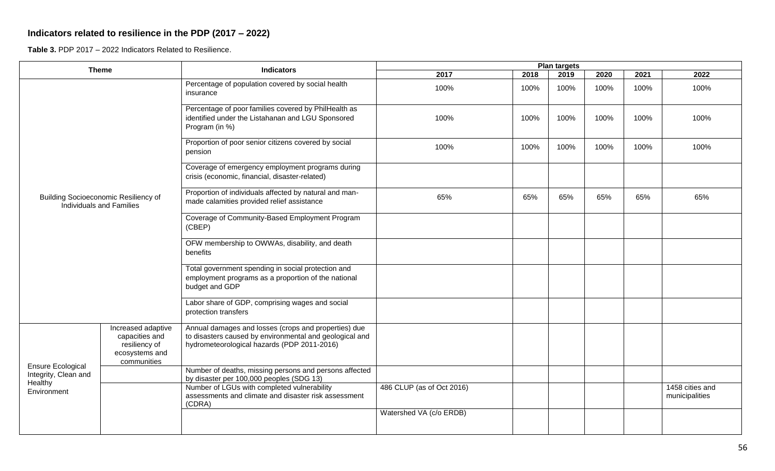## **Indicators related to resilience in the PDP (2017 – 2022)**

**Table 3.** PDP 2017 – 2022 Indicators Related to Resilience.

| <b>Theme</b>                                                               |                                                                                        |                                                                                                                                                                | <b>Plan targets</b>       |      |      |      |      |                                   |
|----------------------------------------------------------------------------|----------------------------------------------------------------------------------------|----------------------------------------------------------------------------------------------------------------------------------------------------------------|---------------------------|------|------|------|------|-----------------------------------|
|                                                                            |                                                                                        | <b>Indicators</b>                                                                                                                                              | 2017                      | 2018 | 2019 | 2020 | 2021 | 2022                              |
|                                                                            |                                                                                        | Percentage of population covered by social health<br>insurance                                                                                                 | 100%                      | 100% | 100% | 100% | 100% | 100%                              |
|                                                                            |                                                                                        | Percentage of poor families covered by PhilHealth as<br>identified under the Listahanan and LGU Sponsored<br>Program (in %)                                    | 100%                      | 100% | 100% | 100% | 100% | 100%                              |
|                                                                            |                                                                                        | Proportion of poor senior citizens covered by social<br>pension                                                                                                | 100%                      | 100% | 100% | 100% | 100% | 100%                              |
|                                                                            |                                                                                        | Coverage of emergency employment programs during<br>crisis (economic, financial, disaster-related)                                                             |                           |      |      |      |      |                                   |
| Individuals and Families                                                   | Building Socioeconomic Resiliency of                                                   | Proportion of individuals affected by natural and man-<br>made calamities provided relief assistance                                                           | 65%                       | 65%  | 65%  | 65%  | 65%  | 65%                               |
|                                                                            |                                                                                        | Coverage of Community-Based Employment Program<br>(CBEP)                                                                                                       |                           |      |      |      |      |                                   |
|                                                                            |                                                                                        | OFW membership to OWWAs, disability, and death<br>benefits                                                                                                     |                           |      |      |      |      |                                   |
|                                                                            |                                                                                        | Total government spending in social protection and<br>employment programs as a proportion of the national<br>budget and GDP                                    |                           |      |      |      |      |                                   |
|                                                                            |                                                                                        | Labor share of GDP, comprising wages and social<br>protection transfers                                                                                        |                           |      |      |      |      |                                   |
|                                                                            | Increased adaptive<br>capacities and<br>resiliency of<br>ecosystems and<br>communities | Annual damages and losses (crops and properties) due<br>to disasters caused by environmental and geological and<br>hydrometeorological hazards (PDP 2011-2016) |                           |      |      |      |      |                                   |
| <b>Ensure Ecological</b><br>Integrity, Clean and<br>Healthy<br>Environment |                                                                                        | Number of deaths, missing persons and persons affected<br>by disaster per 100,000 peoples (SDG 13)                                                             |                           |      |      |      |      |                                   |
|                                                                            |                                                                                        | Number of LGUs with completed vulnerability<br>assessments and climate and disaster risk assessment<br>(CDRA)                                                  | 486 CLUP (as of Oct 2016) |      |      |      |      | 1458 cities and<br>municipalities |
|                                                                            |                                                                                        |                                                                                                                                                                | Watershed VA (c/o ERDB)   |      |      |      |      |                                   |
|                                                                            |                                                                                        |                                                                                                                                                                |                           |      |      |      |      |                                   |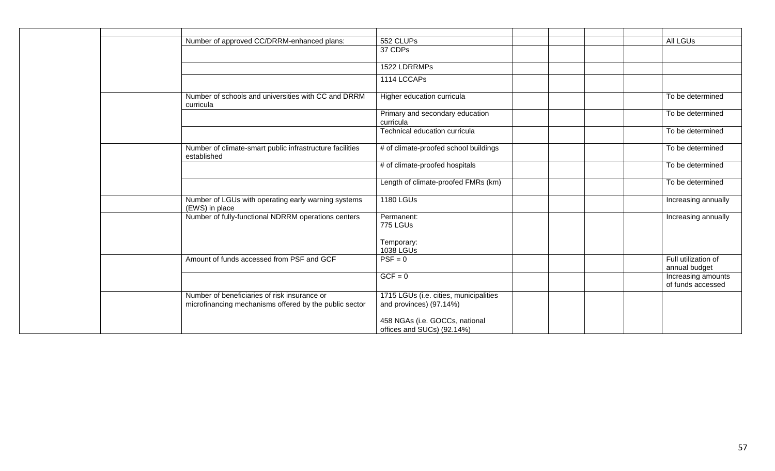|  | Number of approved CC/DRRM-enhanced plans:                                                             | 552 CLUPs                                                         | <b>All LGUs</b>                         |
|--|--------------------------------------------------------------------------------------------------------|-------------------------------------------------------------------|-----------------------------------------|
|  |                                                                                                        | 37 CDPs                                                           |                                         |
|  |                                                                                                        | 1522 LDRRMPs                                                      |                                         |
|  |                                                                                                        | 1114 LCCAPs                                                       |                                         |
|  | Number of schools and universities with CC and DRRM<br>curricula                                       | Higher education curricula                                        | To be determined                        |
|  |                                                                                                        | Primary and secondary education<br>curricula                      | To be determined                        |
|  |                                                                                                        | Technical education curricula                                     | To be determined                        |
|  | Number of climate-smart public infrastructure facilities<br>established                                | # of climate-proofed school buildings                             | To be determined                        |
|  |                                                                                                        | # of climate-proofed hospitals                                    | To be determined                        |
|  |                                                                                                        | Length of climate-proofed FMRs (km)                               | To be determined                        |
|  | Number of LGUs with operating early warning systems<br>(EWS) in place                                  | <b>1180 LGUs</b>                                                  | Increasing annually                     |
|  | Number of fully-functional NDRRM operations centers                                                    | Permanent:<br><b>775 LGUs</b>                                     | Increasing annually                     |
|  |                                                                                                        | Temporary:<br>1038 LGUs                                           |                                         |
|  | Amount of funds accessed from PSF and GCF                                                              | $PSF = 0$                                                         | Full utilization of<br>annual budget    |
|  |                                                                                                        | $GCF = 0$                                                         | Increasing amounts<br>of funds accessed |
|  | Number of beneficiaries of risk insurance or<br>microfinancing mechanisms offered by the public sector | 1715 LGUs (i.e. cities, municipalities<br>and provinces) (97.14%) |                                         |
|  |                                                                                                        | 458 NGAs (i.e. GOCCs, national<br>offices and SUCs) (92.14%)      |                                         |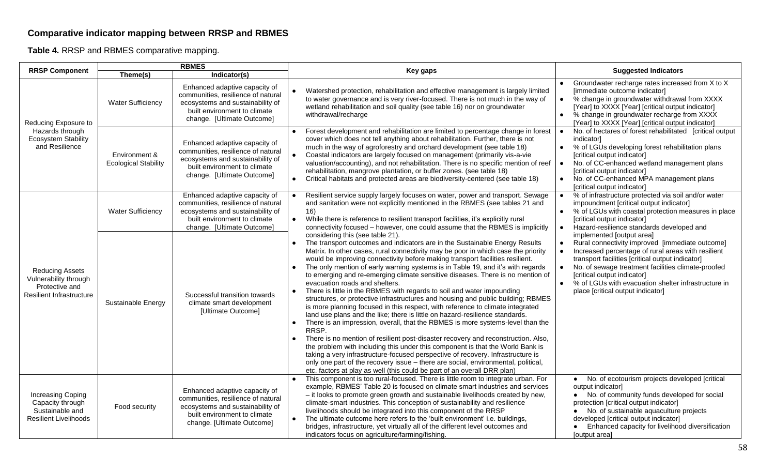## **Comparative indicator mapping between RRSP and RBMES**

**Table 4.** RRSP and RBMES comparative mapping.

| <b>RRSP Component</b>                                                                           |                                              | <b>RBMES</b>                                                                                                                                                          | Key gaps                                                                                                                                                                                                                                                                                                                                                                                                                                                                                                                                                                                                                                                                                                                                                                                                                                                                                                                                                                                                                                                                                                                                                                                                                                                                                                                                                        | <b>Suggested Indicators</b>                                                                                                                                                                                                                                                                                                                                                                                    |  |  |
|-------------------------------------------------------------------------------------------------|----------------------------------------------|-----------------------------------------------------------------------------------------------------------------------------------------------------------------------|-----------------------------------------------------------------------------------------------------------------------------------------------------------------------------------------------------------------------------------------------------------------------------------------------------------------------------------------------------------------------------------------------------------------------------------------------------------------------------------------------------------------------------------------------------------------------------------------------------------------------------------------------------------------------------------------------------------------------------------------------------------------------------------------------------------------------------------------------------------------------------------------------------------------------------------------------------------------------------------------------------------------------------------------------------------------------------------------------------------------------------------------------------------------------------------------------------------------------------------------------------------------------------------------------------------------------------------------------------------------|----------------------------------------------------------------------------------------------------------------------------------------------------------------------------------------------------------------------------------------------------------------------------------------------------------------------------------------------------------------------------------------------------------------|--|--|
|                                                                                                 | Theme(s)<br>Indicator(s)                     |                                                                                                                                                                       |                                                                                                                                                                                                                                                                                                                                                                                                                                                                                                                                                                                                                                                                                                                                                                                                                                                                                                                                                                                                                                                                                                                                                                                                                                                                                                                                                                 |                                                                                                                                                                                                                                                                                                                                                                                                                |  |  |
| Reducing Exposure to<br>Hazards through<br><b>Ecosystem Stability</b><br>and Resilience         | <b>Water Sufficiency</b>                     | Enhanced adaptive capacity of<br>communities, resilience of natural<br>ecosystems and sustainability of<br>built environment to climate<br>change. [Ultimate Outcome] | Watershed protection, rehabilitation and effective management is largely limited<br>to water governance and is very river-focused. There is not much in the way of<br>wetland rehabilitation and soil quality (see table 16) nor on groundwater<br>withdrawal/recharge                                                                                                                                                                                                                                                                                                                                                                                                                                                                                                                                                                                                                                                                                                                                                                                                                                                                                                                                                                                                                                                                                          | Groundwater recharge rates increased from X to X<br>[immediate outcome indicator]<br>% change in groundwater withdrawal from XXXX<br>$\bullet$<br>[Year] to XXXX [Year] [critical output indicator]<br>% change in groundwater recharge from XXXX<br>$\bullet$<br>[Year] to XXXX [Year] [critical output indicator]                                                                                            |  |  |
|                                                                                                 | Environment &<br><b>Ecological Stability</b> | Enhanced adaptive capacity of<br>communities, resilience of natural<br>ecosystems and sustainability of<br>built environment to climate<br>change. [Ultimate Outcome] | Forest development and rehabilitation are limited to percentage change in forest<br>$\bullet$<br>cover which does not tell anything about rehabilitation. Further, there is not<br>much in the way of agroforestry and orchard development (see table 18)<br>Coastal indicators are largely focused on management (primarily vis-a-vie<br>valuation/accounting), and not rehabilitation. There is no specific mention of reef<br>rehabilitation, mangrove plantation, or buffer zones. (see table 18)<br>$\bullet$<br>Critical habitats and protected areas are biodiversity-centered (see table 18)                                                                                                                                                                                                                                                                                                                                                                                                                                                                                                                                                                                                                                                                                                                                                            | No. of hectares of forest rehabilitated [critical output<br>$\bullet$<br>indicator]<br>% of LGUs developing forest rehabilitation plans<br>$\bullet$<br>[critical output indicator]<br>No. of CC-enhanced wetland management plans<br>$\bullet$<br>[critical output indicator]<br>No. of CC-enhanced MPA management plans<br>$\bullet$<br>[critical output indicator]                                          |  |  |
|                                                                                                 | <b>Water Sufficiency</b>                     | Enhanced adaptive capacity of<br>communities, resilience of natural<br>ecosystems and sustainability of<br>built environment to climate<br>change. [Ultimate Outcome] | Resilient service supply largely focuses on water, power and transport. Sewage<br>$\bullet$<br>and sanitation were not explicitly mentioned in the RBMES (see tables 21 and<br>16)<br>$\bullet$<br>While there is reference to resilient transport facilities, it's explicitly rural<br>connectivity focused - however, one could assume that the RBMES is implicitly                                                                                                                                                                                                                                                                                                                                                                                                                                                                                                                                                                                                                                                                                                                                                                                                                                                                                                                                                                                           | % of infrastructure protected via soil and/or water<br>$\bullet$<br>impoundment [critical output indicator]<br>% of LGUs with coastal protection measures in place<br>$\bullet$<br>[critical output indicator]<br>Hazard-resilience standards developed and<br>$\bullet$                                                                                                                                       |  |  |
| <b>Reducing Assets</b><br>Vulnerability through<br>Protective and<br>Resilient Infrastructure   | Sustainable Energy                           | Successful transition towards<br>climate smart development<br>[Ultimate Outcome]                                                                                      | considering this (see table 21).<br>The transport outcomes and indicators are in the Sustainable Energy Results<br>Matrix. In other cases, rural connectivity may be poor in which case the priority<br>would be improving connectivity before making transport facilities resilient.<br>The only mention of early warning systems is in Table 19, and it's with regards<br>to emerging and re-emerging climate sensitive diseases. There is no mention of<br>evacuation roads and shelters.<br>There is little in the RBMES with regards to soil and water impounding<br>$\bullet$<br>structures, or protective infrastructures and housing and public building; RBMES<br>is more planning focused in this respect, with reference to climate integrated<br>land use plans and the like; there is little on hazard-resilience standards.<br>There is an impression, overall, that the RBMES is more systems-level than the<br>RRSP.<br>There is no mention of resilient post-disaster recovery and reconstruction. Also,<br>the problem with including this under this component is that the World Bank is<br>taking a very infrastructure-focused perspective of recovery. Infrastructure is<br>only one part of the recovery issue - there are social, environmental, political,<br>etc. factors at play as well (this could be part of an overall DRR plan) | implemented [output area]<br>Rural connectivity improved [immediate outcome]<br>$\bullet$<br>Increased percentage of rural areas with resilient<br>transport facilities [critical output indicator]<br>No. of sewage treatment facilities climate-proofed<br>$\bullet$<br>[critical output indicator]<br>% of LGUs with evacuation shelter infrastructure in<br>$\bullet$<br>place [critical output indicator] |  |  |
| <b>Increasing Coping</b><br>Capacity through<br>Sustainable and<br><b>Resilient Livelihoods</b> | Food security                                | Enhanced adaptive capacity of<br>communities, resilience of natural<br>ecosystems and sustainability of<br>built environment to climate<br>change. [Ultimate Outcome] | This component is too rural-focused. There is little room to integrate urban. For<br>example, RBMES' Table 20 is focused on climate smart industries and services<br>- it looks to promote green growth and sustainable livelihoods created by new,<br>climate-smart industries. This conception of sustainability and resilience<br>livelihoods should be integrated into this component of the RRSP<br>$\bullet$<br>The ultimate outcome here refers to the 'built environment' i.e. buildings,<br>bridges, infrastructure, yet virtually all of the different level outcomes and<br>indicators focus on agriculture/farming/fishing.                                                                                                                                                                                                                                                                                                                                                                                                                                                                                                                                                                                                                                                                                                                         | No. of ecotourism projects developed [critical<br>output indicator]<br>No. of community funds developed for social<br>$\bullet$<br>protection [critical output indicator]<br>No. of sustainable aquaculture projects<br>$\bullet$<br>developed [critical output indicator]<br>Enhanced capacity for livelihood diversification<br>$\bullet$<br>[output area]                                                   |  |  |